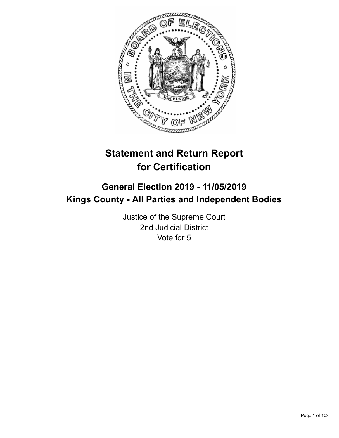

# **Statement and Return Report for Certification**

## **General Election 2019 - 11/05/2019 Kings County - All Parties and Independent Bodies**

Justice of the Supreme Court 2nd Judicial District Vote for 5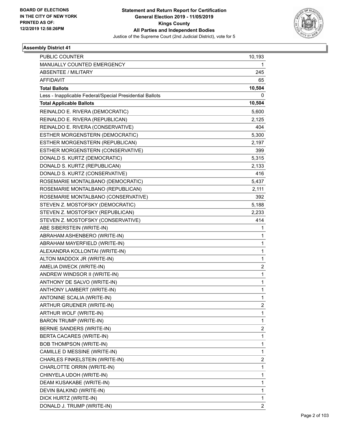

| PUBLIC COUNTER                                           | 10,193         |
|----------------------------------------------------------|----------------|
| MANUALLY COUNTED EMERGENCY                               | 1              |
| <b>ABSENTEE / MILITARY</b>                               | 245            |
| <b>AFFIDAVIT</b>                                         | 65             |
| <b>Total Ballots</b>                                     | 10,504         |
| Less - Inapplicable Federal/Special Presidential Ballots | 0              |
| <b>Total Applicable Ballots</b>                          | 10,504         |
| REINALDO E. RIVERA (DEMOCRATIC)                          | 5,600          |
| REINALDO E. RIVERA (REPUBLICAN)                          | 2,125          |
| REINALDO E. RIVERA (CONSERVATIVE)                        | 404            |
| ESTHER MORGENSTERN (DEMOCRATIC)                          | 5,300          |
| ESTHER MORGENSTERN (REPUBLICAN)                          | 2,197          |
| ESTHER MORGENSTERN (CONSERVATIVE)                        | 399            |
| DONALD S. KURTZ (DEMOCRATIC)                             | 5,315          |
| DONALD S. KURTZ (REPUBLICAN)                             | 2,133          |
| DONALD S. KURTZ (CONSERVATIVE)                           | 416            |
| ROSEMARIE MONTALBANO (DEMOCRATIC)                        | 5,437          |
| ROSEMARIE MONTALBANO (REPUBLICAN)                        | 2,111          |
| ROSEMARIE MONTALBANO (CONSERVATIVE)                      | 392            |
| STEVEN Z. MOSTOFSKY (DEMOCRATIC)                         | 5,188          |
| STEVEN Z. MOSTOFSKY (REPUBLICAN)                         | 2,233          |
| STEVEN Z. MOSTOFSKY (CONSERVATIVE)                       | 414            |
| ABE SIBERSTEIN (WRITE-IN)                                | 1              |
| ABRAHAM ASHENBERO (WRITE-IN)                             | 1              |
| ABRAHAM MAYERFIELD (WRITE-IN)                            | 1              |
| ALEXANDRA KOLLONTAI (WRITE-IN)                           | $\mathbf{1}$   |
| ALTON MADDOX JR (WRITE-IN)                               | 1              |
| AMELIA DWECK (WRITE-IN)                                  | $\overline{2}$ |
| ANDREW WINDSOR II (WRITE-IN)                             | $\mathbf{1}$   |
| ANTHONY DE SALVO (WRITE-IN)                              | 1              |
| ANTHONY LAMBERT (WRITE-IN)                               | 1              |
| ANTONINE SCALIA (WRITE-IN)                               | 1              |
| ARTHUR GRUENER (WRITE-IN)                                | 2              |
| ARTHUR WOLF (WRITE-IN)                                   | 1              |
| <b>BARON TRUMP (WRITE-IN)</b>                            | $\mathbf{1}$   |
| BERNIE SANDERS (WRITE-IN)                                | 2              |
| BERTA CACARES (WRITE-IN)                                 | 1              |
| <b>BOB THOMPSON (WRITE-IN)</b>                           | 1              |
| CAMILLE D MESSINE (WRITE-IN)                             | 1              |
| CHARLES FINKELSTEIN (WRITE-IN)                           | $\overline{2}$ |
| CHARLOTTE ORRIN (WRITE-IN)                               | $\mathbf{1}$   |
| CHINYELA UDOH (WRITE-IN)                                 | 1              |
| DEAM KUSAKABE (WRITE-IN)                                 | 1              |
| DEVIN BALKIND (WRITE-IN)                                 | 1              |
| DICK HURTZ (WRITE-IN)                                    | 1              |
| DONALD J. TRUMP (WRITE-IN)                               | 2              |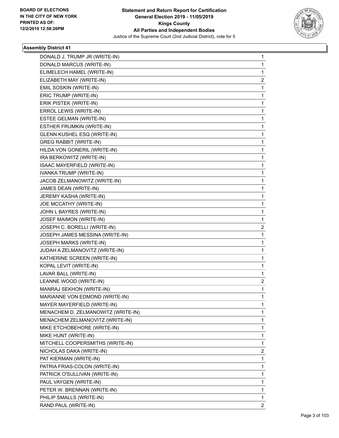

| DONALD J. TRUMP JR (WRITE-IN)      | 1            |
|------------------------------------|--------------|
| DONALD MARCUS (WRITE-IN)           | $\mathbf{1}$ |
| ELIMELECH HAMEL (WRITE-IN)         | 1            |
| ELIZABETH MAY (WRITE-IN)           | 2            |
| EMIL SOSKIN (WRITE-IN)             | 1            |
| ERIC TRUMP (WRITE-IN)              | 1            |
| ERIK PISTEK (WRITE-IN)             | 1            |
| ERROL LEWIS (WRITE-IN)             | 1            |
| ESTEE GELMAN (WRITE-IN)            | 1            |
| ESTHER FRUMKIN (WRITE-IN)          | 1            |
| GLENN KUSHEL ESQ (WRITE-IN)        | 1            |
| <b>GREG RABBIT (WRITE-IN)</b>      | 1            |
| HILDA VON GONERIL (WRITE-IN)       | 1            |
| IRA BERKOWITZ (WRITE-IN)           | 1            |
| ISAAC MAYERFIELD (WRITE-IN)        | 1            |
| IVANKA TRUMP (WRITE-IN)            | 1            |
| JACOB ZELMANOWITZ (WRITE-IN)       | 1            |
| JAMES DEAN (WRITE-IN)              | 1            |
| JEREMY KASHA (WRITE-IN)            | 1            |
| JOE MCCATHY (WRITE-IN)             | 1            |
| JOHN L BAYRES (WRITE-IN)           | 1            |
| JOSEF MAIMON (WRITE-IN)            | 1            |
| JOSEPH C. BORELLI (WRITE-IN)       | 2            |
| JOSEPH JAMES MESSINA (WRITE-IN)    | 1            |
| JOSEPH MARKS (WRITE-IN)            | 1            |
| JUDAH A ZELMANOVITZ (WRITE-IN)     | 1            |
| KATHERINE SCREEN (WRITE-IN)        | 1            |
| KOPAL LEVIT (WRITE-IN)             | 1            |
| LAVAR BALL (WRITE-IN)              | 1            |
| LEANNE WOOD (WRITE-IN)             | 2            |
| MANRAJ SEKHON (WRITE-IN)           | 1            |
| MARIANNE VON EDMOND (WRITE-IN)     | $\mathbf{1}$ |
| MAYER MAYERFIELD (WRITE-IN)        | 1            |
| MENACHEM D. ZELMANOWITZ (WRITE-IN) | 1            |
| MENACHEM ZELMANOVITZ (WRITE-IN)    | 1            |
| MIKE ETCHOBEHORE (WRITE-IN)        | 1            |
| MIKE HUNT (WRITE-IN)               | 1            |
| MITCHELL COOPERSMITHS (WRITE-IN)   | 1            |
| NICHOLAS DAKA (WRITE-IN)           | 2            |
| PAT KIERMAN (WRITE-IN)             | 1            |
| PATRIA FRIAS-COLON (WRITE-IN)      | 1            |
| PATRICK O'SULLIVAN (WRITE-IN)      | 1            |
| PAUL VAYGEN (WRITE-IN)             | 1            |
| PETER W. BRENNAN (WRITE-IN)        | 1            |
| PHILIP SMALLS (WRITE-IN)           | 1            |
| RAND PAUL (WRITE-IN)               | $\mathbf{2}$ |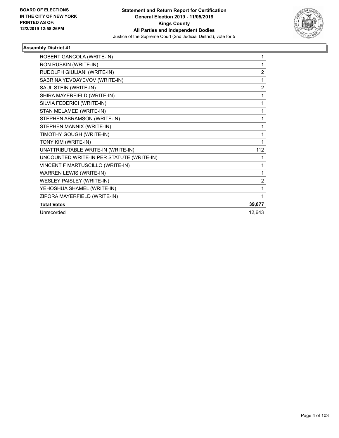

| ROBERT GANCOLA (WRITE-IN)                 |                |
|-------------------------------------------|----------------|
| RON RUSKIN (WRITE-IN)                     |                |
| RUDOLPH GIULIANI (WRITE-IN)               | $\overline{2}$ |
| SABRINA YEVDAYEVOV (WRITE-IN)             |                |
| SAUL STEIN (WRITE-IN)                     | $\overline{2}$ |
| SHIRA MAYERFIELD (WRITE-IN)               |                |
| SILVIA FEDERICI (WRITE-IN)                | 1              |
| STAN MELAMED (WRITE-IN)                   | 1              |
| STEPHEN ABRAMSON (WRITE-IN)               | 1              |
| STEPHEN MANNIX (WRITE-IN)                 | 1              |
| TIMOTHY GOUGH (WRITE-IN)                  | 1              |
| TONY KIM (WRITE-IN)                       |                |
| UNATTRIBUTABLE WRITE-IN (WRITE-IN)        | 112            |
| UNCOUNTED WRITE-IN PER STATUTE (WRITE-IN) | 1              |
| VINCENT F MARTUSCILLO (WRITE-IN)          | 1              |
| WARREN LEWIS (WRITE-IN)                   | 1              |
| WESLEY PAISLEY (WRITE-IN)                 | $\overline{2}$ |
| YEHOSHUA SHAMEL (WRITE-IN)                | 1              |
| ZIPORA MAYERFIELD (WRITE-IN)              | 1              |
| <b>Total Votes</b>                        | 39,877         |
| Unrecorded                                | 12,643         |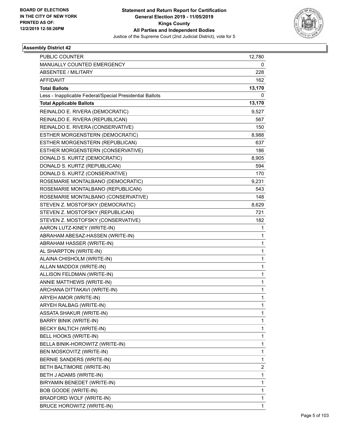

| PUBLIC COUNTER                                           | 12,780                  |
|----------------------------------------------------------|-------------------------|
| MANUALLY COUNTED EMERGENCY                               | 0                       |
| <b>ABSENTEE / MILITARY</b>                               | 228                     |
| <b>AFFIDAVIT</b>                                         | 162                     |
| <b>Total Ballots</b>                                     | 13,170                  |
| Less - Inapplicable Federal/Special Presidential Ballots | 0                       |
| <b>Total Applicable Ballots</b>                          | 13,170                  |
| REINALDO E. RIVERA (DEMOCRATIC)                          | 9,527                   |
| REINALDO E. RIVERA (REPUBLICAN)                          | 567                     |
| REINALDO E. RIVERA (CONSERVATIVE)                        | 150                     |
| ESTHER MORGENSTERN (DEMOCRATIC)                          | 8,988                   |
| ESTHER MORGENSTERN (REPUBLICAN)                          | 637                     |
| ESTHER MORGENSTERN (CONSERVATIVE)                        | 186                     |
| DONALD S. KURTZ (DEMOCRATIC)                             | 8,905                   |
| DONALD S. KURTZ (REPUBLICAN)                             | 594                     |
| DONALD S. KURTZ (CONSERVATIVE)                           | 170                     |
| ROSEMARIE MONTALBANO (DEMOCRATIC)                        | 9,231                   |
| ROSEMARIE MONTALBANO (REPUBLICAN)                        | 543                     |
| ROSEMARIE MONTALBANO (CONSERVATIVE)                      | 148                     |
| STEVEN Z. MOSTOFSKY (DEMOCRATIC)                         | 8,629                   |
| STEVEN Z. MOSTOFSKY (REPUBLICAN)                         | 721                     |
| STEVEN Z. MOSTOFSKY (CONSERVATIVE)                       | 182                     |
| AARON LUTZ-KINEY (WRITE-IN)                              | 1                       |
| ABRAHAM ABESAZ-HASSEN (WRITE-IN)                         | 1                       |
| ABRAHAM HASSER (WRITE-IN)                                | $\mathbf{1}$            |
| AL SHARPTON (WRITE-IN)                                   | $\mathbf{1}$            |
| ALAINA CHISHOLM (WRITE-IN)                               | 1                       |
| ALLAN MADDOX (WRITE-IN)                                  | $\mathbf{1}$            |
| ALLISON FELDMAN (WRITE-IN)                               | $\mathbf{1}$            |
| ANNIE MATTHEWS (WRITE-IN)                                | 1                       |
| ARCHANA DITTAKAVI (WRITE-IN)                             | $\mathbf{1}$            |
| ARYEH AMOR (WRITE-IN)                                    | $\mathbf{1}$            |
| ARYEH RALBAG (WRITE-IN)                                  | 1                       |
| ASSATA SHAKUR (WRITE-IN)                                 | $\mathbf{1}$            |
| <b>BARRY BINIK (WRITE-IN)</b>                            | $\mathbf{1}$            |
| BECKY BALTICH (WRITE-IN)                                 | 1                       |
| BELL HOOKS (WRITE-IN)                                    | $\mathbf{1}$            |
| BELLA BINIK-HOROWITZ (WRITE-IN)                          | $\mathbf{1}$            |
| BEN MOSKOVITZ (WRITE-IN)                                 | $\mathbf{1}$            |
| <b>BERNIE SANDERS (WRITE-IN)</b>                         | $\mathbf{1}$            |
| BETH BALTIMORE (WRITE-IN)                                | $\overline{\mathbf{c}}$ |
| BETH J ADAMS (WRITE-IN)                                  | $\mathbf 1$             |
| BIRYAMIN BENEDET (WRITE-IN)                              | $\mathbf{1}$            |
| BOB GOODE (WRITE-IN)                                     | $\mathbf{1}$            |
| BRADFORD WOLF (WRITE-IN)                                 | 1                       |
| BRUCE HOROWITZ (WRITE-IN)                                | $\mathbf{1}$            |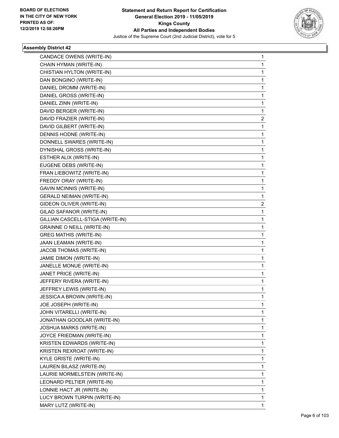

| CANDACE OWENS (WRITE-IN)          | $\mathbf{1}$ |
|-----------------------------------|--------------|
| CHAIN HYMAN (WRITE-IN)            | 1            |
| CHISTIAN HYLTON (WRITE-IN)        | 1            |
| DAN BONGINO (WRITE-IN)            | 1            |
| DANIEL DROMM (WRITE-IN)           | 1            |
| DANIEL GROSS (WRITE-IN)           | 1            |
| DANIEL ZINN (WRITE-IN)            | 1            |
| DAVID BERGER (WRITE-IN)           | 1            |
| DAVID FRAZIER (WRITE-IN)          | 2            |
| DAVID GILBERT (WRITE-IN)          | 1            |
| DENNIS HODNE (WRITE-IN)           | 1            |
| DONNELL SWARES (WRITE-IN)         | 1            |
| DYNISHAL GROSS (WRITE-IN)         | 1            |
| ESTHER ALIX (WRITE-IN)            | 1            |
| EUGENE DEBS (WRITE-IN)            | 1            |
| FRAN LIEBOWITZ (WRITE-IN)         | 1            |
| FREDDY ORAY (WRITE-IN)            | 1            |
| <b>GAVIN MCINNIS (WRITE-IN)</b>   | 1            |
| <b>GERALD NEIMAN (WRITE-IN)</b>   | 1            |
| GIDEON OLIVER (WRITE-IN)          | 2            |
| GILAD SAFANOR (WRITE-IN)          | 1            |
| GILLIAN CASCELL-STIGA (WRITE-IN)  | 1            |
| <b>GRAINNE O NEILL (WRITE-IN)</b> | 1            |
| <b>GREG MATHIS (WRITE-IN)</b>     | 1            |
| JAAN LEAMAN (WRITE-IN)            | 1            |
| JACOB THOMAS (WRITE-IN)           | 1            |
| JAMIE DIMON (WRITE-IN)            | 1            |
| JANELLE MONUE (WRITE-IN)          | 1            |
| JANET PRICE (WRITE-IN)            | 1            |
| JEFFERY RIVERA (WRITE-IN)         | 1            |
| JEFFREY LEWIS (WRITE-IN)          | 1            |
| JESSICA A BROWN (WRITE-IN)        | 1            |
| JOE JOSEPH (WRITE-IN)             | 1            |
| JOHN VITARELLI (WRITE-IN)         | 1            |
| JONATHAN GOODLAR (WRITE-IN)       | 1            |
| JOSHUA MARKS (WRITE-IN)           | 1            |
| JOYCE FRIEDMAN (WRITE-IN)         | 1            |
| KRISTEN EDWARDS (WRITE-IN)        | 1            |
| KRISTEN REXROAT (WRITE-IN)        | 1            |
| KYLE GRISTE (WRITE-IN)            | 1            |
| LAUREN BILASZ (WRITE-IN)          | 1            |
| LAURIE MORMELSTEIN (WRITE-IN)     | 1            |
| LEONARD PELTIER (WRITE-IN)        | 1            |
| LONNIE HACT JR (WRITE-IN)         | 1            |
| LUCY BROWN TURPIN (WRITE-IN)      | 1            |
| MARY LUTZ (WRITE-IN)              | 1            |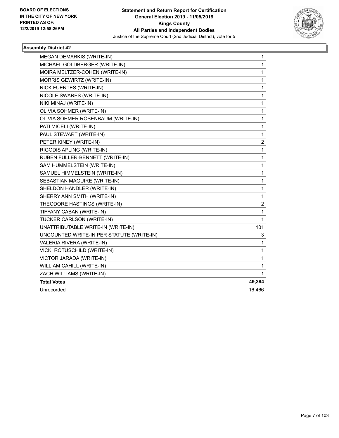

| MICHAEL GOLDBERGER (WRITE-IN)<br>1<br>$\mathbf{1}$<br>MOIRA MELTZER-COHEN (WRITE-IN)<br>MORRIS GEWIRTZ (WRITE-IN)<br>1<br>NICK FUENTES (WRITE-IN)<br>1<br>NICOLE SWARES (WRITE-IN)<br>1<br>NIKI MINAJ (WRITE-IN)<br>1<br>OLIVIA SOHMER (WRITE-IN)<br>1<br>OLIVIA SOHMER ROSENBAUM (WRITE-IN)<br>1<br>PATI MICELI (WRITE-IN)<br>1<br>PAUL STEWART (WRITE-IN)<br>1<br>$\overline{c}$<br>PETER KINEY (WRITE-IN)<br>RIGODIS APLING (WRITE-IN)<br>1<br>RUBEN FULLER-BENNETT (WRITE-IN)<br>1<br>SAM HUMMELSTEIN (WRITE-IN)<br>1<br>SAMUEL HIMMELSTEIN (WRITE-IN)<br>$\mathbf{1}$<br>SEBASTIAN MAGUIRE (WRITE-IN)<br>1<br>1<br>SHELDON HANDLER (WRITE-IN)<br>SHERRY ANN SMITH (WRITE-IN)<br>1<br>THEODORE HASTINGS (WRITE-IN)<br>$\boldsymbol{2}$<br>TIFFANY CABAN (WRITE-IN)<br>1<br>TUCKER CARLSON (WRITE-IN)<br>1<br>UNATTRIBUTABLE WRITE-IN (WRITE-IN)<br>101<br>UNCOUNTED WRITE-IN PER STATUTE (WRITE-IN)<br>3<br>VALERIA RIVERA (WRITE-IN)<br>1<br>VICKI ROTUSCHILD (WRITE-IN)<br>1<br>VICTOR JARADA (WRITE-IN)<br>1<br>WILLIAM CAHILL (WRITE-IN)<br>1<br>ZACH WILLIAMS (WRITE-IN)<br>1<br><b>Total Votes</b><br>49,384 | MEGAN DEMARKIS (WRITE-IN) | 1      |
|------------------------------------------------------------------------------------------------------------------------------------------------------------------------------------------------------------------------------------------------------------------------------------------------------------------------------------------------------------------------------------------------------------------------------------------------------------------------------------------------------------------------------------------------------------------------------------------------------------------------------------------------------------------------------------------------------------------------------------------------------------------------------------------------------------------------------------------------------------------------------------------------------------------------------------------------------------------------------------------------------------------------------------------------------------------------------------------------------------------------|---------------------------|--------|
|                                                                                                                                                                                                                                                                                                                                                                                                                                                                                                                                                                                                                                                                                                                                                                                                                                                                                                                                                                                                                                                                                                                        |                           |        |
|                                                                                                                                                                                                                                                                                                                                                                                                                                                                                                                                                                                                                                                                                                                                                                                                                                                                                                                                                                                                                                                                                                                        |                           |        |
|                                                                                                                                                                                                                                                                                                                                                                                                                                                                                                                                                                                                                                                                                                                                                                                                                                                                                                                                                                                                                                                                                                                        |                           |        |
|                                                                                                                                                                                                                                                                                                                                                                                                                                                                                                                                                                                                                                                                                                                                                                                                                                                                                                                                                                                                                                                                                                                        |                           |        |
|                                                                                                                                                                                                                                                                                                                                                                                                                                                                                                                                                                                                                                                                                                                                                                                                                                                                                                                                                                                                                                                                                                                        |                           |        |
|                                                                                                                                                                                                                                                                                                                                                                                                                                                                                                                                                                                                                                                                                                                                                                                                                                                                                                                                                                                                                                                                                                                        |                           |        |
|                                                                                                                                                                                                                                                                                                                                                                                                                                                                                                                                                                                                                                                                                                                                                                                                                                                                                                                                                                                                                                                                                                                        |                           |        |
|                                                                                                                                                                                                                                                                                                                                                                                                                                                                                                                                                                                                                                                                                                                                                                                                                                                                                                                                                                                                                                                                                                                        |                           |        |
|                                                                                                                                                                                                                                                                                                                                                                                                                                                                                                                                                                                                                                                                                                                                                                                                                                                                                                                                                                                                                                                                                                                        |                           |        |
|                                                                                                                                                                                                                                                                                                                                                                                                                                                                                                                                                                                                                                                                                                                                                                                                                                                                                                                                                                                                                                                                                                                        |                           |        |
|                                                                                                                                                                                                                                                                                                                                                                                                                                                                                                                                                                                                                                                                                                                                                                                                                                                                                                                                                                                                                                                                                                                        |                           |        |
|                                                                                                                                                                                                                                                                                                                                                                                                                                                                                                                                                                                                                                                                                                                                                                                                                                                                                                                                                                                                                                                                                                                        |                           |        |
|                                                                                                                                                                                                                                                                                                                                                                                                                                                                                                                                                                                                                                                                                                                                                                                                                                                                                                                                                                                                                                                                                                                        |                           |        |
|                                                                                                                                                                                                                                                                                                                                                                                                                                                                                                                                                                                                                                                                                                                                                                                                                                                                                                                                                                                                                                                                                                                        |                           |        |
|                                                                                                                                                                                                                                                                                                                                                                                                                                                                                                                                                                                                                                                                                                                                                                                                                                                                                                                                                                                                                                                                                                                        |                           |        |
|                                                                                                                                                                                                                                                                                                                                                                                                                                                                                                                                                                                                                                                                                                                                                                                                                                                                                                                                                                                                                                                                                                                        |                           |        |
|                                                                                                                                                                                                                                                                                                                                                                                                                                                                                                                                                                                                                                                                                                                                                                                                                                                                                                                                                                                                                                                                                                                        |                           |        |
|                                                                                                                                                                                                                                                                                                                                                                                                                                                                                                                                                                                                                                                                                                                                                                                                                                                                                                                                                                                                                                                                                                                        |                           |        |
|                                                                                                                                                                                                                                                                                                                                                                                                                                                                                                                                                                                                                                                                                                                                                                                                                                                                                                                                                                                                                                                                                                                        |                           |        |
|                                                                                                                                                                                                                                                                                                                                                                                                                                                                                                                                                                                                                                                                                                                                                                                                                                                                                                                                                                                                                                                                                                                        |                           |        |
|                                                                                                                                                                                                                                                                                                                                                                                                                                                                                                                                                                                                                                                                                                                                                                                                                                                                                                                                                                                                                                                                                                                        |                           |        |
|                                                                                                                                                                                                                                                                                                                                                                                                                                                                                                                                                                                                                                                                                                                                                                                                                                                                                                                                                                                                                                                                                                                        |                           |        |
|                                                                                                                                                                                                                                                                                                                                                                                                                                                                                                                                                                                                                                                                                                                                                                                                                                                                                                                                                                                                                                                                                                                        |                           |        |
|                                                                                                                                                                                                                                                                                                                                                                                                                                                                                                                                                                                                                                                                                                                                                                                                                                                                                                                                                                                                                                                                                                                        |                           |        |
|                                                                                                                                                                                                                                                                                                                                                                                                                                                                                                                                                                                                                                                                                                                                                                                                                                                                                                                                                                                                                                                                                                                        |                           |        |
|                                                                                                                                                                                                                                                                                                                                                                                                                                                                                                                                                                                                                                                                                                                                                                                                                                                                                                                                                                                                                                                                                                                        |                           |        |
|                                                                                                                                                                                                                                                                                                                                                                                                                                                                                                                                                                                                                                                                                                                                                                                                                                                                                                                                                                                                                                                                                                                        |                           |        |
|                                                                                                                                                                                                                                                                                                                                                                                                                                                                                                                                                                                                                                                                                                                                                                                                                                                                                                                                                                                                                                                                                                                        |                           |        |
|                                                                                                                                                                                                                                                                                                                                                                                                                                                                                                                                                                                                                                                                                                                                                                                                                                                                                                                                                                                                                                                                                                                        |                           |        |
|                                                                                                                                                                                                                                                                                                                                                                                                                                                                                                                                                                                                                                                                                                                                                                                                                                                                                                                                                                                                                                                                                                                        | Unrecorded                | 16,466 |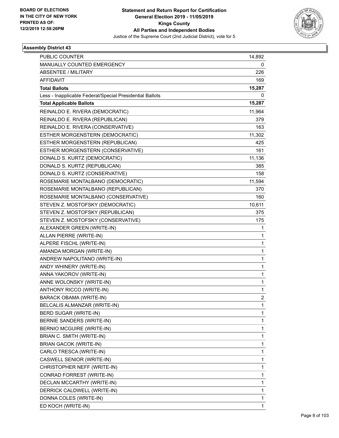

| <b>PUBLIC COUNTER</b>                                    | 14,892         |
|----------------------------------------------------------|----------------|
| MANUALLY COUNTED EMERGENCY                               | 0              |
| <b>ABSENTEE / MILITARY</b>                               | 226            |
| <b>AFFIDAVIT</b>                                         | 169            |
| <b>Total Ballots</b>                                     | 15,287         |
| Less - Inapplicable Federal/Special Presidential Ballots | 0              |
| <b>Total Applicable Ballots</b>                          | 15,287         |
| REINALDO E. RIVERA (DEMOCRATIC)                          | 11,964         |
| REINALDO E. RIVERA (REPUBLICAN)                          | 379            |
| REINALDO E. RIVERA (CONSERVATIVE)                        | 163            |
| ESTHER MORGENSTERN (DEMOCRATIC)                          | 11,302         |
| ESTHER MORGENSTERN (REPUBLICAN)                          | 425            |
| ESTHER MORGENSTERN (CONSERVATIVE)                        | 161            |
| DONALD S. KURTZ (DEMOCRATIC)                             | 11,136         |
| DONALD S. KURTZ (REPUBLICAN)                             | 385            |
| DONALD S. KURTZ (CONSERVATIVE)                           | 158            |
| ROSEMARIE MONTALBANO (DEMOCRATIC)                        | 11,594         |
| ROSEMARIE MONTALBANO (REPUBLICAN)                        | 370            |
| ROSEMARIE MONTALBANO (CONSERVATIVE)                      | 160            |
| STEVEN Z. MOSTOFSKY (DEMOCRATIC)                         | 10,611         |
| STEVEN Z. MOSTOFSKY (REPUBLICAN)                         | 375            |
| STEVEN Z. MOSTOFSKY (CONSERVATIVE)                       | 175            |
| ALEXANDER GREEN (WRITE-IN)                               | 1              |
| ALLAN PIERRE (WRITE-IN)                                  | 1              |
| ALPERE FISCHL (WRITE-IN)                                 | 1              |
| AMANDA MORGAN (WRITE-IN)                                 | 1              |
| ANDREW NAPOLITANO (WRITE-IN)                             | 1              |
| ANDY WHINERY (WRITE-IN)                                  | 1              |
| ANNA YAKOROV (WRITE-IN)                                  | 1              |
| ANNE WOLONSKY (WRITE-IN)                                 | 1              |
| ANTHONY RICCO (WRITE-IN)                                 | 1              |
| <b>BARACK OBAMA (WRITE-IN)</b>                           | $\overline{2}$ |
| BELCALIS ALMANZAR (WRITE-IN)                             | 1              |
| BERD SUGAR (WRITE-IN)                                    | 1              |
| BERNIE SANDERS (WRITE-IN)                                | 1              |
| <b>BERNIO MCGUIRE (WRITE-IN)</b>                         | 1              |
| BRIAN C. SMITH (WRITE-IN)                                | 1              |
| <b>BRIAN GACOK (WRITE-IN)</b>                            | 1              |
| CARLO TRESCA (WRITE-IN)                                  | 1              |
| CASWELL SENIOR (WRITE-IN)                                | 1              |
| CHRISTOPHER NEFF (WRITE-IN)                              | 1              |
| CONRAD FORREST (WRITE-IN)                                | 1              |
| DECLAN MCCARTHY (WRITE-IN)                               | 1              |
| DERRICK CALDWELL (WRITE-IN)                              | 1              |
| DONNA COLES (WRITE-IN)                                   | 1              |
| ED KOCH (WRITE-IN)                                       | 1              |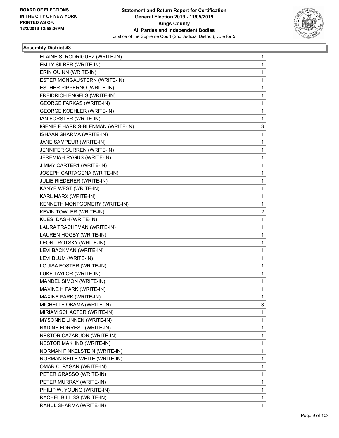

| ELAINE S. RODRIGUEZ (WRITE-IN)     | 1 |
|------------------------------------|---|
| EMILY SILBER (WRITE-IN)            | 1 |
| ERIN QUINN (WRITE-IN)              | 1 |
| ESTER MONGAUSTERN (WRITE-IN)       | 1 |
| ESTHER PIPPERNO (WRITE-IN)         | 1 |
| FREIDRICH ENGELS (WRITE-IN)        | 1 |
| <b>GEORGE FARKAS (WRITE-IN)</b>    | 1 |
| <b>GEORGE KOEHLER (WRITE-IN)</b>   | 1 |
| IAN FORSTER (WRITE-IN)             | 1 |
| IGENIE F HARRIS-BLENMAN (WRITE-IN) | 3 |
| ISHAAN SHARMA (WRITE-IN)           | 1 |
| JANE SAMPEUR (WRITE-IN)            | 1 |
| JENNIFER CURREN (WRITE-IN)         | 1 |
| JEREMIAH RYGUS (WRITE-IN)          | 1 |
| JIMMY CARTER1 (WRITE-IN)           | 1 |
| JOSEPH CARTAGENA (WRITE-IN)        | 1 |
| JULIE RIEDERER (WRITE-IN)          | 1 |
| KANYE WEST (WRITE-IN)              | 1 |
| KARL MARX (WRITE-IN)               | 1 |
| KENNETH MONTGOMERY (WRITE-IN)      | 1 |
| KEVIN TOWLER (WRITE-IN)            | 2 |
| KUESI DASH (WRITE-IN)              | 1 |
| LAURA TRACHTMAN (WRITE-IN)         | 1 |
| LAUREN HOGBY (WRITE-IN)            | 1 |
| LEON TROTSKY (WRITE-IN)            | 1 |
| LEVI BACKMAN (WRITE-IN)            | 1 |
| LEVI BLUM (WRITE-IN)               | 1 |
| LOUISA FOSTER (WRITE-IN)           | 1 |
| LUKE TAYLOR (WRITE-IN)             | 1 |
| MANDEL SIMON (WRITE-IN)            | 1 |
| MAXINE H PARK (WRITE-IN)           | 1 |
| MAXINE PARK (WRITE-IN)             | 1 |
| MICHELLE OBAMA (WRITE-IN)          | 3 |
| MIRIAM SCHACTER (WRITE-IN)         | 1 |
| MYSONNE LINNEN (WRITE-IN)          | 1 |
| NADINE FORREST (WRITE-IN)          | 1 |
| NESTOR CAZABUON (WRITE-IN)         | 1 |
| <b>NESTOR MAKHND (WRITE-IN)</b>    | 1 |
| NORMAN FINKELSTEIN (WRITE-IN)      | 1 |
| NORMAN KEITH WHITE (WRITE-IN)      | 1 |
| OMAR C. PAGAN (WRITE-IN)           | 1 |
| PETER GRASSO (WRITE-IN)            | 1 |
| PETER MURRAY (WRITE-IN)            | 1 |
| PHILIP W. YOUNG (WRITE-IN)         | 1 |
| RACHEL BILLISS (WRITE-IN)          | 1 |
| RAHUL SHARMA (WRITE-IN)            | 1 |
|                                    |   |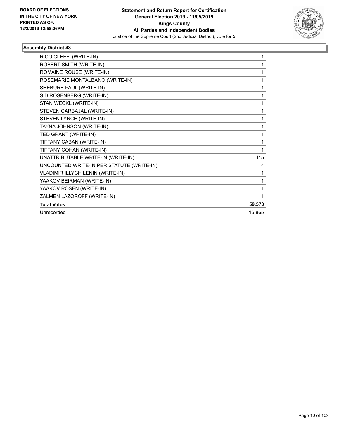

| RICO CLEFFI (WRITE-IN)                    |        |
|-------------------------------------------|--------|
| ROBERT SMITH (WRITE-IN)                   |        |
| ROMAINE ROUSE (WRITE-IN)                  |        |
| ROSEMARIE MONTALBANO (WRITE-IN)           |        |
| SHEBURE PAUL (WRITE-IN)                   |        |
| SID ROSENBERG (WRITE-IN)                  |        |
| STAN WECKL (WRITE-IN)                     |        |
| STEVEN CARBAJAL (WRITE-IN)                | 1      |
| STEVEN LYNCH (WRITE-IN)                   | 1      |
| TAYNA JOHNSON (WRITE-IN)                  | 1      |
| TED GRANT (WRITE-IN)                      | 1      |
| TIFFANY CABAN (WRITE-IN)                  | 1      |
| TIFFANY COHAN (WRITE-IN)                  | 1      |
| UNATTRIBUTABLE WRITE-IN (WRITE-IN)        | 115    |
| UNCOUNTED WRITE-IN PER STATUTE (WRITE-IN) | 4      |
| VLADIMIR ILLYCH LENIN (WRITE-IN)          | 1      |
| YAAKOV BEIRMAN (WRITE-IN)                 | 1      |
| YAAKOV ROSEN (WRITE-IN)                   | 1      |
| ZALMEN LAZOROFF (WRITE-IN)                |        |
| <b>Total Votes</b>                        | 59,570 |
| Unrecorded                                | 16,865 |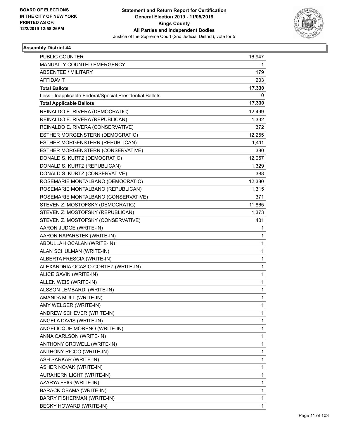

| PUBLIC COUNTER                                           | 16,947       |
|----------------------------------------------------------|--------------|
| MANUALLY COUNTED EMERGENCY                               | 1            |
| <b>ABSENTEE / MILITARY</b>                               | 179          |
| <b>AFFIDAVIT</b>                                         | 203          |
| <b>Total Ballots</b>                                     | 17,330       |
| Less - Inapplicable Federal/Special Presidential Ballots | 0            |
| <b>Total Applicable Ballots</b>                          | 17,330       |
| REINALDO E. RIVERA (DEMOCRATIC)                          | 12,499       |
| REINALDO E. RIVERA (REPUBLICAN)                          | 1,332        |
| REINALDO E. RIVERA (CONSERVATIVE)                        | 372          |
| ESTHER MORGENSTERN (DEMOCRATIC)                          | 12,255       |
| ESTHER MORGENSTERN (REPUBLICAN)                          | 1,411        |
| ESTHER MORGENSTERN (CONSERVATIVE)                        | 380          |
| DONALD S. KURTZ (DEMOCRATIC)                             | 12,057       |
| DONALD S. KURTZ (REPUBLICAN)                             | 1,329        |
| DONALD S. KURTZ (CONSERVATIVE)                           | 388          |
| ROSEMARIE MONTALBANO (DEMOCRATIC)                        | 12,380       |
| ROSEMARIE MONTALBANO (REPUBLICAN)                        | 1,315        |
| ROSEMARIE MONTALBANO (CONSERVATIVE)                      | 371          |
| STEVEN Z. MOSTOFSKY (DEMOCRATIC)                         | 11,865       |
| STEVEN Z. MOSTOFSKY (REPUBLICAN)                         | 1,373        |
| STEVEN Z. MOSTOFSKY (CONSERVATIVE)                       | 401          |
| AARON JUDGE (WRITE-IN)                                   | 1            |
| AARON NAPARSTEK (WRITE-IN)                               | 1            |
| ABDULLAH OCALAN (WRITE-IN)                               | 1            |
| ALAN SCHULMAN (WRITE-IN)                                 | $\mathbf{1}$ |
| ALBERTA FRESCIA (WRITE-IN)                               | 1            |
| ALEXANDRIA OCASIO-CORTEZ (WRITE-IN)                      | 1            |
| ALICE GAVIN (WRITE-IN)                                   | $\mathbf{1}$ |
| ALLEN WEIS (WRITE-IN)                                    | 1            |
| ALSSON LEMBARDI (WRITE-IN)                               | $\mathbf{1}$ |
| AMANDA MULL (WRITE-IN)                                   | 1            |
| AMY WELGER (WRITE-IN)                                    | 1            |
| ANDREW SCHEVER (WRITE-IN)                                | 1            |
| ANGELA DAVIS (WRITE-IN)                                  | 1            |
| ANGELICQUE MORENO (WRITE-IN)                             | 1            |
| ANNA CARLSON (WRITE-IN)                                  | 1            |
| ANTHONY CROWELL (WRITE-IN)                               | 1            |
| ANTHONY RICCO (WRITE-IN)                                 | 1            |
| ASH SARKAR (WRITE-IN)                                    | 1            |
| ASHER NOVAK (WRITE-IN)                                   | 1            |
| AURAHERN LICHT (WRITE-IN)                                | 1            |
| AZARYA FEIG (WRITE-IN)                                   | 1            |
| BARACK OBAMA (WRITE-IN)                                  | 1            |
| BARRY FISHERMAN (WRITE-IN)                               | 1            |
| BECKY HOWARD (WRITE-IN)                                  | 1            |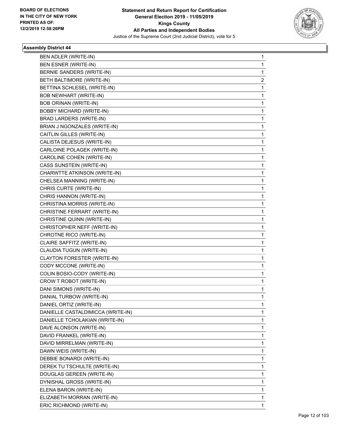

| BEN ADLER (WRITE-IN)              | 1 |
|-----------------------------------|---|
| <b>BEN ESNER (WRITE-IN)</b>       | 1 |
| BERNIE SANDERS (WRITE-IN)         | 1 |
| BETH BALTIMORE (WRITE-IN)         | 2 |
| BETTINA SCHLESEL (WRITE-IN)       | 1 |
| <b>BOB NEWHART (WRITE-IN)</b>     | 1 |
| <b>BOB ORINAN (WRITE-IN)</b>      | 1 |
| <b>BOBBY MICHARD (WRITE-IN)</b>   | 1 |
| BRAD LARDERS (WRITE-IN)           | 1 |
| BRIAN J NGONZALES (WRITE-IN)      | 1 |
| CAITLIN GILLES (WRITE-IN)         | 1 |
| CALISTA DEJESUS (WRITE-IN)        | 1 |
| CARLOINE POLAGEK (WRITE-IN)       | 1 |
| CAROLINE COHEN (WRITE-IN)         | 1 |
| CASS SUNSTEIN (WRITE-IN)          | 1 |
| CHARWTTE ATKINSON (WRITE-IN)      | 1 |
| CHELSEA MANNING (WRITE-IN)        | 1 |
| CHRIS CURTE (WRITE-IN)            | 1 |
| CHRIS HANNON (WRITE-IN)           | 1 |
| CHRISTINA MORRIS (WRITE-IN)       | 1 |
| CHRISTINE FERRART (WRITE-IN)      | 1 |
| CHRISTINE QUINN (WRITE-IN)        | 1 |
| CHRISTOPHER NEFF (WRITE-IN)       | 1 |
| CHROTNE RICO (WRITE-IN)           | 1 |
| CLAIRE SAFFITZ (WRITE-IN)         | 1 |
| CLAUDIA TUGUN (WRITE-IN)          | 1 |
| CLAYTON FORESTER (WRITE-IN)       | 1 |
| CODY MCCONE (WRITE-IN)            | 1 |
| COLIN BOSIO-CODY (WRITE-IN)       | 1 |
| CROW T ROBOT (WRITE-IN)           | 1 |
| DANI SIMONS (WRITE-IN)            | 1 |
| DANIAL TURBOW (WRITE-IN)          | 1 |
| DANIEL ORTIZ (WRITE-IN)           | 1 |
| DANIELLE CASTALDIMICCA (WRITE-IN) | 1 |
| DANIELLE TCHOLAKIAN (WRITE-IN)    | 1 |
| DAVE ALONSON (WRITE-IN)           | 1 |
| DAVID FRANKEL (WRITE-IN)          | 1 |
| DAVID MIRRELMAN (WRITE-IN)        | 1 |
| DAWN WEIS (WRITE-IN)              | 1 |
| DEBBIE BONARDI (WRITE-IN)         | 1 |
| DEREK TU TSCHULTE (WRITE-IN)      | 1 |
| DOUGLAS GEREEN (WRITE-IN)         | 1 |
| DYNISHAL GROSS (WRITE-IN)         | 1 |
| ELENA BARON (WRITE-IN)            | 1 |
| ELIZABETH MORRAN (WRITE-IN)       | 1 |
| ERIC RICHMOND (WRITE-IN)          | 1 |
|                                   |   |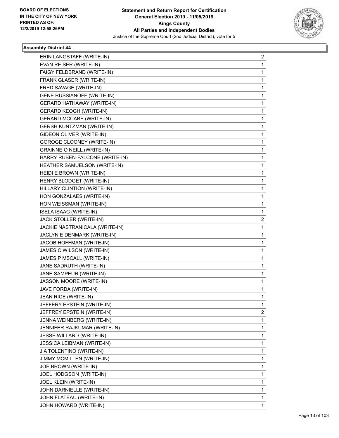

| ERIN LANGSTAFF (WRITE-IN)         | 2            |
|-----------------------------------|--------------|
| EVAN REISER (WRITE-IN)            | 1            |
| FAIGY FELDBRAND (WRITE-IN)        | 1            |
| FRANK GLASER (WRITE-IN)           | 1            |
| FRED SAVAGE (WRITE-IN)            | 1            |
| <b>GENE RUSSIANOFF (WRITE-IN)</b> | 1            |
| GERARD HATHAWAY (WRITE-IN)        | 1            |
| <b>GERARD KEOGH (WRITE-IN)</b>    | 1            |
| <b>GERARD MCCABE (WRITE-IN)</b>   | 1            |
| <b>GERSH KUNTZMAN (WRITE-IN)</b>  | 1            |
| GIDEON OLIVER (WRITE-IN)          | 1            |
| <b>GOROGE CLOONEY (WRITE-IN)</b>  | 1            |
| <b>GRAINNE O NEILL (WRITE-IN)</b> | 1            |
| HARRY RUBEN-FALCONE (WRITE-IN)    | 1            |
| HEATHER SAMUELSON (WRITE-IN)      | 1            |
| HEIDI E BROWN (WRITE-IN)          | 1            |
| HENRY BLODGET (WRITE-IN)          | 1            |
| HILLARY CLINTION (WRITE-IN)       | 1            |
| HON GONZALAES (WRITE-IN)          | 1            |
| HON WEISSMAN (WRITE-IN)           | 1            |
| <b>ISELA ISAAC (WRITE-IN)</b>     | 1            |
| JACK STOLLER (WRITE-IN)           | 2            |
| JACKIE NASTRANICALA (WRITE-IN)    | 1            |
| JACLYN E DENMARK (WRITE-IN)       | 1            |
| JACOB HOFFMAN (WRITE-IN)          | 1            |
| JAMES C WILSON (WRITE-IN)         | 1            |
| JAMES P MSCALL (WRITE-IN)         | 1            |
| JANE SADRUTH (WRITE-IN)           | 1            |
| JANE SAMPEUR (WRITE-IN)           | 1            |
| JASSON MOORE (WRITE-IN)           | 1            |
| JAVE FORDA (WRITE-IN)             | 1            |
| JEAN RICE (WRITE-IN)              | 1            |
| JEFFERY EPSTEIN (WRITE-IN)        | 1            |
| JEFFREY EPSTEIN (WRITE-IN)        | 2            |
| JENNA WEINBERG (WRITE-IN)         | 1            |
| JENNIFER RAJKUMAR (WRITE-IN)      | $\mathbf{1}$ |
| JESSE WILLARD (WRITE-IN)          | 1            |
| <b>JESSICA LEIBMAN (WRITE-IN)</b> | 1            |
| JIA TOLENTINO (WRITE-IN)          | 1            |
| JIMMY MCMILLEN (WRITE-IN)         | 1            |
| JOE BROWN (WRITE-IN)              | 1            |
| JOEL HODGSON (WRITE-IN)           | 1            |
| JOEL KLEIN (WRITE-IN)             | 1            |
| JOHN DARNIELLE (WRITE-IN)         | 1            |
| JOHN FLATEAU (WRITE-IN)           | 1            |
| JOHN HOWARD (WRITE-IN)            | 1            |
|                                   |              |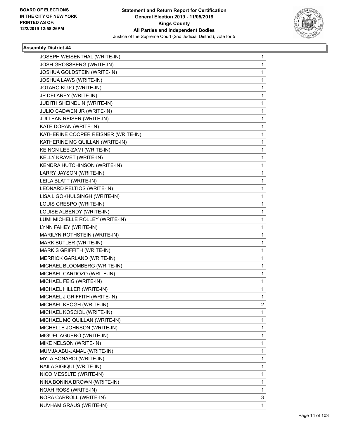

| <b>JOSEPH WEISENTHAL (WRITE-IN)</b> | 1 |
|-------------------------------------|---|
| JOSH GROSSBERG (WRITE-IN)           | 1 |
| JOSHUA GOLDSTEIN (WRITE-IN)         | 1 |
| JOSHUA LAWS (WRITE-IN)              | 1 |
| JOTARO KUJO (WRITE-IN)              | 1 |
| JP DELAREY (WRITE-IN)               | 1 |
| JUDITH SHEINDLIN (WRITE-IN)         | 1 |
| JULIO CADWEN JR (WRITE-IN)          | 1 |
| JULLEAN REISER (WRITE-IN)           | 1 |
| KATE DORAN (WRITE-IN)               | 1 |
| KATHERINE COOPER REISNER (WRITE-IN) | 1 |
| KATHERINE MC QUILLAN (WRITE-IN)     | 1 |
| KEINGN LEE-ZAMI (WRITE-IN)          | 1 |
| KELLY KRAVET (WRITE-IN)             | 1 |
| KENDRA HUTCHINSON (WRITE-IN)        | 1 |
| LARRY JAYSON (WRITE-IN)             | 1 |
| LEILA BLATT (WRITE-IN)              | 1 |
| LEONARD PELTIOS (WRITE-IN)          | 1 |
| LISA L GOKHULSINGH (WRITE-IN)       | 1 |
| LOUIS CRESPO (WRITE-IN)             | 1 |
| LOUISE ALBENDY (WRITE-IN)           | 1 |
| LUMI MICHELLE ROLLEY (WRITE-IN)     | 1 |
| LYNN FAHEY (WRITE-IN)               | 1 |
| MARILYN ROTHSTEIN (WRITE-IN)        | 1 |
| MARK BUTLER (WRITE-IN)              | 1 |
| MARK S GRIFFITH (WRITE-IN)          | 1 |
| MERRICK GARLAND (WRITE-IN)          | 1 |
| MICHAEL BLOOMBERG (WRITE-IN)        | 1 |
| MICHAEL CARDOZO (WRITE-IN)          | 1 |
| MICHAEL FEIG (WRITE-IN)             | 1 |
| MICHAEL HILLER (WRITE-IN)           | 1 |
| MICHAEL J GRIFFITH (WRITE-IN)       | 1 |
| MICHAEL KEOGH (WRITE-IN)            | 2 |
| MICHAEL KOSCIOL (WRITE-IN)          | 1 |
| MICHAEL MC QUILLAN (WRITE-IN)       | 1 |
| MICHELLE JOHNSON (WRITE-IN)         | 1 |
| MIGUEL AGUERO (WRITE-IN)            | 1 |
| MIKE NELSON (WRITE-IN)              | 1 |
| MUMJA ABU-JAMAL (WRITE-IN)          | 1 |
| MYLA BONARDI (WRITE-IN)             | 1 |
| NAILA SIGIQUI (WRITE-IN)            | 1 |
| NICO MESSLTE (WRITE-IN)             | 1 |
| NINA BONINA BROWN (WRITE-IN)        | 1 |
| <b>NOAH ROSS (WRITE-IN)</b>         | 1 |
| NORA CARROLL (WRITE-IN)             | 3 |
| NUVHAM GRAUS (WRITE-IN)             | 1 |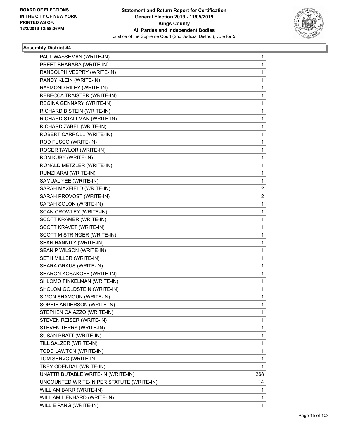

| PAUL WASSEMAN (WRITE-IN)                  | 1            |
|-------------------------------------------|--------------|
| PREET BHARARA (WRITE-IN)                  | $\mathbf{1}$ |
| RANDOLPH VESPRY (WRITE-IN)                | $\mathbf 1$  |
| RANDY KLEIN (WRITE-IN)                    | 1            |
| RAYMOND RILEY (WRITE-IN)                  | 1            |
| REBECCA TRAISTER (WRITE-IN)               | 1            |
| REGINA GENNARY (WRITE-IN)                 | 1            |
| RICHARD B STEIN (WRITE-IN)                | $\mathbf 1$  |
| RICHARD STALLMAN (WRITE-IN)               | $\mathbf 1$  |
| RICHARD ZABEL (WRITE-IN)                  | 1            |
| ROBERT CARROLL (WRITE-IN)                 | 1            |
| ROD FUSCO (WRITE-IN)                      | 1            |
| ROGER TAYLOR (WRITE-IN)                   | 1            |
| RON KUBY (WRITE-IN)                       | 1            |
| RONALD METZLER (WRITE-IN)                 | $\mathbf 1$  |
| RUMZI ARAI (WRITE-IN)                     | 1            |
| SAMUAL YEE (WRITE-IN)                     | 1            |
| SARAH MAXFIELD (WRITE-IN)                 | 2            |
| SARAH PROVOST (WRITE-IN)                  | 2            |
| SARAH SOLON (WRITE-IN)                    | $\mathbf{1}$ |
| SCAN CROWLEY (WRITE-IN)                   | $\mathbf 1$  |
| SCOTT KRAMER (WRITE-IN)                   | 1            |
| SCOTT KRAVET (WRITE-IN)                   | 1            |
| SCOTT M STRINGER (WRITE-IN)               | 1            |
| SEAN HANNITY (WRITE-IN)                   | 1            |
| SEAN P WILSON (WRITE-IN)                  | 1            |
| SETH MILLER (WRITE-IN)                    | $\mathbf 1$  |
| SHARA GRAUS (WRITE-IN)                    | 1            |
| SHARON KOSAKOFF (WRITE-IN)                | 1            |
| SHLOMO FINKELMAN (WRITE-IN)               | 1            |
| SHOLOM GOLDSTEIN (WRITE-IN)               | 1            |
| SIMON SHAMOUN (WRITE-IN)                  | $\mathbf{1}$ |
| SOPHIE ANDERSON (WRITE-IN)                | 1            |
| STEPHEN CAIAZZO (WRITE-IN)                | 1            |
| STEVEN REISER (WRITE-IN)                  | 1            |
| STEVEN TERRY (WRITE-IN)                   | 1            |
| SUSAN PRATT (WRITE-IN)                    | 1            |
| TILL SALZER (WRITE-IN)                    | 1            |
| TODD LAWTON (WRITE-IN)                    | 1            |
| TOM SERVO (WRITE-IN)                      | 1            |
| TREY ODENDAL (WRITE-IN)                   | 1            |
| UNATTRIBUTABLE WRITE-IN (WRITE-IN)        | 268          |
| UNCOUNTED WRITE-IN PER STATUTE (WRITE-IN) | 14           |
| WILLIAM BARR (WRITE-IN)                   | 1            |
| WILLIAM LIENHARD (WRITE-IN)               | 1            |
| WILLIE PANG (WRITE-IN)                    | 1            |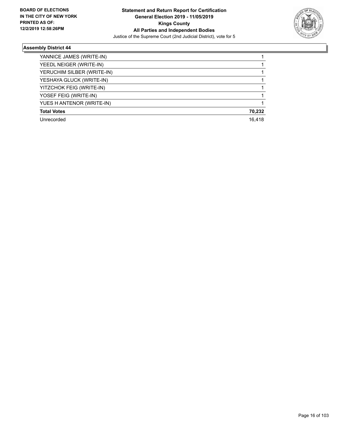

٠

| YANNICE JAMES (WRITE-IN)   |        |
|----------------------------|--------|
| YEEDL NEIGER (WRITE-IN)    |        |
| YERUCHIM SILBER (WRITE-IN) |        |
| YESHAYA GLUCK (WRITE-IN)   |        |
| YITZCHOK FEIG (WRITE-IN)   |        |
| YOSEF FEIG (WRITE-IN)      |        |
| YUES H ANTENOR (WRITE-IN)  |        |
| <b>Total Votes</b>         | 70,232 |
| Unrecorded                 | 16.418 |
|                            |        |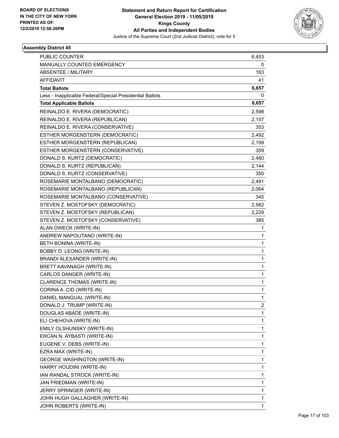

| PUBLIC COUNTER                                           | 6,453        |
|----------------------------------------------------------|--------------|
| MANUALLY COUNTED EMERGENCY                               | 0            |
| <b>ABSENTEE / MILITARY</b>                               | 163          |
| <b>AFFIDAVIT</b>                                         | 41           |
| <b>Total Ballots</b>                                     | 6,657        |
| Less - Inapplicable Federal/Special Presidential Ballots | 0            |
| <b>Total Applicable Ballots</b>                          | 6,657        |
| REINALDO E. RIVERA (DEMOCRATIC)                          | 2,598        |
| REINALDO E. RIVERA (REPUBLICAN)                          | 2,157        |
| REINALDO E. RIVERA (CONSERVATIVE)                        | 353          |
| ESTHER MORGENSTERN (DEMOCRATIC)                          | 2,492        |
| ESTHER MORGENSTERN (REPUBLICAN)                          | 2,199        |
| ESTHER MORGENSTERN (CONSERVATIVE)                        | 359          |
| DONALD S. KURTZ (DEMOCRATIC)                             | 2,480        |
| DONALD S. KURTZ (REPUBLICAN)                             | 2,144        |
| DONALD S. KURTZ (CONSERVATIVE)                           | 350          |
| ROSEMARIE MONTALBANO (DEMOCRATIC)                        | 2,491        |
| ROSEMARIE MONTALBANO (REPUBLICAN)                        | 2,064        |
| ROSEMARIE MONTALBANO (CONSERVATIVE)                      | 345          |
| STEVEN Z. MOSTOFSKY (DEMOCRATIC)                         | 2,562        |
| STEVEN Z. MOSTOFSKY (REPUBLICAN)                         | 2,229        |
| STEVEN Z. MOSTOFSKY (CONSERVATIVE)                       | 385          |
| ALAN DWECK (WRITE-IN)                                    | 1            |
| ANDREW NAPOLITANO (WRITE-IN)                             | 1            |
| BETH BONINA (WRITE-IN)                                   | 1            |
| BOBBY D. LEONG (WRITE-IN)                                | $\mathbf{1}$ |
| BRANDI ALEXANDER (WRITE-IN)                              | $\mathbf{1}$ |
| BRETT KAVANAGH (WRITE-IN)                                | 1            |
| CARLOS DANGER (WRITE-IN)                                 | $\mathbf{1}$ |
| CLARENCE THOMAS (WRITE-IN)                               | $\mathbf{1}$ |
| CORINA A. CID (WRITE-IN)                                 | 1            |
| DANIEL MANGUAL (WRITE-IN)                                | $\mathbf{1}$ |
| DONALD J. TRUMP (WRITE-IN)                               | 2            |
| DOUGLAS ABADE (WRITE-IN)                                 | 1            |
| ELI CHEHOVA (WRITE-IN)                                   | $\mathbf{1}$ |
| EMILY OLSHUNSKY (WRITE-IN)                               | 1            |
| ERCAN N. AYBASTI (WRITE-IN)                              | 1            |
| EUGENE V. DEBS (WRITE-IN)                                | 1            |
| EZRA MAX (WRITE-IN)                                      | 1            |
| <b>GEORGE WASHINGTON (WRITE-IN)</b>                      | 1            |
| HARRY HOUDINI (WRITE-IN)                                 | $\mathbf{1}$ |
| IAN RANDAL STROCK (WRITE-IN)                             | 1            |
| JAN FRIEDMAN (WRITE-IN)                                  | 1            |
| JERRY SPRINGER (WRITE-IN)                                | 1            |
| JOHN HUGH GALLAGHER (WRITE-IN)                           | 1            |
| JOHN ROBERTS (WRITE-IN)                                  | 1            |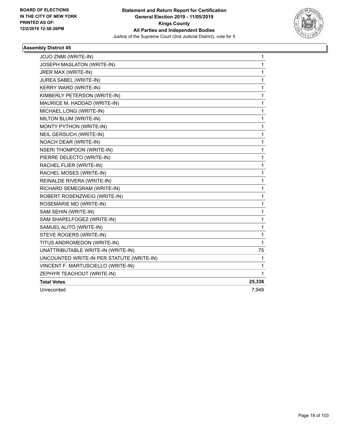

| JOJO ZNMI (WRITE-IN)                      | 1            |
|-------------------------------------------|--------------|
| JOSEPH MASLATON (WRITE-IN)                | $\mathbf 1$  |
| JRER MAX (WRITE-IN)                       | 1            |
| JUREA SABEL (WRITE-IN)                    | $\mathbf{1}$ |
| KERRY WARD (WRITE-IN)                     | 1            |
| KIMBERLY PETERSON (WRITE-IN)              | $\mathbf{1}$ |
| MAURICE M. HADDAD (WRITE-IN)              | 1            |
| MICHAEL LONG (WRITE-IN)                   | 1            |
| MILTON BLUM (WRITE-IN)                    | 1            |
| MONTY PYTHON (WRITE-IN)                   | 1            |
| NEIL GERSUCH (WRITE-IN)                   | 1            |
| NOACH DEAR (WRITE-IN)                     | $\mathbf 1$  |
| <b>NSERI THOMPOON (WRITE-IN)</b>          | $\mathbf 1$  |
| PIERRE DELECTO (WRITE-IN)                 | $\mathbf{1}$ |
| RACHEL FLIER (WRITE-IN)                   | 1            |
| RACHEL MOSES (WRITE-IN)                   | 1            |
| REINALDE RIVERA (WRITE-IN)                | $\mathbf 1$  |
| RICHARD SEMEGRAM (WRITE-IN)               | 1            |
| ROBERT ROSENZWEIG (WRITE-IN)              | 1            |
| ROSEMARIE MO (WRITE-IN)                   | 1            |
| SAM SEHIN (WRITE-IN)                      | 1            |
| SAM SHAPELFOGEZ (WRITE-IN)                | $\mathbf 1$  |
| SAMUEL ALITO (WRITE-IN)                   | $\mathbf 1$  |
| STEVE ROGERS (WRITE-IN)                   | $\mathbf 1$  |
| TITUS ANDROMEDON (WRITE-IN)               | 1            |
| UNATTRIBUTABLE WRITE-IN (WRITE-IN)        | 75           |
| UNCOUNTED WRITE-IN PER STATUTE (WRITE-IN) | $\mathbf{1}$ |
| VINCENT F. MARTUSCIELLO (WRITE-IN)        | 1            |
| ZEPHYR TEACHOUT (WRITE-IN)                | 1            |
| <b>Total Votes</b>                        | 25,336       |
| Unrecorded                                | 7,949        |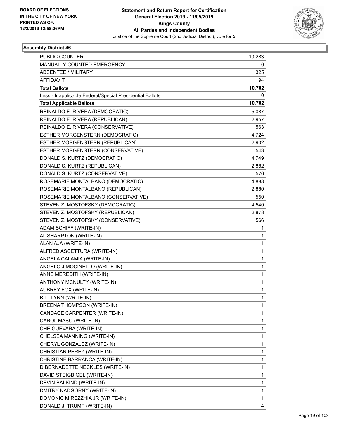

| <b>PUBLIC COUNTER</b>                                    | 10,283       |
|----------------------------------------------------------|--------------|
| MANUALLY COUNTED EMERGENCY                               | 0            |
| <b>ABSENTEE / MILITARY</b>                               | 325          |
| <b>AFFIDAVIT</b>                                         | 94           |
| <b>Total Ballots</b>                                     | 10,702       |
| Less - Inapplicable Federal/Special Presidential Ballots | 0            |
| <b>Total Applicable Ballots</b>                          | 10,702       |
| REINALDO E. RIVERA (DEMOCRATIC)                          | 5,087        |
| REINALDO E. RIVERA (REPUBLICAN)                          | 2,957        |
| REINALDO E. RIVERA (CONSERVATIVE)                        | 563          |
| ESTHER MORGENSTERN (DEMOCRATIC)                          | 4,724        |
| ESTHER MORGENSTERN (REPUBLICAN)                          | 2,902        |
| ESTHER MORGENSTERN (CONSERVATIVE)                        | 543          |
| DONALD S. KURTZ (DEMOCRATIC)                             | 4,749        |
| DONALD S. KURTZ (REPUBLICAN)                             | 2,882        |
| DONALD S. KURTZ (CONSERVATIVE)                           | 576          |
| ROSEMARIE MONTALBANO (DEMOCRATIC)                        | 4,888        |
| ROSEMARIE MONTALBANO (REPUBLICAN)                        | 2,880        |
| ROSEMARIE MONTALBANO (CONSERVATIVE)                      | 550          |
| STEVEN Z. MOSTOFSKY (DEMOCRATIC)                         | 4,540        |
| STEVEN Z. MOSTOFSKY (REPUBLICAN)                         | 2,878        |
| STEVEN Z. MOSTOFSKY (CONSERVATIVE)                       | 566          |
| ADAM SCHIFF (WRITE-IN)                                   | 1            |
| AL SHARPTON (WRITE-IN)                                   | 1            |
| ALAN AJA (WRITE-IN)                                      | 1            |
| ALFRED ASCETTURA (WRITE-IN)                              | $\mathbf 1$  |
| ANGELA CALAMIA (WRITE-IN)                                | $\mathbf{1}$ |
| ANGELO J MOCINELLO (WRITE-IN)                            | 1            |
| ANNE MEREDITH (WRITE-IN)                                 | $\mathbf{1}$ |
| ANTHONY MCNULTY (WRITE-IN)                               | $\mathbf{1}$ |
| AUBREY FOX (WRITE-IN)                                    | 1            |
| BILL LYNN (WRITE-IN)                                     | $\mathbf{1}$ |
| BREENA THOMPSON (WRITE-IN)                               | 1            |
| CANDACE CARPENTER (WRITE-IN)                             | 1            |
| CAROL MASO (WRITE-IN)                                    | $\mathbf{1}$ |
| CHE GUEVARA (WRITE-IN)                                   | 1            |
| CHELSEA MANNING (WRITE-IN)                               | 1            |
| CHERYL GONZALEZ (WRITE-IN)                               | 1            |
| CHRISTIAN PEREZ (WRITE-IN)                               | 1            |
| CHRISTINE BARRANCA (WRITE-IN)                            | 1            |
| D BERNADETTE NECKLES (WRITE-IN)                          | $\mathbf{1}$ |
| DAVID STEIGBIGEL (WRITE-IN)                              | 1            |
| DEVIN BALKIND (WRITE-IN)                                 | 1            |
| DMITRY NADGORNY (WRITE-IN)                               | 1            |
| DOMONIC M REZZHIA JR (WRITE-IN)                          | 1            |
| DONALD J. TRUMP (WRITE-IN)                               | 4            |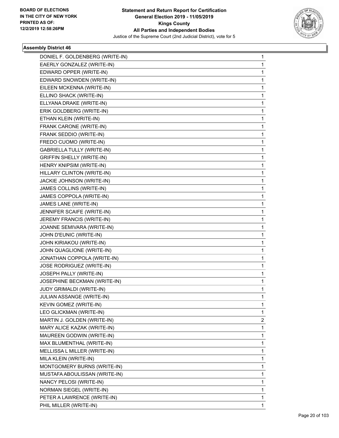

| DONIEL F. GOLDENBERG (WRITE-IN)   | 1            |
|-----------------------------------|--------------|
| EAERLY GONZALEZ (WRITE-IN)        | $\mathbf{1}$ |
| EDWARD OPPER (WRITE-IN)           | 1            |
| EDWARD SNOWDEN (WRITE-IN)         | 1            |
| EILEEN MCKENNA (WRITE-IN)         | 1            |
| ELLINO SHACK (WRITE-IN)           | 1            |
| ELLYANA DRAKE (WRITE-IN)          | 1            |
| ERIK GOLDBERG (WRITE-IN)          | $\mathbf{1}$ |
| ETHAN KLEIN (WRITE-IN)            | 1            |
| FRANK CARONE (WRITE-IN)           | 1            |
| FRANK SEDDIO (WRITE-IN)           | 1            |
| FREDO CUOMO (WRITE-IN)            | 1            |
| <b>GABRIELLA TULLY (WRITE-IN)</b> | 1            |
| <b>GRIFFIN SHELLY (WRITE-IN)</b>  | $\mathbf{1}$ |
| HENRY KNIPSIM (WRITE-IN)          | 1            |
| HILLARY CLINTON (WRITE-IN)        | 1            |
| JACKIE JOHNSON (WRITE-IN)         | 1            |
| JAMES COLLINS (WRITE-IN)          | 1            |
| JAMES COPPOLA (WRITE-IN)          | 1            |
| JAMES LANE (WRITE-IN)             | $\mathbf{1}$ |
| JENNIFER SCAIFE (WRITE-IN)        | 1            |
| JEREMY FRANCIS (WRITE-IN)         | 1            |
| JOANNE SEMIVARA (WRITE-IN)        | 1            |
| JOHN D'EUNIC (WRITE-IN)           | 1            |
| JOHN KIRIAKOU (WRITE-IN)          | 1            |
| JOHN QUAGLIONE (WRITE-IN)         | $\mathbf{1}$ |
| JONATHAN COPPOLA (WRITE-IN)       | 1            |
| JOSE RODRIGUEZ (WRITE-IN)         | 1            |
| JOSEPH PALLY (WRITE-IN)           | 1            |
| JOSEPHINE BECKMAN (WRITE-IN)      | 1            |
| JUDY GRIMALDI (WRITE-IN)          | 1            |
| JULIAN ASSANGE (WRITE-IN)         | $\mathbf{1}$ |
| KEVIN GOMEZ (WRITE-IN)            | 1            |
| LEO GLICKMAN (WRITE-IN)           | 1            |
| MARTIN J. GOLDEN (WRITE-IN)       | 2            |
| MARY ALICE KAZAK (WRITE-IN)       | 1            |
| MAUREEN GODWIN (WRITE-IN)         | 1            |
| MAX BLUMENTHAL (WRITE-IN)         | 1            |
| MELLISSA L MILLER (WRITE-IN)      | 1            |
| MILA KLEIN (WRITE-IN)             | 1            |
| MONTGOMERY BURNS (WRITE-IN)       | 1            |
| MUSTAFA ABOULISSAN (WRITE-IN)     | 1            |
| NANCY PELOSI (WRITE-IN)           | 1            |
| NORMAN SIEGEL (WRITE-IN)          | 1            |
| PETER A LAWRENCE (WRITE-IN)       | 1            |
| PHIL MILLER (WRITE-IN)            | 1            |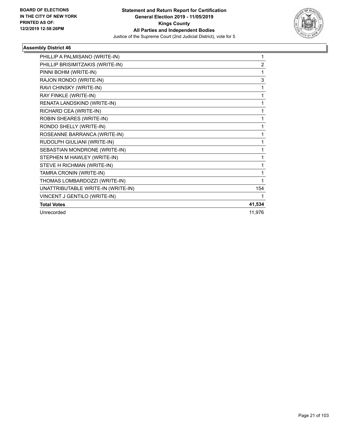

| PHILLIP A PALMISANO (WRITE-IN)     | 1              |
|------------------------------------|----------------|
| PHILLIP BRISIMITZAKIS (WRITE-IN)   | $\overline{2}$ |
| PINNI BOHM (WRITE-IN)              | 1              |
| RAJON RONDO (WRITE-IN)             | 3              |
| RAVI CHINSKY (WRITE-IN)            | 1              |
| RAY FINKLE (WRITE-IN)              | 1              |
| RENATA LANDSKIND (WRITE-IN)        | 1              |
| RICHARD CEA (WRITE-IN)             | 1              |
| ROBIN SHEARES (WRITE-IN)           | 1              |
| RONDO SHELLY (WRITE-IN)            | 1              |
| ROSEANNE BARRANCA (WRITE-IN)       | 1              |
| RUDOLPH GIULIANI (WRITE-IN)        | 1              |
| SEBASTIAN MONDRONE (WRITE-IN)      | 1              |
| STEPHEN M HAWLEY (WRITE-IN)        | 1              |
| STEVE H RICHMAN (WRITE-IN)         | 1              |
| TAMRA CRONIN (WRITE-IN)            | 1              |
| THOMAS LOMBARDOZZI (WRITE-IN)      | 1              |
| UNATTRIBUTABLE WRITE-IN (WRITE-IN) | 154            |
| VINCENT J GENTILO (WRITE-IN)       | 1              |
| <b>Total Votes</b>                 | 41,534         |
| Unrecorded                         | 11,976         |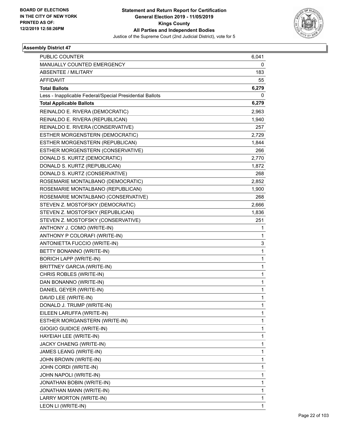

| PUBLIC COUNTER                                           | 6,041        |
|----------------------------------------------------------|--------------|
| MANUALLY COUNTED EMERGENCY                               | 0            |
| ABSENTEE / MILITARY                                      | 183          |
| <b>AFFIDAVIT</b>                                         | 55           |
| <b>Total Ballots</b>                                     | 6,279        |
| Less - Inapplicable Federal/Special Presidential Ballots | 0            |
| <b>Total Applicable Ballots</b>                          | 6,279        |
| REINALDO E. RIVERA (DEMOCRATIC)                          | 2,963        |
| REINALDO E. RIVERA (REPUBLICAN)                          | 1,940        |
| REINALDO E. RIVERA (CONSERVATIVE)                        | 257          |
| ESTHER MORGENSTERN (DEMOCRATIC)                          | 2,729        |
| ESTHER MORGENSTERN (REPUBLICAN)                          | 1,844        |
| ESTHER MORGENSTERN (CONSERVATIVE)                        | 266          |
| DONALD S. KURTZ (DEMOCRATIC)                             | 2,770        |
| DONALD S. KURTZ (REPUBLICAN)                             | 1,872        |
| DONALD S. KURTZ (CONSERVATIVE)                           | 268          |
| ROSEMARIE MONTALBANO (DEMOCRATIC)                        | 2,852        |
| ROSEMARIE MONTALBANO (REPUBLICAN)                        | 1,900        |
| ROSEMARIE MONTALBANO (CONSERVATIVE)                      | 268          |
| STEVEN Z. MOSTOFSKY (DEMOCRATIC)                         | 2,666        |
| STEVEN Z. MOSTOFSKY (REPUBLICAN)                         | 1,836        |
| STEVEN Z. MOSTOFSKY (CONSERVATIVE)                       | 251          |
| ANTHONY J. COMO (WRITE-IN)                               | 1            |
| ANTHONY P COLORAFI (WRITE-IN)                            | 1            |
| ANTONIETTA FUCCIO (WRITE-IN)                             | 3            |
| BETTY BONANNO (WRITE-IN)                                 | $\mathbf{1}$ |
| <b>BORICH LAPP (WRITE-IN)</b>                            | 1            |
| <b>BRITTNEY GARCIA (WRITE-IN)</b>                        | $\mathbf{1}$ |
| CHRIS ROBLES (WRITE-IN)                                  | $\mathbf{1}$ |
| DAN BONANNO (WRITE-IN)                                   | 1            |
| DANIEL GEYER (WRITE-IN)                                  | $\mathbf 1$  |
| DAVID LEE (WRITE-IN)                                     | 1            |
| DONALD J. TRUMP (WRITE-IN)                               | 1            |
| EILEEN LARUFFA (WRITE-IN)                                | $\mathbf{1}$ |
| ESTHER MORGANSTERN (WRITE-IN)                            | 1            |
| GIOGIO GUIDICE (WRITE-IN)                                | 1            |
| HAYEIAH LEE (WRITE-IN)                                   | $\mathbf{1}$ |
| JACKY CHAENG (WRITE-IN)                                  | $\mathbf{1}$ |
| JAMES LEANG (WRITE-IN)                                   | 1            |
| JOHN BROWN (WRITE-IN)                                    | $\mathbf 1$  |
| JOHN CORDI (WRITE-IN)                                    | $\mathbf{1}$ |
| JOHN NAPOLI (WRITE-IN)                                   | 1            |
| JONATHAN BOBIN (WRITE-IN)                                | $\mathbf{1}$ |
| JONATHAN MANN (WRITE-IN)                                 | $\mathbf{1}$ |
| LARRY MORTON (WRITE-IN)                                  | 1            |
| LEON LI (WRITE-IN)                                       | $\mathbf{1}$ |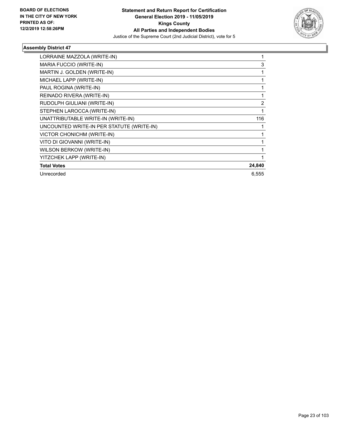

| LORRAINE MAZZOLA (WRITE-IN)               |                |
|-------------------------------------------|----------------|
| MARIA FUCCIO (WRITE-IN)                   | 3              |
| MARTIN J. GOLDEN (WRITE-IN)               |                |
| MICHAEL LAPP (WRITE-IN)                   |                |
| PAUL ROGINA (WRITE-IN)                    |                |
| REINADO RIVERA (WRITE-IN)                 | 1              |
| RUDOLPH GIULIANI (WRITE-IN)               | $\overline{2}$ |
| STEPHEN LAROCCA (WRITE-IN)                |                |
| UNATTRIBUTABLE WRITE-IN (WRITE-IN)        | 116            |
| UNCOUNTED WRITE-IN PER STATUTE (WRITE-IN) |                |
| VICTOR CHONICHM (WRITE-IN)                |                |
| VITO DI GIOVANNI (WRITE-IN)               |                |
| WILSON BERKOW (WRITE-IN)                  |                |
| YITZCHEK LAPP (WRITE-IN)                  |                |
| <b>Total Votes</b>                        | 24,840         |
| Unrecorded                                | 6,555          |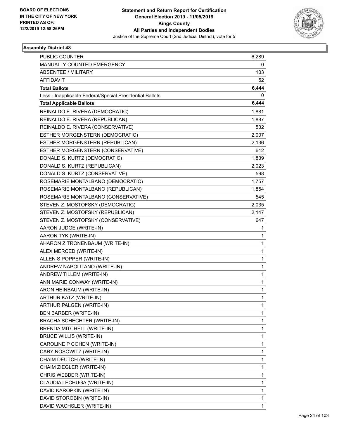

| PUBLIC COUNTER                                           | 6,289        |
|----------------------------------------------------------|--------------|
| MANUALLY COUNTED EMERGENCY                               | 0            |
| <b>ABSENTEE / MILITARY</b>                               | 103          |
| <b>AFFIDAVIT</b>                                         | 52           |
| <b>Total Ballots</b>                                     | 6,444        |
| Less - Inapplicable Federal/Special Presidential Ballots | 0            |
| <b>Total Applicable Ballots</b>                          | 6,444        |
| REINALDO E. RIVERA (DEMOCRATIC)                          | 1,881        |
| REINALDO E. RIVERA (REPUBLICAN)                          | 1,887        |
| REINALDO E. RIVERA (CONSERVATIVE)                        | 532          |
| ESTHER MORGENSTERN (DEMOCRATIC)                          | 2,007        |
| ESTHER MORGENSTERN (REPUBLICAN)                          | 2,136        |
| ESTHER MORGENSTERN (CONSERVATIVE)                        | 612          |
| DONALD S. KURTZ (DEMOCRATIC)                             | 1,839        |
| DONALD S. KURTZ (REPUBLICAN)                             | 2,023        |
| DONALD S. KURTZ (CONSERVATIVE)                           | 598          |
| ROSEMARIE MONTALBANO (DEMOCRATIC)                        | 1,757        |
| ROSEMARIE MONTALBANO (REPUBLICAN)                        | 1,854        |
| ROSEMARIE MONTALBANO (CONSERVATIVE)                      | 545          |
| STEVEN Z. MOSTOFSKY (DEMOCRATIC)                         | 2,035        |
| STEVEN Z. MOSTOFSKY (REPUBLICAN)                         | 2,147        |
| STEVEN Z. MOSTOFSKY (CONSERVATIVE)                       | 647          |
| AARON JUDGE (WRITE-IN)                                   | 1            |
| AARON TYK (WRITE-IN)                                     | 1            |
| AHARON ZITRONENBAUM (WRITE-IN)                           | 1            |
| ALEX MERCED (WRITE-IN)                                   | $\mathbf{1}$ |
| ALLEN S POPPER (WRITE-IN)                                | 1            |
| ANDREW NAPOLITANO (WRITE-IN)                             | 1            |
| ANDREW TILLEM (WRITE-IN)                                 | $\mathbf{1}$ |
| ANN MARIE CONWAY (WRITE-IN)                              | $\mathbf{1}$ |
| ARON HEINBAUM (WRITE-IN)                                 | 1            |
| ARTHUR KATZ (WRITE-IN)                                   | 1            |
| ARTHUR PALGEN (WRITE-IN)                                 | 1            |
| BEN BARBER (WRITE-IN)                                    | 1            |
| BRACHA SCHECHTER (WRITE-IN)                              | 1            |
| BRENDA MITCHELL (WRITE-IN)                               | 1            |
| <b>BRUCE WILLIS (WRITE-IN)</b>                           | 1            |
| CAROLINE P COHEN (WRITE-IN)                              | $\mathbf{1}$ |
| CARY NOSOWITZ (WRITE-IN)                                 | 1            |
| CHAIM DEUTCH (WRITE-IN)                                  | 1            |
| CHAIM ZIEGLER (WRITE-IN)                                 | $\mathbf{1}$ |
| CHRIS WEBBER (WRITE-IN)                                  | $\mathbf{1}$ |
| CLAUDIA LECHUGA (WRITE-IN)                               | 1            |
| DAVID KAROPKIN (WRITE-IN)                                | $\mathbf{1}$ |
| DAVID STOROBIN (WRITE-IN)                                | 1            |
| DAVID WACHSLER (WRITE-IN)                                | $\mathbf{1}$ |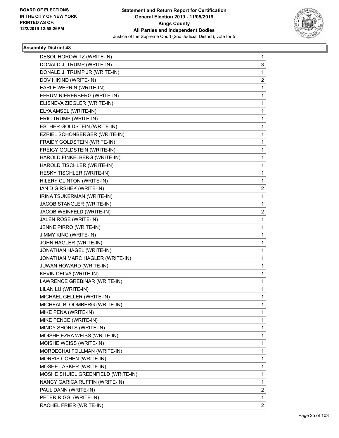

| DESOL HOROWITZ (WRITE-IN)          | 1                       |
|------------------------------------|-------------------------|
| DONALD J. TRUMP (WRITE-IN)         | 3                       |
| DONALD J. TRUMP JR (WRITE-IN)      | $\mathbf{1}$            |
| DOV HIKIND (WRITE-IN)              | 2                       |
| EARLE WEPRIN (WRITE-IN)            | 1                       |
| EFRUM NIERERBERG (WRITE-IN)        | 1                       |
| ELISNEVA ZIEGLER (WRITE-IN)        | 1                       |
| ELYA AMSEL (WRITE-IN)              | 1                       |
| ERIC TRUMP (WRITE-IN)              | 1                       |
| ESTHER GOLDSTEIN (WRITE-IN)        | 1                       |
| EZRIEL SCHONBERGER (WRITE-IN)      | 1                       |
| FRAIDY GOLDSTEIN (WRITE-IN)        | 1                       |
| FREIGY GOLDSTEIN (WRITE-IN)        | 1                       |
| HAROLD FINKELBERG (WRITE-IN)       | 1                       |
| HAROLD TISCHLER (WRITE-IN)         | 1                       |
| HESKY TISCHLER (WRITE-IN)          | 1                       |
| HILERY CLINTON (WRITE-IN)          | 1                       |
| IAN D GIRSHEK (WRITE-IN)           | 2                       |
| IRINA TSUKERMAN (WRITE-IN)         | 1                       |
| JACOB STANGLER (WRITE-IN)          | 1                       |
| JACOB WEINFELD (WRITE-IN)          | $\overline{\mathbf{c}}$ |
| JALEN ROSE (WRITE-IN)              | 1                       |
| JENNE PIRRO (WRITE-IN)             | 1                       |
| JIMMY KING (WRITE-IN)              | 1                       |
| JOHN HAGLER (WRITE-IN)             | 1                       |
| JONATHAN HAGEL (WRITE-IN)          | 1                       |
| JONATHAN MARC HAGLER (WRITE-IN)    | 1                       |
| JUWAN HOWARD (WRITE-IN)            | 1                       |
| KEVIN DELVA (WRITE-IN)             | 1                       |
| LAWRENCE GREBINAR (WRITE-IN)       | 1                       |
| LILAN LU (WRITE-IN)                | 1                       |
| MICHAEL GELLER (WRITE-IN)          | 1                       |
| MICHEAL BLOOMBERG (WRITE-IN)       | 1                       |
| MIKE PENA (WRITE-IN)               | 1                       |
| MIKE PENCE (WRITE-IN)              | 1                       |
| MINDY SHORTS (WRITE-IN)            | 1                       |
| MOISHE EZRA WEISS (WRITE-IN)       | 1                       |
| MOISHE WEISS (WRITE-IN)            | 1                       |
| MORDECHAI FOLLMAN (WRITE-IN)       | 1                       |
| MORRIS COHEN (WRITE-IN)            | 1                       |
| MOSHE LASKER (WRITE-IN)            | 1                       |
| MOSHE SHUIEL GREENFIELD (WRITE-IN) | 1                       |
| NANCY GARICA RUFFIN (WRITE-IN)     | 1                       |
| PAUL DANN (WRITE-IN)               | 2                       |
| PETER RIGGI (WRITE-IN)             | 1                       |
| RACHEL FRIER (WRITE-IN)            | $\overline{2}$          |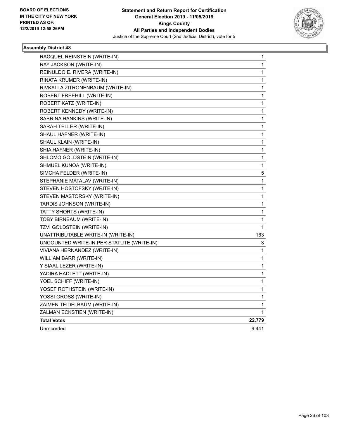

| RACQUEL REINSTEIN (WRITE-IN)              | 1            |
|-------------------------------------------|--------------|
| RAY JACKSON (WRITE-IN)                    | 1            |
| REINULDO E. RIVERA (WRITE-IN)             | 1            |
| RINATA KRUMER (WRITE-IN)                  | 1            |
| RIVKALLA ZITRONENBAUM (WRITE-IN)          | 1            |
| ROBERT FREEHILL (WRITE-IN)                | 1            |
| ROBERT KATZ (WRITE-IN)                    | 1            |
| ROBERT KENNEDY (WRITE-IN)                 | 1            |
| SABRINA HANKINS (WRITE-IN)                | 1            |
| SARAH TELLER (WRITE-IN)                   | 1            |
| SHAUL HAFNER (WRITE-IN)                   | 1            |
| SHAUL KLAIN (WRITE-IN)                    | 1            |
| SHIA HAFNER (WRITE-IN)                    | $\mathbf 1$  |
| SHLOMO GOLDSTEIN (WRITE-IN)               | 1            |
| SHMUEL KUNOA (WRITE-IN)                   | 1            |
| SIMCHA FELDER (WRITE-IN)                  | 5            |
| STEPHANIE MATALAV (WRITE-IN)              | 1            |
| STEVEN HOSTOFSKY (WRITE-IN)               | 1            |
| STEVEN MASTORSKY (WRITE-IN)               | 1            |
| TARDIS JOHNSON (WRITE-IN)                 | 1            |
| TATTY SHORTS (WRITE-IN)                   | 1            |
| TOBY BIRNBAUM (WRITE-IN)                  | 1            |
| TZVI GOLDSTEIN (WRITE-IN)                 | 1            |
| UNATTRIBUTABLE WRITE-IN (WRITE-IN)        | 163          |
| UNCOUNTED WRITE-IN PER STATUTE (WRITE-IN) | 3            |
| VIVIANA HERNANDEZ (WRITE-IN)              | 1            |
| WILLIAM BARR (WRITE-IN)                   | 1            |
| Y SIAAL LEZER (WRITE-IN)                  | 1            |
| YADIRA HADLETT (WRITE-IN)                 | 1            |
| YOEL SCHIFF (WRITE-IN)                    | 1            |
| YOSEF ROTHSTEIN (WRITE-IN)                | $\mathbf{1}$ |
| YOSSI GROSS (WRITE-IN)                    | 1            |
| ZAIMEN TEIDELBAUM (WRITE-IN)              | 1            |
| ZALMAN ECKSTIEN (WRITE-IN)                | 1            |
| <b>Total Votes</b>                        | 22,779       |
| Unrecorded                                | 9,441        |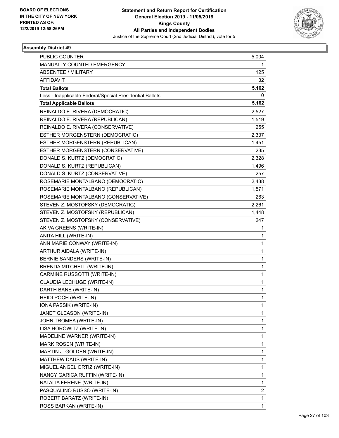

| PUBLIC COUNTER                                           | 5,004 |
|----------------------------------------------------------|-------|
| MANUALLY COUNTED EMERGENCY                               | 1.    |
| <b>ABSENTEE / MILITARY</b>                               | 125   |
| <b>AFFIDAVIT</b>                                         | 32    |
| <b>Total Ballots</b>                                     | 5,162 |
| Less - Inapplicable Federal/Special Presidential Ballots | 0     |
| <b>Total Applicable Ballots</b>                          | 5,162 |
| REINALDO E. RIVERA (DEMOCRATIC)                          | 2,527 |
| REINALDO E. RIVERA (REPUBLICAN)                          | 1,519 |
| REINALDO E. RIVERA (CONSERVATIVE)                        | 255   |
| ESTHER MORGENSTERN (DEMOCRATIC)                          | 2,337 |
| ESTHER MORGENSTERN (REPUBLICAN)                          | 1,451 |
| ESTHER MORGENSTERN (CONSERVATIVE)                        | 235   |
| DONALD S. KURTZ (DEMOCRATIC)                             | 2,328 |
| DONALD S. KURTZ (REPUBLICAN)                             | 1,496 |
| DONALD S. KURTZ (CONSERVATIVE)                           | 257   |
| ROSEMARIE MONTALBANO (DEMOCRATIC)                        | 2,438 |
| ROSEMARIE MONTALBANO (REPUBLICAN)                        | 1,571 |
| ROSEMARIE MONTALBANO (CONSERVATIVE)                      | 263   |
| STEVEN Z. MOSTOFSKY (DEMOCRATIC)                         | 2,261 |
| STEVEN Z. MOSTOFSKY (REPUBLICAN)                         | 1,448 |
| STEVEN Z. MOSTOFSKY (CONSERVATIVE)                       | 247   |
| AKIVA GREENS (WRITE-IN)                                  | 1     |
| ANITA HILL (WRITE-IN)                                    | 1     |
| ANN MARIE CONWAY (WRITE-IN)                              | 1     |
| ARTHUR AIDALA (WRITE-IN)                                 | 1     |
| BERNIE SANDERS (WRITE-IN)                                | 1     |
| BRENDA MITCHELL (WRITE-IN)                               | 1     |
| CARMINE RUSSOTTI (WRITE-IN)                              | 1     |
| CLAUDIA LECHUGE (WRITE-IN)                               | 1     |
| DARTH BANE (WRITE-IN)                                    | 1     |
| HEIDI POCH (WRITE-IN)                                    | 1     |
| IONA PASSIK (WRITE-IN)                                   | 1     |
| JANET GLEASON (WRITE-IN)                                 | 1     |
| JOHN TROMEA (WRITE-IN)                                   | 1     |
| LISA HOROWITZ (WRITE-IN)                                 | 1     |
| MADELINE WARNER (WRITE-IN)                               | 1     |
| MARK ROSEN (WRITE-IN)                                    | 1     |
| MARTIN J. GOLDEN (WRITE-IN)                              | 1     |
| MATTHEW DAUS (WRITE-IN)                                  | 1     |
| MIGUEL ANGEL ORTIZ (WRITE-IN)                            | 1     |
| NANCY GARICA RUFFIN (WRITE-IN)                           | 1     |
| NATALIA FERENE (WRITE-IN)                                | 1     |
| PASQUALINO RUSSO (WRITE-IN)                              | 2     |
| ROBERT BARATZ (WRITE-IN)                                 | 1     |
| ROSS BARKAN (WRITE-IN)                                   | 1     |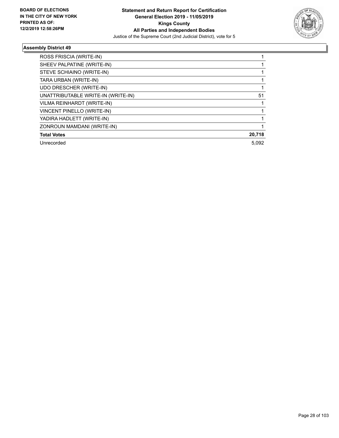

| ROSS FRISCIA (WRITE-IN)            |        |
|------------------------------------|--------|
| SHEEV PALPATINE (WRITE-IN)         |        |
| STEVE SCHIAINO (WRITE-IN)          |        |
| TARA URBAN (WRITE-IN)              |        |
| UDO DRESCHER (WRITE-IN)            |        |
| UNATTRIBUTABLE WRITE-IN (WRITE-IN) | 51     |
| VILMA REINHARDT (WRITE-IN)         |        |
| VINCENT PINELLO (WRITE-IN)         |        |
| YADIRA HADLETT (WRITE-IN)          |        |
| ZONROUN MAMDANI (WRITE-IN)         |        |
| <b>Total Votes</b>                 | 20,718 |
| Unrecorded                         | 5,092  |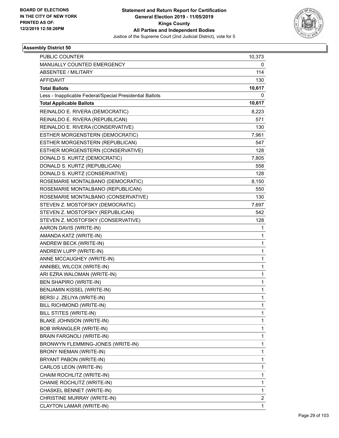

| <b>PUBLIC COUNTER</b>                                    | 10,373       |
|----------------------------------------------------------|--------------|
| MANUALLY COUNTED EMERGENCY                               | 0            |
| <b>ABSENTEE / MILITARY</b>                               | 114          |
| <b>AFFIDAVIT</b>                                         | 130          |
| <b>Total Ballots</b>                                     | 10,617       |
| Less - Inapplicable Federal/Special Presidential Ballots | 0            |
| <b>Total Applicable Ballots</b>                          | 10,617       |
| REINALDO E. RIVERA (DEMOCRATIC)                          | 8,223        |
| REINALDO E. RIVERA (REPUBLICAN)                          | 571          |
| REINALDO E. RIVERA (CONSERVATIVE)                        | 130          |
| ESTHER MORGENSTERN (DEMOCRATIC)                          | 7,961        |
| ESTHER MORGENSTERN (REPUBLICAN)                          | 547          |
| ESTHER MORGENSTERN (CONSERVATIVE)                        | 128          |
| DONALD S. KURTZ (DEMOCRATIC)                             | 7,805        |
| DONALD S. KURTZ (REPUBLICAN)                             | 558          |
| DONALD S. KURTZ (CONSERVATIVE)                           | 128          |
| ROSEMARIE MONTALBANO (DEMOCRATIC)                        | 8,150        |
| ROSEMARIE MONTALBANO (REPUBLICAN)                        | 550          |
| ROSEMARIE MONTALBANO (CONSERVATIVE)                      | 130          |
| STEVEN Z. MOSTOFSKY (DEMOCRATIC)                         | 7,697        |
| STEVEN Z. MOSTOFSKY (REPUBLICAN)                         | 542          |
| STEVEN Z. MOSTOFSKY (CONSERVATIVE)                       | 128          |
| AARON DAVIS (WRITE-IN)                                   | 1            |
| AMANDA KATZ (WRITE-IN)                                   | 1            |
| ANDREW BECK (WRITE-IN)                                   | $\mathbf 1$  |
| ANDREW LUPP (WRITE-IN)                                   | $\mathbf{1}$ |
| ANNE MCCAUGHEY (WRITE-IN)                                | 1            |
| ANNIBEL WILCOX (WRITE-IN)                                | $\mathbf 1$  |
| ARI EZRA WALOMAN (WRITE-IN)                              | 1            |
| <b>BEN SHAPIRO (WRITE-IN)</b>                            | $\mathbf 1$  |
| BENJAMIN KISSEL (WRITE-IN)                               | $\mathbf 1$  |
| BERSI J. ZELIYA (WRITE-IN)                               | 1            |
| BILL RICHMOND (WRITE-IN)                                 | 1            |
| BILL STITES (WRITE-IN)                                   | 1            |
| BLAKE JOHNSON (WRITE-IN)                                 | 1            |
| <b>BOB WRANGLER (WRITE-IN)</b>                           | 1            |
| BRAIN FARGNOLI (WRITE-IN)                                | 1            |
| BRONWYN FLEMMING-JONES (WRITE-IN)                        | 1            |
| BRONY NIEMAN (WRITE-IN)                                  | 1            |
| BRYANT PABON (WRITE-IN)                                  | $\mathbf 1$  |
| CARLOS LEON (WRITE-IN)                                   | 1            |
| CHAIM ROCHLITZ (WRITE-IN)                                | 1            |
| CHANIE ROCHLITZ (WRITE-IN)                               | 1            |
| CHASKEL BENNET (WRITE-IN)                                | 1            |
| CHRISTINE MURRAY (WRITE-IN)                              | 2            |
| CLAYTON LAMAR (WRITE-IN)                                 | $\mathbf{1}$ |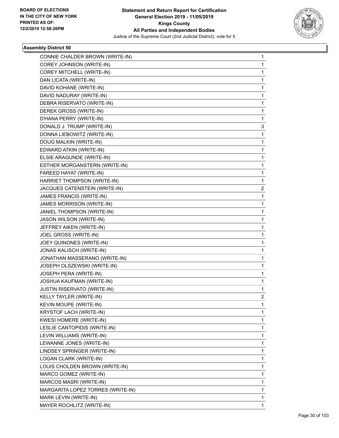

| CONNIE CHALDER BROWN (WRITE-IN)   | 1 |
|-----------------------------------|---|
| COREY JOHNSON (WRITE-IN)          | 1 |
| COREY MITCHELL (WRITE-IN)         | 1 |
| DAN LICATA (WRITE-IN)             | 1 |
| DAVID KOHANE (WRITE-IN)           | 1 |
| DAVID NADURAY (WRITE-IN)          | 1 |
| DEBRA RISERVATO (WRITE-IN)        | 1 |
| DEREK GROSS (WRITE-IN)            | 1 |
| D'HANA PERRY (WRITE-IN)           | 1 |
| DONALD J. TRUMP (WRITE-IN)        | 3 |
| DONNA LIEBOWITZ (WRITE-IN)        | 1 |
| DOUG MALKIN (WRITE-IN)            | 1 |
| EDWARD ATKIN (WRITE-IN)           | 1 |
| ELSIE ARAGUNDE (WRITE-IN)         | 1 |
| ESTHER MORGANSTERN (WRITE-IN)     | 1 |
| FAREED HAYAT (WRITE-IN)           | 1 |
| HARRIET THOMPSON (WRITE-IN)       | 1 |
| JACQUES CATENSTEIN (WRITE-IN)     | 2 |
| JAMES FRANCIS (WRITE-IN)          | 1 |
| JAMES MORRISON (WRITE-IN)         | 1 |
| JANIEL THOMPSON (WRITE-IN)        | 1 |
| JASON WILSON (WRITE-IN)           | 1 |
| JEFFREY AIKEN (WRITE-IN)          | 1 |
| JOEL GROSS (WRITE-IN)             | 1 |
| JOEY QUINONES (WRITE-IN)          | 1 |
| <b>JONAS KALISCH (WRITE-IN)</b>   | 1 |
| JONATHAN MASSERANO (WRITE-IN)     | 1 |
| JOSEPH OLSZEWSKI (WRITE-IN)       | 1 |
| JOSEPH PERA (WRITE-IN)            | 1 |
| JOSHUA KAUFMAN (WRITE-IN)         | 1 |
| JUSTIN RISERVATO (WRITE-IN)       | 1 |
| KELLY TAYLER (WRITE-IN)           | 2 |
| KEVIN MOUPE (WRITE-IN)            | 1 |
| KRYSTOF LACH (WRITE-IN)           | 1 |
| <b>KWESI HOMERE (WRITE-IN)</b>    | 1 |
| LESLIE CANTOPIDIS (WRITE-IN)      | 1 |
| LEVIN WILLIAMS (WRITE-IN)         | 1 |
| LEWANNE JONES (WRITE-IN)          | 1 |
| LINDSEY SPRINGER (WRITE-IN)       | 1 |
| LOGAN CLARK (WRITE-IN)            | 1 |
| LOUIS CHOLDEN BROWN (WRITE-IN)    | 1 |
| MARCO GOMEZ (WRITE-IN)            | 1 |
| MARCOS MASRI (WRITE-IN)           | 1 |
| MARGARITA LOPEZ TORRES (WRITE-IN) | 1 |
| MARK LEVIN (WRITE-IN)             | 1 |
| MAYER ROCHLITZ (WRITE-IN)         | 1 |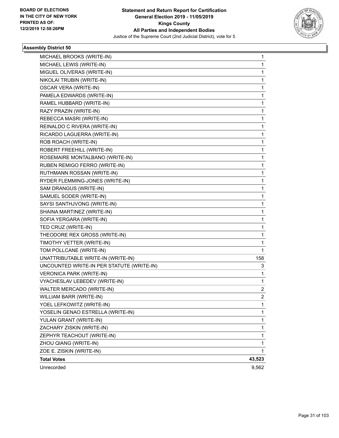

| MICHAEL BROOKS (WRITE-IN)                 | 1              |
|-------------------------------------------|----------------|
| MICHAEL LEWIS (WRITE-IN)                  | 1              |
| MIGUEL OLIVERAS (WRITE-IN)                | $\mathbf{1}$   |
| NIKOLAI TRUBIN (WRITE-IN)                 | 1              |
| <b>OSCAR VERA (WRITE-IN)</b>              | 1              |
| PAMELA EDWARDS (WRITE-IN)                 | 1              |
| RAMEL HUBBARD (WRITE-IN)                  | 1              |
| RAZY PRAZIN (WRITE-IN)                    | 1              |
| REBECCA MASRI (WRITE-IN)                  | 1              |
| REINALDO C RIVERA (WRITE-IN)              | 1              |
| RICARDO LAGUERRA (WRITE-IN)               | 1              |
| ROB ROACH (WRITE-IN)                      | 1              |
| ROBERT FREEHILL (WRITE-IN)                | 1              |
| ROSEMAIRE MONTALBANO (WRITE-IN)           | 1              |
| RUBEN REMIGO FERRO (WRITE-IN)             | 1              |
| RUTHMANN ROSSAN (WRITE-IN)                | 1              |
| RYDER FLEMMING-JONES (WRITE-IN)           | 1              |
| SAM DRANGUS (WRITE-IN)                    | 1              |
| SAMUEL SODER (WRITE-IN)                   | 1              |
| SAYSI SANTHJVONG (WRITE-IN)               | 1              |
| SHAINA MARTINEZ (WRITE-IN)                | 1              |
| SOFIA YERGARA (WRITE-IN)                  | 1              |
| TED CRUZ (WRITE-IN)                       | 1              |
| THEODORE REX GROSS (WRITE-IN)             | 1              |
| TIMOTHY VETTER (WRITE-IN)                 | 1              |
| TOM POLLCANE (WRITE-IN)                   | $\mathbf{1}$   |
| UNATTRIBUTABLE WRITE-IN (WRITE-IN)        | 158            |
| UNCOUNTED WRITE-IN PER STATUTE (WRITE-IN) | 3              |
| <b>VERONICA PARK (WRITE-IN)</b>           | 1              |
| VYACHESLAV LEBEDEV (WRITE-IN)             | 1              |
| WALTER MERCADO (WRITE-IN)                 | 2              |
| WILLIAM BARR (WRITE-IN)                   | $\overline{c}$ |
| YOEL LEFKOWITZ (WRITE-IN)                 | 1              |
| YOSELIN GENAO ESTRELLA (WRITE-IN)         | 1              |
| YULAN GRANT (WRITE-IN)                    | 1              |
| ZACHARY ZISKIN (WRITE-IN)                 | 1              |
| ZEPHYR TEACHOUT (WRITE-IN)                | 1              |
| ZHOU QIANG (WRITE-IN)                     | 1              |
| ZOE E. ZISKIN (WRITE-IN)                  | 1              |
| <b>Total Votes</b>                        | 43,523         |
| Unrecorded                                | 9,562          |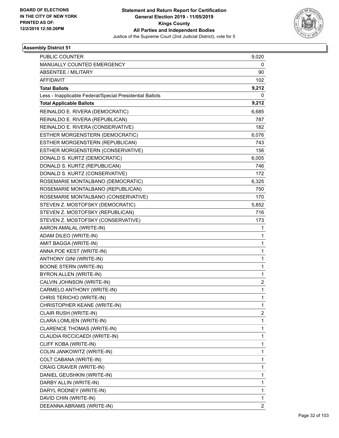

| <b>PUBLIC COUNTER</b>                                    | 9,020                   |
|----------------------------------------------------------|-------------------------|
| MANUALLY COUNTED EMERGENCY                               | 0                       |
| <b>ABSENTEE / MILITARY</b>                               | 90                      |
| <b>AFFIDAVIT</b>                                         | 102                     |
| <b>Total Ballots</b>                                     | 9,212                   |
| Less - Inapplicable Federal/Special Presidential Ballots | 0                       |
| <b>Total Applicable Ballots</b>                          | 9,212                   |
| REINALDO E. RIVERA (DEMOCRATIC)                          | 6,685                   |
| REINALDO E. RIVERA (REPUBLICAN)                          | 787                     |
| REINALDO E. RIVERA (CONSERVATIVE)                        | 182                     |
| ESTHER MORGENSTERN (DEMOCRATIC)                          | 6,076                   |
| ESTHER MORGENSTERN (REPUBLICAN)                          | 743                     |
| ESTHER MORGENSTERN (CONSERVATIVE)                        | 156                     |
| DONALD S. KURTZ (DEMOCRATIC)                             | 6,005                   |
| DONALD S. KURTZ (REPUBLICAN)                             | 746                     |
| DONALD S. KURTZ (CONSERVATIVE)                           | 172                     |
| ROSEMARIE MONTALBANO (DEMOCRATIC)                        | 6,325                   |
| ROSEMARIE MONTALBANO (REPUBLICAN)                        | 750                     |
| ROSEMARIE MONTALBANO (CONSERVATIVE)                      | 170                     |
| STEVEN Z. MOSTOFSKY (DEMOCRATIC)                         | 5,852                   |
| STEVEN Z. MOSTOFSKY (REPUBLICAN)                         | 716                     |
| STEVEN Z. MOSTOFSKY (CONSERVATIVE)                       | 173                     |
| AARON AMALAL (WRITE-IN)                                  | 1                       |
| ADAM DILEO (WRITE-IN)                                    | 1                       |
| AMIT BAGGA (WRITE-IN)                                    | 1                       |
| ANNA POE KEST (WRITE-IN)                                 | $\mathbf{1}$            |
| ANTHONY GINI (WRITE-IN)                                  | 1                       |
| <b>BOONE STERN (WRITE-IN)</b>                            | 1                       |
| BYRON ALLEN (WRITE-IN)                                   | $\mathbf{1}$            |
| CALVIN JOHNSON (WRITE-IN)                                | 2                       |
| CARMELO ANTHONY (WRITE-IN)                               | $\mathbf{1}$            |
| CHRIS TERICHO (WRITE-IN)                                 | 1                       |
| CHRISTOPHER KEANE (WRITE-IN)                             | 1                       |
| CLAIR RUSH (WRITE-IN)                                    | $\overline{\mathbf{c}}$ |
| CLARA LOMLIEN (WRITE-IN)                                 | 1                       |
| CLARENCE THOMAS (WRITE-IN)                               | 1                       |
| CLAUDIA RICCICAEDI (WRITE-IN)                            | 1                       |
| CLIFF KOBA (WRITE-IN)                                    | 1                       |
| COLIN JANKOWITZ (WRITE-IN)                               | 1                       |
| COLT CABANA (WRITE-IN)                                   | 1                       |
| CRAIG CRAVER (WRITE-IN)                                  | 1                       |
| DANIEL GEUSHKIN (WRITE-IN)                               | 1                       |
| DARBY ALLIN (WRITE-IN)                                   | 1                       |
| DARYL RODNEY (WRITE-IN)                                  | 1                       |
| DAVID CHIN (WRITE-IN)                                    | 1                       |
| DEEANNA ABRAMS (WRITE-IN)                                | $\overline{2}$          |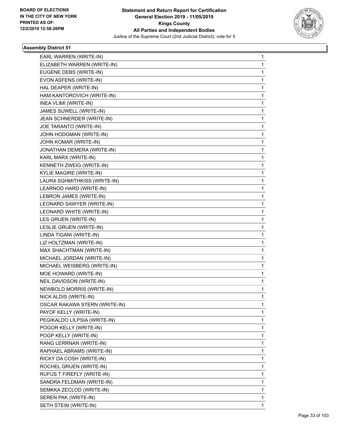

| EARL WARREN (WRITE-IN)<br>ELIZABETH WARREN (WRITE-IN)<br>EUGENE DEBS (WRITE-IN)<br>EVON ASFENS (WRITE-IN)<br>HAL DEAPER (WRITE-IN)<br>HAM KANTOROVICH (WRITE-IN)<br>INEA VLIMI (WRITE-IN)<br>JAMES SUWELL (WRITE-IN)<br>JEAN SCHNERDER (WRITE-IN)<br>JOE TARANTO (WRITE-IN)<br>JOHN HODGMAN (WRITE-IN)<br>JOHN KOMAR (WRITE-IN)<br>JONATHAN DEMERA (WRITE-IN)<br>KARL MARX (WRITE-IN)<br>KENNETH ZWEIG (WRITE-IN)<br><b>KYLIE MAGIRE (WRITE-IN)</b><br>LAURA SGHMITHKISS (WRITE-IN)<br>LEARNOD HARD (WRITE-IN)<br>LEBRON JAMES (WRITE-IN)<br>LEONARD SAWYER (WRITE-IN)<br>LEONARD WHITE (WRITE-IN)<br>LES GRUEN (WRITE-IN)<br>LESLIE GRUEN (WRITE-IN)<br>LINDA TIGANI (WRITE-IN)<br>LIZ HOLTZMAN (WRITE-IN)<br>MAX SHACHTMAN (WRITE-IN)<br>MICHAEL JORDAN (WRITE-IN)<br>MICHAEL WEISBERG (WRITE-IN)<br>MOE HOWARD (WRITE-IN)<br>NEIL DAVIDSON (WRITE-IN)<br>NEWBOLD MORRIS (WRITE-IN)<br>NICK ALDIS (WRITE-IN)<br>OSCAR RAKAWA STERN (WRITE-IN)<br>PAYOF KELLY (WRITE-IN)<br>PEGIKALDO LILPSIA (WRITE-IN)<br>POGOR KELLY (WRITE-IN)<br>POGP KELLY (WRITE-IN)<br>RANG LERRNAN (WRITE-IN)<br>RAPHAEL ABRAMS (WRITE-IN)<br>RICKY DA COSH (WRITE-IN)<br>ROCHEL GRUEN (WRITE-IN)<br>RUFUS T FIREFLY (WRITE-IN)<br>SANDRA FELDMAN (WRITE-IN)<br>SEMKKA ZECLOD (WRITE-IN)<br>SEREN PAK (WRITE-IN) |                       |   |
|--------------------------------------------------------------------------------------------------------------------------------------------------------------------------------------------------------------------------------------------------------------------------------------------------------------------------------------------------------------------------------------------------------------------------------------------------------------------------------------------------------------------------------------------------------------------------------------------------------------------------------------------------------------------------------------------------------------------------------------------------------------------------------------------------------------------------------------------------------------------------------------------------------------------------------------------------------------------------------------------------------------------------------------------------------------------------------------------------------------------------------------------------------------------------------------------------------------------------------------------------------------------------------------------|-----------------------|---|
|                                                                                                                                                                                                                                                                                                                                                                                                                                                                                                                                                                                                                                                                                                                                                                                                                                                                                                                                                                                                                                                                                                                                                                                                                                                                                            |                       | 1 |
|                                                                                                                                                                                                                                                                                                                                                                                                                                                                                                                                                                                                                                                                                                                                                                                                                                                                                                                                                                                                                                                                                                                                                                                                                                                                                            |                       | 1 |
|                                                                                                                                                                                                                                                                                                                                                                                                                                                                                                                                                                                                                                                                                                                                                                                                                                                                                                                                                                                                                                                                                                                                                                                                                                                                                            |                       | 1 |
|                                                                                                                                                                                                                                                                                                                                                                                                                                                                                                                                                                                                                                                                                                                                                                                                                                                                                                                                                                                                                                                                                                                                                                                                                                                                                            |                       | 1 |
|                                                                                                                                                                                                                                                                                                                                                                                                                                                                                                                                                                                                                                                                                                                                                                                                                                                                                                                                                                                                                                                                                                                                                                                                                                                                                            |                       | 1 |
|                                                                                                                                                                                                                                                                                                                                                                                                                                                                                                                                                                                                                                                                                                                                                                                                                                                                                                                                                                                                                                                                                                                                                                                                                                                                                            |                       | 1 |
|                                                                                                                                                                                                                                                                                                                                                                                                                                                                                                                                                                                                                                                                                                                                                                                                                                                                                                                                                                                                                                                                                                                                                                                                                                                                                            |                       | 1 |
|                                                                                                                                                                                                                                                                                                                                                                                                                                                                                                                                                                                                                                                                                                                                                                                                                                                                                                                                                                                                                                                                                                                                                                                                                                                                                            |                       | 1 |
|                                                                                                                                                                                                                                                                                                                                                                                                                                                                                                                                                                                                                                                                                                                                                                                                                                                                                                                                                                                                                                                                                                                                                                                                                                                                                            |                       | 1 |
|                                                                                                                                                                                                                                                                                                                                                                                                                                                                                                                                                                                                                                                                                                                                                                                                                                                                                                                                                                                                                                                                                                                                                                                                                                                                                            |                       | 1 |
|                                                                                                                                                                                                                                                                                                                                                                                                                                                                                                                                                                                                                                                                                                                                                                                                                                                                                                                                                                                                                                                                                                                                                                                                                                                                                            |                       | 1 |
|                                                                                                                                                                                                                                                                                                                                                                                                                                                                                                                                                                                                                                                                                                                                                                                                                                                                                                                                                                                                                                                                                                                                                                                                                                                                                            |                       | 1 |
|                                                                                                                                                                                                                                                                                                                                                                                                                                                                                                                                                                                                                                                                                                                                                                                                                                                                                                                                                                                                                                                                                                                                                                                                                                                                                            |                       | 1 |
|                                                                                                                                                                                                                                                                                                                                                                                                                                                                                                                                                                                                                                                                                                                                                                                                                                                                                                                                                                                                                                                                                                                                                                                                                                                                                            |                       | 1 |
|                                                                                                                                                                                                                                                                                                                                                                                                                                                                                                                                                                                                                                                                                                                                                                                                                                                                                                                                                                                                                                                                                                                                                                                                                                                                                            |                       | 1 |
|                                                                                                                                                                                                                                                                                                                                                                                                                                                                                                                                                                                                                                                                                                                                                                                                                                                                                                                                                                                                                                                                                                                                                                                                                                                                                            |                       | 1 |
|                                                                                                                                                                                                                                                                                                                                                                                                                                                                                                                                                                                                                                                                                                                                                                                                                                                                                                                                                                                                                                                                                                                                                                                                                                                                                            |                       | 1 |
|                                                                                                                                                                                                                                                                                                                                                                                                                                                                                                                                                                                                                                                                                                                                                                                                                                                                                                                                                                                                                                                                                                                                                                                                                                                                                            |                       | 1 |
|                                                                                                                                                                                                                                                                                                                                                                                                                                                                                                                                                                                                                                                                                                                                                                                                                                                                                                                                                                                                                                                                                                                                                                                                                                                                                            |                       | 1 |
|                                                                                                                                                                                                                                                                                                                                                                                                                                                                                                                                                                                                                                                                                                                                                                                                                                                                                                                                                                                                                                                                                                                                                                                                                                                                                            |                       | 1 |
|                                                                                                                                                                                                                                                                                                                                                                                                                                                                                                                                                                                                                                                                                                                                                                                                                                                                                                                                                                                                                                                                                                                                                                                                                                                                                            |                       | 1 |
|                                                                                                                                                                                                                                                                                                                                                                                                                                                                                                                                                                                                                                                                                                                                                                                                                                                                                                                                                                                                                                                                                                                                                                                                                                                                                            |                       | 1 |
|                                                                                                                                                                                                                                                                                                                                                                                                                                                                                                                                                                                                                                                                                                                                                                                                                                                                                                                                                                                                                                                                                                                                                                                                                                                                                            |                       | 1 |
|                                                                                                                                                                                                                                                                                                                                                                                                                                                                                                                                                                                                                                                                                                                                                                                                                                                                                                                                                                                                                                                                                                                                                                                                                                                                                            |                       | 1 |
|                                                                                                                                                                                                                                                                                                                                                                                                                                                                                                                                                                                                                                                                                                                                                                                                                                                                                                                                                                                                                                                                                                                                                                                                                                                                                            |                       | 1 |
|                                                                                                                                                                                                                                                                                                                                                                                                                                                                                                                                                                                                                                                                                                                                                                                                                                                                                                                                                                                                                                                                                                                                                                                                                                                                                            |                       | 1 |
|                                                                                                                                                                                                                                                                                                                                                                                                                                                                                                                                                                                                                                                                                                                                                                                                                                                                                                                                                                                                                                                                                                                                                                                                                                                                                            |                       | 1 |
|                                                                                                                                                                                                                                                                                                                                                                                                                                                                                                                                                                                                                                                                                                                                                                                                                                                                                                                                                                                                                                                                                                                                                                                                                                                                                            |                       | 1 |
|                                                                                                                                                                                                                                                                                                                                                                                                                                                                                                                                                                                                                                                                                                                                                                                                                                                                                                                                                                                                                                                                                                                                                                                                                                                                                            |                       | 1 |
|                                                                                                                                                                                                                                                                                                                                                                                                                                                                                                                                                                                                                                                                                                                                                                                                                                                                                                                                                                                                                                                                                                                                                                                                                                                                                            |                       | 1 |
|                                                                                                                                                                                                                                                                                                                                                                                                                                                                                                                                                                                                                                                                                                                                                                                                                                                                                                                                                                                                                                                                                                                                                                                                                                                                                            |                       | 1 |
|                                                                                                                                                                                                                                                                                                                                                                                                                                                                                                                                                                                                                                                                                                                                                                                                                                                                                                                                                                                                                                                                                                                                                                                                                                                                                            |                       | 1 |
|                                                                                                                                                                                                                                                                                                                                                                                                                                                                                                                                                                                                                                                                                                                                                                                                                                                                                                                                                                                                                                                                                                                                                                                                                                                                                            |                       | 1 |
|                                                                                                                                                                                                                                                                                                                                                                                                                                                                                                                                                                                                                                                                                                                                                                                                                                                                                                                                                                                                                                                                                                                                                                                                                                                                                            |                       | 1 |
|                                                                                                                                                                                                                                                                                                                                                                                                                                                                                                                                                                                                                                                                                                                                                                                                                                                                                                                                                                                                                                                                                                                                                                                                                                                                                            |                       | 1 |
|                                                                                                                                                                                                                                                                                                                                                                                                                                                                                                                                                                                                                                                                                                                                                                                                                                                                                                                                                                                                                                                                                                                                                                                                                                                                                            |                       | 1 |
|                                                                                                                                                                                                                                                                                                                                                                                                                                                                                                                                                                                                                                                                                                                                                                                                                                                                                                                                                                                                                                                                                                                                                                                                                                                                                            |                       | 1 |
|                                                                                                                                                                                                                                                                                                                                                                                                                                                                                                                                                                                                                                                                                                                                                                                                                                                                                                                                                                                                                                                                                                                                                                                                                                                                                            |                       | 1 |
|                                                                                                                                                                                                                                                                                                                                                                                                                                                                                                                                                                                                                                                                                                                                                                                                                                                                                                                                                                                                                                                                                                                                                                                                                                                                                            |                       | 1 |
|                                                                                                                                                                                                                                                                                                                                                                                                                                                                                                                                                                                                                                                                                                                                                                                                                                                                                                                                                                                                                                                                                                                                                                                                                                                                                            |                       | 1 |
|                                                                                                                                                                                                                                                                                                                                                                                                                                                                                                                                                                                                                                                                                                                                                                                                                                                                                                                                                                                                                                                                                                                                                                                                                                                                                            |                       | 1 |
|                                                                                                                                                                                                                                                                                                                                                                                                                                                                                                                                                                                                                                                                                                                                                                                                                                                                                                                                                                                                                                                                                                                                                                                                                                                                                            |                       | 1 |
|                                                                                                                                                                                                                                                                                                                                                                                                                                                                                                                                                                                                                                                                                                                                                                                                                                                                                                                                                                                                                                                                                                                                                                                                                                                                                            |                       | 1 |
|                                                                                                                                                                                                                                                                                                                                                                                                                                                                                                                                                                                                                                                                                                                                                                                                                                                                                                                                                                                                                                                                                                                                                                                                                                                                                            |                       | 1 |
|                                                                                                                                                                                                                                                                                                                                                                                                                                                                                                                                                                                                                                                                                                                                                                                                                                                                                                                                                                                                                                                                                                                                                                                                                                                                                            |                       | 1 |
|                                                                                                                                                                                                                                                                                                                                                                                                                                                                                                                                                                                                                                                                                                                                                                                                                                                                                                                                                                                                                                                                                                                                                                                                                                                                                            | SETH STEIN (WRITE-IN) | 1 |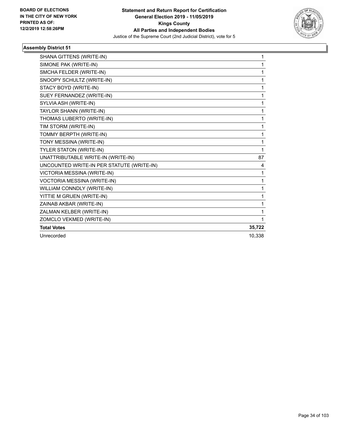

| SHANA GITTENS (WRITE-IN)                  | 1      |
|-------------------------------------------|--------|
| SIMONE PAK (WRITE-IN)                     | 1      |
| SMCHA FELDER (WRITE-IN)                   | 1      |
| SNOOPY SCHULTZ (WRITE-IN)                 | 1      |
| STACY BOYD (WRITE-IN)                     | 1      |
| SUEY FERNANDEZ (WRITE-IN)                 | 1      |
| SYLVIA ASH (WRITE-IN)                     | 1      |
| TAYLOR SHANN (WRITE-IN)                   | 1      |
| THOMAS LUBERTO (WRITE-IN)                 | 1      |
| TIM STORM (WRITE-IN)                      | 1      |
| TOMMY BERPTH (WRITE-IN)                   | 1      |
| TONY MESSINA (WRITE-IN)                   | 1      |
| TYLER STATON (WRITE-IN)                   | 1      |
| UNATTRIBUTABLE WRITE-IN (WRITE-IN)        | 87     |
| UNCOUNTED WRITE-IN PER STATUTE (WRITE-IN) | 4      |
| VICTORIA MESSINA (WRITE-IN)               | 1      |
| VOCTORIA MESSINA (WRITE-IN)               | 1      |
| WILLIAM CONNDLY (WRITE-IN)                | 1      |
| YITTIE M GRUEN (WRITE-IN)                 | 1      |
| ZAINAB AKBAR (WRITE-IN)                   | 1      |
| ZALMAN KELBER (WRITE-IN)                  | 1      |
| ZOMCLO VEKMED (WRITE-IN)                  | 1      |
| <b>Total Votes</b>                        | 35,722 |
| Unrecorded                                | 10.338 |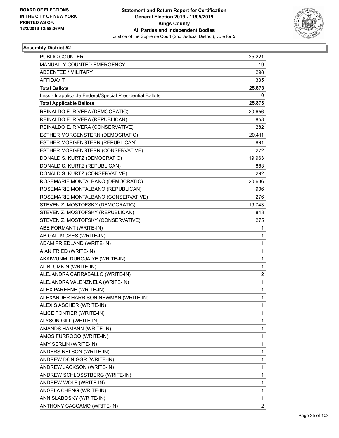

| PUBLIC COUNTER                                           | 25,221         |
|----------------------------------------------------------|----------------|
| MANUALLY COUNTED EMERGENCY                               | 19             |
| <b>ABSENTEE / MILITARY</b>                               | 298            |
| <b>AFFIDAVIT</b>                                         | 335            |
| <b>Total Ballots</b>                                     | 25,873         |
| Less - Inapplicable Federal/Special Presidential Ballots | 0              |
| <b>Total Applicable Ballots</b>                          | 25,873         |
| REINALDO E. RIVERA (DEMOCRATIC)                          | 20,656         |
| REINALDO E. RIVERA (REPUBLICAN)                          | 858            |
| REINALDO E. RIVERA (CONSERVATIVE)                        | 282            |
| ESTHER MORGENSTERN (DEMOCRATIC)                          | 20,411         |
| ESTHER MORGENSTERN (REPUBLICAN)                          | 891            |
| ESTHER MORGENSTERN (CONSERVATIVE)                        | 272            |
| DONALD S. KURTZ (DEMOCRATIC)                             | 19,963         |
| DONALD S. KURTZ (REPUBLICAN)                             | 883            |
| DONALD S. KURTZ (CONSERVATIVE)                           | 292            |
| ROSEMARIE MONTALBANO (DEMOCRATIC)                        | 20,636         |
| ROSEMARIE MONTALBANO (REPUBLICAN)                        | 906            |
| ROSEMARIE MONTALBANO (CONSERVATIVE)                      | 276            |
| STEVEN Z. MOSTOFSKY (DEMOCRATIC)                         | 19,743         |
| STEVEN Z. MOSTOFSKY (REPUBLICAN)                         | 843            |
| STEVEN Z. MOSTOFSKY (CONSERVATIVE)                       | 275            |
| ABE FORMANT (WRITE-IN)                                   | 1              |
| ABIGAIL MOSES (WRITE-IN)                                 | 1              |
| ADAM FRIEDLAND (WRITE-IN)                                | $\mathbf{1}$   |
| AIAN FRIED (WRITE-IN)                                    | 1              |
| AKAIWUNMI DUROJAIYE (WRITE-IN)                           | 1              |
| AL BLUMKIN (WRITE-IN)                                    | 1              |
| ALEJANDRA CARRABALLO (WRITE-IN)                          | $\overline{2}$ |
| ALEJANDRA VALENZNELA (WRITE-IN)                          | 1              |
| ALEX PAREENE (WRITE-IN)                                  | $\mathbf{1}$   |
| ALEXANDER HARRISON NEWMAN (WRITE-IN)                     | 1              |
| ALEXIS ASCHER (WRITE-IN)                                 | 1              |
| ALICE FONTIER (WRITE-IN)                                 | 1              |
| ALYSON GILL (WRITE-IN)                                   | 1              |
| AMANDS HAMANN (WRITE-IN)                                 | 1              |
| AMOS FURROOQ (WRITE-IN)                                  | 1              |
| AMY SERLIN (WRITE-IN)                                    | 1              |
| ANDERS NELSON (WRITE-IN)                                 | $\mathbf{1}$   |
| ANDREW DONIGGR (WRITE-IN)                                | 1              |
| ANDREW JACKSON (WRITE-IN)                                | 1              |
| ANDREW SCHLOSSTBERG (WRITE-IN)                           | 1              |
| ANDREW WOLF (WRITE-IN)                                   | 1              |
| ANGELA CHENG (WRITE-IN)                                  | 1              |
| ANN SLABOSKY (WRITE-IN)                                  | 1              |
| ANTHONY CACCAMO (WRITE-IN)                               | 2              |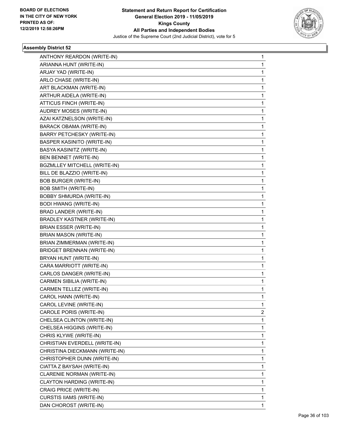

| ANTHONY REARDON (WRITE-IN)        | 1            |
|-----------------------------------|--------------|
| ARIANNA HUNT (WRITE-IN)           | $\mathbf{1}$ |
| ARJAY YAD (WRITE-IN)              | $\mathbf{1}$ |
| ARLO CHASE (WRITE-IN)             | 1            |
| ART BLACKMAN (WRITE-IN)           | $\mathbf 1$  |
| ARTHUR AIDELA (WRITE-IN)          | 1            |
| ATTICUS FINCH (WRITE-IN)          | 1            |
| AUDREY MOSES (WRITE-IN)           | $\mathbf 1$  |
| AZAI KATZNELSON (WRITE-IN)        | 1            |
| <b>BARACK OBAMA (WRITE-IN)</b>    | 1            |
| <b>BARRY PETCHESKY (WRITE-IN)</b> | 1            |
| <b>BASPER KASINITO (WRITE-IN)</b> | 1            |
| BASYA KASINITZ (WRITE-IN)         | 1            |
| BEN BENNET (WRITE-IN)             | $\mathbf 1$  |
| BGZMLLEY MITCHELL (WRITE-IN)      | 1            |
| BILL DE BLAZZIO (WRITE-IN)        | 1            |
| <b>BOB BURGER (WRITE-IN)</b>      | 1            |
| <b>BOB SMITH (WRITE-IN)</b>       | 1            |
| <b>BOBBY SHMURDA (WRITE-IN)</b>   | 1            |
| <b>BODI HWANG (WRITE-IN)</b>      | $\mathbf 1$  |
| BRAD LANDER (WRITE-IN)            | 1            |
| BRADLEY KASTNER (WRITE-IN)        | 1            |
| BRIAN ESSER (WRITE-IN)            | 1            |
| BRIAN MASON (WRITE-IN)            | 1            |
| BRIAN ZIMMERMAN (WRITE-IN)        | 1            |
| <b>BRIDGET BRENNAN (WRITE-IN)</b> | $\mathbf 1$  |
| BRYAN HUNT (WRITE-IN)             | 1            |
| CARA MARRIOTT (WRITE-IN)          | 1            |
| CARLOS DANGER (WRITE-IN)          | 1            |
| CARMEN SIBILIA (WRITE-IN)         | 1            |
| CARMEN TELLEZ (WRITE-IN)          | 1            |
| CAROL HANN (WRITE-IN)             | $\mathbf{1}$ |
| CAROL LEVINE (WRITE-IN)           | 1            |
| CAROLE PORIS (WRITE-IN)           | 2            |
| CHELSEA CLINTON (WRITE-IN)        | 1            |
| CHELSEA HIGGINS (WRITE-IN)        | 1            |
| CHRIS KLYWE (WRITE-IN)            | 1            |
| CHRISTIAN EVERDELL (WRITE-IN)     | $\mathbf{1}$ |
| CHRISTINA DIECKMANN (WRITE-IN)    | 1            |
| CHRISTOPHER DUNN (WRITE-IN)       | 1            |
| CIATTA Z BAYSAH (WRITE-IN)        | $\mathbf 1$  |
| CLARENIE NORMAN (WRITE-IN)        | 1            |
| CLAYTON HARDING (WRITE-IN)        | 1            |
| CRAIG PRICE (WRITE-IN)            | $\mathbf{1}$ |
| CURSTIS IIAMS (WRITE-IN)          | 1            |
| DAN CHOROST (WRITE-IN)            | 1            |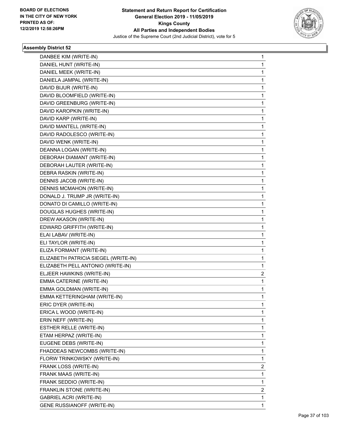

| DANBEE KIM (WRITE-IN)                | 1              |
|--------------------------------------|----------------|
| DANIEL HUNT (WRITE-IN)               | 1              |
| DANIEL MEEK (WRITE-IN)               | 1              |
| DANIELA JAMPAL (WRITE-IN)            | 1              |
| DAVID BIJUR (WRITE-IN)               | 1              |
| DAVID BLOOMFIELD (WRITE-IN)          | 1              |
| DAVID GREENBURG (WRITE-IN)           | 1              |
| DAVID KAROPKIN (WRITE-IN)            | 1              |
| DAVID KARP (WRITE-IN)                | 1              |
| DAVID MANTELL (WRITE-IN)             | 1              |
| DAVID RADOLESCO (WRITE-IN)           | 1              |
| DAVID WENK (WRITE-IN)                | 1              |
| DEANNA LOGAN (WRITE-IN)              | 1              |
| DEBORAH DIAMANT (WRITE-IN)           | 1              |
| DEBORAH LAUTER (WRITE-IN)            | 1              |
| DEBRA RASKIN (WRITE-IN)              | 1              |
| DENNIS JACOB (WRITE-IN)              | 1              |
| <b>DENNIS MCMAHON (WRITE-IN)</b>     | 1              |
| DONALD J. TRUMP JR (WRITE-IN)        | 1              |
| DONATO DI CAMILLO (WRITE-IN)         | 1              |
| DOUGLAS HUGHES (WRITE-IN)            | 1              |
| DREW AKASON (WRITE-IN)               | 1              |
| EDWARD GRIFFITH (WRITE-IN)           | 1              |
| ELAI LABAV (WRITE-IN)                | 1              |
| ELI TAYLOR (WRITE-IN)                | 1              |
| ELIZA FORMANT (WRITE-IN)             | 1              |
| ELIZABETH PATRICIA SIEGEL (WRITE-IN) | 1              |
| ELIZABETH PELL ANTONIO (WRITE-IN)    | 1              |
| ELJEER HAWKINS (WRITE-IN)            | 2              |
| EMMA CATERINE (WRITE-IN)             | 1              |
| EMMA GOLDMAN (WRITE-IN)              | 1              |
| EMMA KETTERINGHAM (WRITE-IN)         | 1              |
| ERIC DYER (WRITE-IN)                 | 1              |
| ERICA L WOOD (WRITE-IN)              | 1              |
| ERIN NEFF (WRITE-IN)                 | 1              |
| ESTHER RELLE (WRITE-IN)              | 1              |
| ETAM HERPAZ (WRITE-IN)               | 1              |
| EUGENE DEBS (WRITE-IN)               | 1              |
| FHADDEAS NEWCOMBS (WRITE-IN)         | 1              |
| FLORW TRINKOWSKY (WRITE-IN)          | 1              |
| FRANK LOSS (WRITE-IN)                | 2              |
| FRANK MAAS (WRITE-IN)                | 1              |
| FRANK SEDDIO (WRITE-IN)              | 1              |
| FRANKLIN STONE (WRITE-IN)            | $\overline{2}$ |
| <b>GABRIEL ACRI (WRITE-IN)</b>       | 1              |
| GENE RUSSIANOFF (WRITE-IN)           | 1              |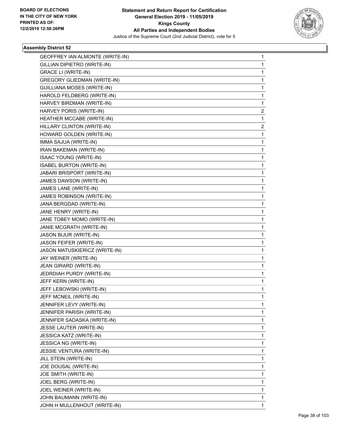

| GEOFFREY IAN ALMONTE (WRITE-IN)    | 1 |
|------------------------------------|---|
| GILLIAN DIPIETRO (WRITE-IN)        | 1 |
| <b>GRACE LI (WRITE-IN)</b>         | 1 |
| <b>GREGORY GLIEDMAN (WRITE-IN)</b> | 1 |
| <b>GUILLIANA MOSES (WRITE-IN)</b>  | 1 |
| HAROLD FELDBERG (WRITE-IN)         | 1 |
| HARVEY BIRDMAN (WRITE-IN)          | 1 |
| HARVEY PORIS (WRITE-IN)            | 2 |
| HEATHER MCCABE (WRITE-IN)          | 1 |
| HILLARY CLINTON (WRITE-IN)         | 2 |
| HOWARD GOLDEN (WRITE-IN)           | 1 |
| IMMA SAJUA (WRITE-IN)              | 1 |
| IRAN BAKEMAN (WRITE-IN)            | 1 |
| <b>ISAAC YOUNG (WRITE-IN)</b>      | 1 |
| <b>ISABEL BURTON (WRITE-IN)</b>    | 1 |
| JABARI BRISPORT (WRITE-IN)         | 1 |
| JAMES DAWSON (WRITE-IN)            | 1 |
| JAMES LANE (WRITE-IN)              | 1 |
| JAMES ROBINSON (WRITE-IN)          | 1 |
| JANA BERGDAD (WRITE-IN)            | 1 |
| JANE HENRY (WRITE-IN)              | 1 |
| JANE TOBEY MOMO (WRITE-IN)         | 1 |
| JANIE MCGRATH (WRITE-IN)           | 1 |
| JASON BIJUR (WRITE-IN)             | 1 |
| JASON FEIFER (WRITE-IN)            | 1 |
| JASON MATUSKIERICZ (WRITE-IN)      | 1 |
| JAY WEINER (WRITE-IN)              | 1 |
| JEAN GIRARD (WRITE-IN)             | 1 |
| JEDRDIAH PURDY (WRITE-IN)          | 1 |
| JEFF KERN (WRITE-IN)               | 1 |
| JEFF LEBOWSKI (WRITE-IN)           | 1 |
| JEFF MCNEIL (WRITE-IN)             | 1 |
| JENNIFER LEVY (WRITE-IN)           | 1 |
| JENNIFER PARISH (WRITE-IN)         | 1 |
| JENNIFER SADASKA (WRITE-IN)        | 1 |
| JESSE LAUTER (WRITE-IN)            | 1 |
| <b>JESSICA KATZ (WRITE-IN)</b>     | 1 |
| JESSICA NG (WRITE-IN)              | 1 |
| <b>JESSIE VENTURA (WRITE-IN)</b>   | 1 |
| JILL STEIN (WRITE-IN)              | 1 |
| JOE DOUSAL (WRITE-IN)              | 1 |
| JOE SMITH (WRITE-IN)               | 1 |
| JOEL BERG (WRITE-IN)               | 1 |
| JOEL WEINER (WRITE-IN)             | 1 |
| JOHN BAUMANN (WRITE-IN)            | 1 |
| JOHN H MULLENHOUT (WRITE-IN)       | 1 |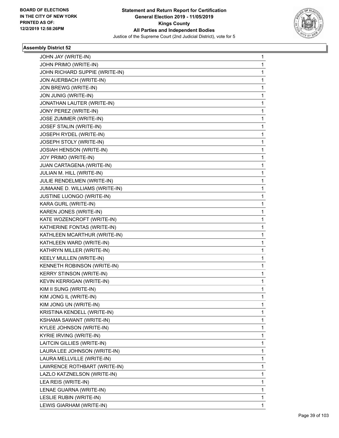

| JOHN JAY (WRITE-IN)             | 1           |
|---------------------------------|-------------|
| JOHN PRIMO (WRITE-IN)           | 1           |
| JOHN RICHARD SUPPIE (WRITE-IN)  | $\mathbf 1$ |
| JON AUERBACH (WRITE-IN)         | 1           |
| JON BREWG (WRITE-IN)            | 1           |
| JON JUNIG (WRITE-IN)            | 1           |
| JONATHAN LAUTER (WRITE-IN)      | 1           |
| JONY PEREZ (WRITE-IN)           | 1           |
| JOSE ZUMMER (WRITE-IN)          | $\mathbf 1$ |
| JOSEF STALIN (WRITE-IN)         | 1           |
| JOSEPH RYDEL (WRITE-IN)         | 1           |
| JOSEPH STOLY (WRITE-IN)         | 1           |
| <b>JOSIAH HENSON (WRITE-IN)</b> | 1           |
| JOY PRIMO (WRITE-IN)            | 1           |
| JUAN CARTAGENA (WRITE-IN)       | $\mathbf 1$ |
| JULIAN M. HILL (WRITE-IN)       | 1           |
| JULIE RENDELMEN (WRITE-IN)      | 1           |
| JUMAANE D. WILLIAMS (WRITE-IN)  | 1           |
| JUSTINE LUONGO (WRITE-IN)       | 1           |
| KARA GURL (WRITE-IN)            | 1           |
| KAREN JONES (WRITE-IN)          | $\mathbf 1$ |
| KATE WOZENCROFT (WRITE-IN)      | 1           |
| KATHERINE FONTAS (WRITE-IN)     | 1           |
| KATHLEEN MCARTHUR (WRITE-IN)    | 1           |
| KATHLEEN WARD (WRITE-IN)        | 1           |
| KATHRYN MILLER (WRITE-IN)       | 1           |
| KEELY MULLEN (WRITE-IN)         | $\mathbf 1$ |
| KENNETH ROBINSON (WRITE-IN)     | 1           |
| <b>KERRY STINSON (WRITE-IN)</b> | 1           |
| KEVIN KERRIGAN (WRITE-IN)       | 1           |
| KIM II SUNG (WRITE-IN)          | 1           |
| KIM JONG IL (WRITE-IN)          | 1           |
| KIM JONG UN (WRITE-IN)          | 1           |
| KRISTINA KENDELL (WRITE-IN)     | 1           |
| KSHAMA SAWANT (WRITE-IN)        | 1           |
| KYLEE JOHNSON (WRITE-IN)        | $\mathbf 1$ |
| <b>KYRIE IRVING (WRITE-IN)</b>  | 1           |
| LAITCIN GILLIES (WRITE-IN)      | 1           |
| LAURA LEE JOHNSON (WRITE-IN)    | 1           |
| LAURA MELLVILLE (WRITE-IN)      | 1           |
| LAWRENCE ROTHBART (WRITE-IN)    | 1           |
| LAZLO KATZNELSON (WRITE-IN)     | $\mathbf 1$ |
| LEA REIS (WRITE-IN)             | 1           |
| LENAE GUARNA (WRITE-IN)         | 1           |
| LESLIE RUBIN (WRITE-IN)         | 1           |
| LEWIS GIARHAM (WRITE-IN)        | 1           |
|                                 |             |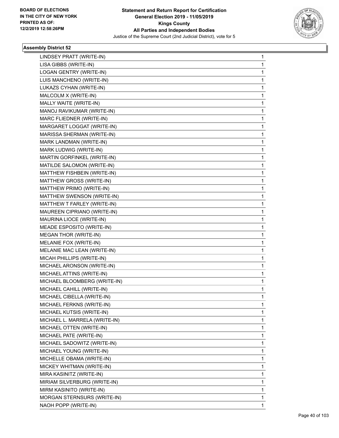

| LINDSEY PRATT (WRITE-IN)      | 1            |
|-------------------------------|--------------|
| LISA GIBBS (WRITE-IN)         | 1            |
| LOGAN GENTRY (WRITE-IN)       | 1            |
| LUIS MANCHENO (WRITE-IN)      | 1            |
| LUKAZS CYHAN (WRITE-IN)       | 1            |
| MALCOLM X (WRITE-IN)          | 1            |
| MALLY WAITE (WRITE-IN)        | 1            |
| MANOJ RAVIKUMAR (WRITE-IN)    | 1            |
| MARC FLIEDNER (WRITE-IN)      | 1            |
| MARGARET LOGGAT (WRITE-IN)    | 1            |
| MARISSA SHERMAN (WRITE-IN)    | 1            |
| MARK LANDMAN (WRITE-IN)       | 1            |
| MARK LUDWIG (WRITE-IN)        | 1            |
| MARTIN GORFINKEL (WRITE-IN)   | 1            |
| MATILDE SALOMON (WRITE-IN)    | 1            |
| MATTHEW FISHBEIN (WRITE-IN)   | 1            |
| MATTHEW GROSS (WRITE-IN)      | 1            |
| MATTHEW PRIMO (WRITE-IN)      | 1            |
| MATTHEW SWENSON (WRITE-IN)    | 1            |
| MATTHEW T FARLEY (WRITE-IN)   | 1            |
| MAUREEN CIPRIANO (WRITE-IN)   | 1            |
| MAURINA LIOCE (WRITE-IN)      | 1            |
| MEADE ESPOSITO (WRITE-IN)     | 1            |
| <b>MEGAN THOR (WRITE-IN)</b>  | 1            |
| MELANIE FOX (WRITE-IN)        | 1            |
| MELANIE MAC LEAN (WRITE-IN)   | 1            |
| MICAH PHILLIPS (WRITE-IN)     | 1            |
| MICHAEL ARONSON (WRITE-IN)    | 1            |
| MICHAEL ATTINS (WRITE-IN)     | 1            |
| MICHAEL BLOOMBERG (WRITE-IN)  | $\mathbf{1}$ |
| MICHAEL CAHILL (WRITE-IN)     | 1            |
| MICHAEL CIBELLA (WRITE-IN)    | 1            |
| MICHAEL FERKNS (WRITE-IN)     | 1            |
| MICHAEL KUTSIS (WRITE-IN)     | 1            |
| MICHAEL L. MARRELA (WRITE-IN) | 1            |
| MICHAEL OTTEN (WRITE-IN)      | 1            |
| MICHAEL PATE (WRITE-IN)       | 1            |
| MICHAEL SADOWITZ (WRITE-IN)   | 1            |
| MICHAEL YOUNG (WRITE-IN)      | 1            |
| MICHELLE OBAMA (WRITE-IN)     | 1            |
| MICKEY WHITMAN (WRITE-IN)     | 1            |
| MIRA KASINITZ (WRITE-IN)      | 1            |
| MIRIAM SILVERBURG (WRITE-IN)  | 1            |
| MIRM KASINITO (WRITE-IN)      | 1            |
| MORGAN STERNSURS (WRITE-IN)   | 1            |
| NAOH POPP (WRITE-IN)          | 1            |
|                               |              |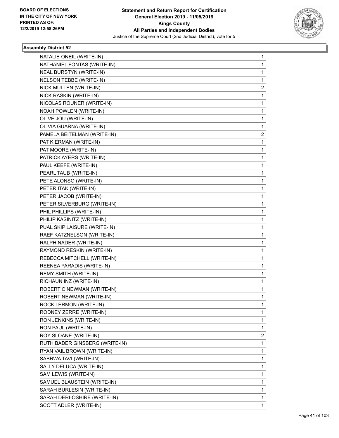

| NATALIE ONEIL (WRITE-IN)       | 1 |
|--------------------------------|---|
| NATHANIEL FONTAS (WRITE-IN)    | 1 |
| NEAL BURSTYN (WRITE-IN)        | 1 |
| NELSON TEBBE (WRITE-IN)        | 1 |
| NICK MULLEN (WRITE-IN)         | 2 |
| NICK RASKIN (WRITE-IN)         | 1 |
| NICOLAS ROUNER (WRITE-IN)      | 1 |
| NOAH POWLEN (WRITE-IN)         | 1 |
| OLIVE JOU (WRITE-IN)           | 1 |
| OLIVIA GUARNA (WRITE-IN)       | 1 |
| PAMELA BEITELMAN (WRITE-IN)    | 2 |
| PAT KIERMAN (WRITE-IN)         | 1 |
| PAT MOORE (WRITE-IN)           | 1 |
| PATRICK AYERS (WRITE-IN)       | 1 |
| PAUL KEEFE (WRITE-IN)          | 1 |
| PEARL TAUB (WRITE-IN)          | 1 |
| PETE ALONSO (WRITE-IN)         | 1 |
| PETER ITAK (WRITE-IN)          | 1 |
| PETER JACOB (WRITE-IN)         | 1 |
| PETER SILVERBURG (WRITE-IN)    | 1 |
| PHIL PHILLIPS (WRITE-IN)       | 1 |
| PHILIP KASINITZ (WRITE-IN)     | 1 |
| PUAL SKIP LAISURE (WRITE-IN)   | 1 |
| RAEF KATZNELSON (WRITE-IN)     | 1 |
| RALPH NADER (WRITE-IN)         | 1 |
| RAYMOND RESKIN (WRITE-IN)      | 1 |
| REBECCA MITCHELL (WRITE-IN)    | 1 |
| REENEA PARADIS (WRITE-IN)      | 1 |
| REMY SMITH (WRITE-IN)          | 1 |
| RICHAUN INZ (WRITE-IN)         | 1 |
| ROBERT C NEWMAN (WRITE-IN)     | 1 |
| ROBERT NEWMAN (WRITE-IN)       | 1 |
| ROCK LERMON (WRITE-IN)         | 1 |
| RODNEY ZERRE (WRITE-IN)        | 1 |
| RON JENKINS (WRITE-IN)         | 1 |
| RON PAUL (WRITE-IN)            | 1 |
| ROY SLOANE (WRITE-IN)          | 2 |
| RUTH BADER GINSBERG (WRITE-IN) | 1 |
| RYAN VAIL BROWN (WRITE-IN)     | 1 |
| SABRWA TAVI (WRITE-IN)         | 1 |
| SALLY DELUCA (WRITE-IN)        | 1 |
| SAM LEWIS (WRITE-IN)           | 1 |
| SAMUEL BLAUSTEIN (WRITE-IN)    | 1 |
| SARAH BURLESIN (WRITE-IN)      | 1 |
| SARAH DERI-OSHIRE (WRITE-IN)   | 1 |
| SCOTT ADLER (WRITE-IN)         | 1 |
|                                |   |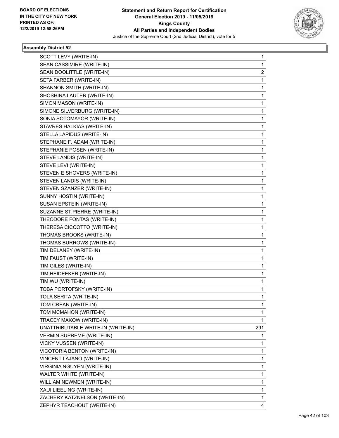

| SCOTT LEVY (WRITE-IN)              | 1                       |
|------------------------------------|-------------------------|
| SEAN CASSIMIRE (WRITE-IN)          | 1                       |
| SEAN DOOLITTLE (WRITE-IN)          | $\overline{\mathbf{c}}$ |
| SETA FARBER (WRITE-IN)             | 1                       |
| SHANNON SMITH (WRITE-IN)           | 1                       |
| SHOSHINA LAUTER (WRITE-IN)         | 1                       |
| SIMON MASON (WRITE-IN)             | 1                       |
| SIMONE SILVERBURG (WRITE-IN)       | 1                       |
| SONIA SOTOMAYOR (WRITE-IN)         | 1                       |
| STAVRES HALKIAS (WRITE-IN)         | 1                       |
| STELLA LAPIDUS (WRITE-IN)          | 1                       |
| STEPHANE F. ADAM (WRITE-IN)        | 1                       |
| STEPHANIE POSEN (WRITE-IN)         | 1                       |
| STEVE LANDIS (WRITE-IN)            | 1                       |
| STEVE LEVI (WRITE-IN)              | 1                       |
| STEVEN E SHOVERS (WRITE-IN)        | 1                       |
| STEVEN LANDIS (WRITE-IN)           | 1                       |
| STEVEN SZANZER (WRITE-IN)          | 1                       |
| SUNNY HOSTIN (WRITE-IN)            | 1                       |
| SUSAN EPSTEIN (WRITE-IN)           | 1                       |
| SUZANNE ST.PIERRE (WRITE-IN)       | 1                       |
| THEODORE FONTAS (WRITE-IN)         | 1                       |
| THERESA CICCOTTO (WRITE-IN)        | 1                       |
| THOMAS BROOKS (WRITE-IN)           | 1                       |
| THOMAS BURROWS (WRITE-IN)          | 1                       |
| TIM DELANEY (WRITE-IN)             | 1                       |
| TIM FAUST (WRITE-IN)               | 1                       |
| TIM GILES (WRITE-IN)               | 1                       |
| TIM HEIDEEKER (WRITE-IN)           | 1                       |
| TIM WU (WRITE-IN)                  | 1                       |
| TOBA PORTOFSKY (WRITE-IN)          | 1                       |
| TOLA SERITA (WRITE-IN)             | 1                       |
| TOM CREAN (WRITE-IN)               | 1                       |
| TOM MCMAHON (WRITE-IN)             | 1                       |
| TRACEY MAKOW (WRITE-IN)            | 1                       |
| UNATTRIBUTABLE WRITE-IN (WRITE-IN) | 291                     |
| <b>VERMIN SUPREME (WRITE-IN)</b>   | 1                       |
| <b>VICKY VUSSEN (WRITE-IN)</b>     | 1                       |
| VICOTORIA BENTON (WRITE-IN)        | 1                       |
| VINCENT LAJANO (WRITE-IN)          | 1                       |
| VIRGINIA NGUYEN (WRITE-IN)         | 1                       |
| WALTER WHITE (WRITE-IN)            | 1                       |
| WILLIAM NEWMEN (WRITE-IN)          | 1                       |
| XAUI LIEELING (WRITE-IN)           | 1                       |
| ZACHERY KATZNELSON (WRITE-IN)      | 1                       |
| ZEPHYR TEACHOUT (WRITE-IN)         | 4                       |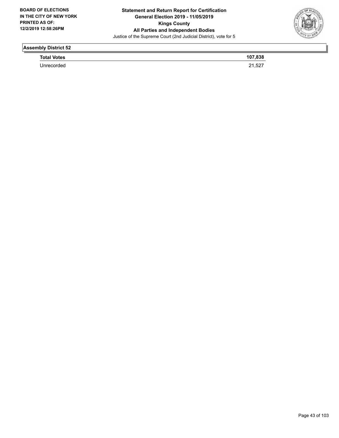

| <b>Total Votes</b> | 107,838           |
|--------------------|-------------------|
|                    | 2152<br>ا عن, ا ع |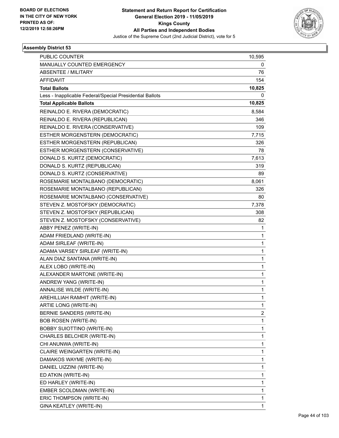

| <b>PUBLIC COUNTER</b>                                    | 10,595 |
|----------------------------------------------------------|--------|
| <b>MANUALLY COUNTED EMERGENCY</b>                        | 0      |
| <b>ABSENTEE / MILITARY</b>                               | 76     |
| <b>AFFIDAVIT</b>                                         | 154    |
| <b>Total Ballots</b>                                     | 10,825 |
| Less - Inapplicable Federal/Special Presidential Ballots | 0      |
| <b>Total Applicable Ballots</b>                          | 10,825 |
| REINALDO E. RIVERA (DEMOCRATIC)                          | 8,584  |
| REINALDO E. RIVERA (REPUBLICAN)                          | 346    |
| REINALDO E. RIVERA (CONSERVATIVE)                        | 109    |
| ESTHER MORGENSTERN (DEMOCRATIC)                          | 7,715  |
| ESTHER MORGENSTERN (REPUBLICAN)                          | 326    |
| ESTHER MORGENSTERN (CONSERVATIVE)                        | 78     |
| DONALD S. KURTZ (DEMOCRATIC)                             | 7,613  |
| DONALD S. KURTZ (REPUBLICAN)                             | 319    |
| DONALD S. KURTZ (CONSERVATIVE)                           | 89     |
| ROSEMARIE MONTALBANO (DEMOCRATIC)                        | 8,061  |
| ROSEMARIE MONTALBANO (REPUBLICAN)                        | 326    |
| ROSEMARIE MONTALBANO (CONSERVATIVE)                      | 80     |
| STEVEN Z. MOSTOFSKY (DEMOCRATIC)                         | 7,378  |
| STEVEN Z. MOSTOFSKY (REPUBLICAN)                         | 308    |
| STEVEN Z. MOSTOFSKY (CONSERVATIVE)                       | 82     |
| ABBY PENEZ (WRITE-IN)                                    | 1      |
| ADAM FRIEDLAND (WRITE-IN)                                | 1      |
| ADAM SIRLEAF (WRITE-IN)                                  | 1      |
| ADAMA VARSEY SIRLEAF (WRITE-IN)                          | 1      |
| ALAN DIAZ SANTANA (WRITE-IN)                             | 1      |
| ALEX LOBO (WRITE-IN)                                     | 1      |
| ALEXANDER MARTONE (WRITE-IN)                             | 1      |
| ANDREW YANG (WRITE-IN)                                   | 1      |
| ANNALISE WILDE (WRITE-IN)                                | 1      |
| AREHILLIAH RAMHIT (WRITE-IN)                             | 1      |
| ARTIE LONG (WRITE-IN)                                    | 1      |
| BERNIE SANDERS (WRITE-IN)                                | 2      |
| <b>BOB ROSEN (WRITE-IN)</b>                              | 1      |
| <b>BOBBY SUIOTTINO (WRITE-IN)</b>                        | 1      |
| CHARLES BELCHER (WRITE-IN)                               | 1      |
| CHI ANUNWA (WRITE-IN)                                    | 1      |
| CLAIRE WEINGARTEN (WRITE-IN)                             | 1      |
| DAMAKOS WAYME (WRITE-IN)                                 | 1      |
| DANIEL UIZZINI (WRITE-IN)                                | 1      |
| ED ATKIN (WRITE-IN)                                      | 1      |
| ED HARLEY (WRITE-IN)                                     | 1      |
| EMBER SCOLDMAN (WRITE-IN)                                | 1      |
| ERIC THOMPSON (WRITE-IN)                                 | 1      |
| GINA KEATLEY (WRITE-IN)                                  | 1      |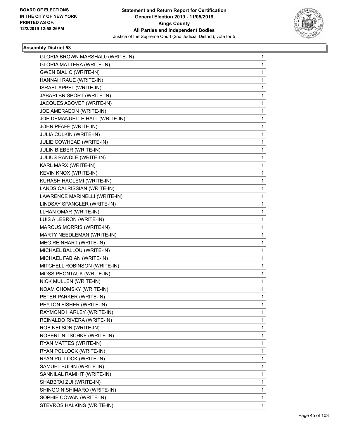

| GLORIA BROWN MARSHAL0 (WRITE-IN) | 1            |
|----------------------------------|--------------|
| GLORIA MATTERA (WRITE-IN)        | $\mathbf 1$  |
| <b>GWEN BIALIC (WRITE-IN)</b>    | 1            |
| HANNAH RAUE (WRITE-IN)           | 1            |
| ISRAEL APPEL (WRITE-IN)          | 1            |
| JABARI BRISPORT (WRITE-IN)       | 1            |
| JACQUES ABOVEF (WRITE-IN)        | 1            |
| JOE AMERAEON (WRITE-IN)          | 1            |
| JOE DEMANUELLE HALL (WRITE-IN)   | 1            |
| JOHN PFAFF (WRITE-IN)            | 1            |
| JULIA CULKIN (WRITE-IN)          | 1            |
| JULIE COWHEAD (WRITE-IN)         | 1            |
| JULIN BIEBER (WRITE-IN)          | 1            |
| JULIUS RANDLE (WRITE-IN)         | 1            |
| KARL MARX (WRITE-IN)             | 1            |
| KEVIN KNOX (WRITE-IN)            | 1            |
| KURASH HAGLEMI (WRITE-IN)        | 1            |
| LANDS CALRISSIAN (WRITE-IN)      | 1            |
| LAWRENCE MARINELLI (WRITE-IN)    | 1            |
| LINDSAY SPANGLER (WRITE-IN)      | 1            |
| LLHAN OMAR (WRITE-IN)            | 1            |
| LUIS A LEBRON (WRITE-IN)         | 1            |
| <b>MARCUS MORRIS (WRITE-IN)</b>  | 1            |
| MARTY NEEDLEMAN (WRITE-IN)       | 1            |
| MEG REINHART (WRITE-IN)          | 1            |
| MICHAEL BALLOU (WRITE-IN)        | 1            |
| MICHAEL FABIAN (WRITE-IN)        | 1            |
| MITCHELL ROBINSON (WRITE-IN)     | 1            |
| <b>MOSS PHONTAUK (WRITE-IN)</b>  | 1            |
| NICK MULLEN (WRITE-IN)           | 1            |
| NOAM CHOMSKY (WRITE-IN)          | 1            |
| PETER PARKER (WRITE-IN)          | $\mathbf{1}$ |
| PEYTON FISHER (WRITE-IN)         | 1            |
| RAYMOND HARLEY (WRITE-IN)        | 1            |
| REINALDO RIVERA (WRITE-IN)       | 1            |
| ROB NELSON (WRITE-IN)            | 1            |
| ROBERT NITSCHKE (WRITE-IN)       | 1            |
| RYAN MATTES (WRITE-IN)           | 1            |
| RYAN POLLOCK (WRITE-IN)          | 1            |
| RYAN PULLOCK (WRITE-IN)          | 1            |
| SAMUEL BUDIN (WRITE-IN)          | 1            |
| SANNILAL RAMHIT (WRITE-IN)       | 1            |
| SHABBTAI ZUI (WRITE-IN)          | 1            |
| SHINGO NISHIMARO (WRITE-IN)      | 1            |
| SOPHIE COWAN (WRITE-IN)          | 1            |
| STEVROS HALKINS (WRITE-IN)       | 1            |
|                                  |              |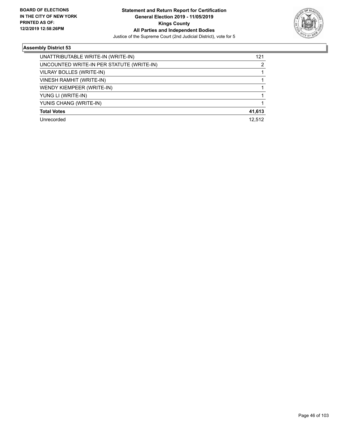

| UNATTRIBUTABLE WRITE-IN (WRITE-IN)        | 121    |
|-------------------------------------------|--------|
| UNCOUNTED WRITE-IN PER STATUTE (WRITE-IN) | 2      |
| VILRAY BOLLES (WRITE-IN)                  |        |
| VINESH RAMHIT (WRITE-IN)                  |        |
| WENDY KIEMPEER (WRITE-IN)                 |        |
| YUNG LI (WRITE-IN)                        |        |
| YUNIS CHANG (WRITE-IN)                    |        |
| <b>Total Votes</b>                        | 41,613 |
| Unrecorded                                | 12.512 |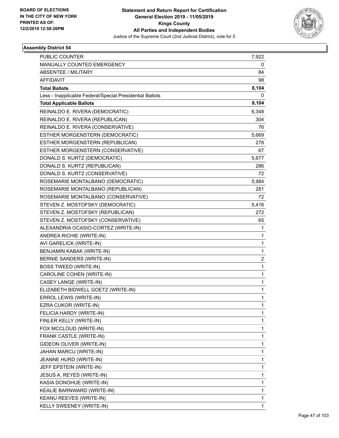

| <b>PUBLIC COUNTER</b>                                    | 7,922        |
|----------------------------------------------------------|--------------|
| MANUALLY COUNTED EMERGENCY                               | 0            |
| <b>ABSENTEE / MILITARY</b>                               | 84           |
| <b>AFFIDAVIT</b>                                         | 98           |
| <b>Total Ballots</b>                                     | 8,104        |
| Less - Inapplicable Federal/Special Presidential Ballots | 0            |
| <b>Total Applicable Ballots</b>                          | 8,104        |
| REINALDO E. RIVERA (DEMOCRATIC)                          | 6,348        |
| REINALDO E. RIVERA (REPUBLICAN)                          | 304          |
| REINALDO E. RIVERA (CONSERVATIVE)                        | 76           |
| ESTHER MORGENSTERN (DEMOCRATIC)                          | 5,669        |
| ESTHER MORGENSTERN (REPUBLICAN)                          | 278          |
| ESTHER MORGENSTERN (CONSERVATIVE)                        | 67           |
| DONALD S. KURTZ (DEMOCRATIC)                             | 5,677        |
| DONALD S. KURTZ (REPUBLICAN)                             | 286          |
| DONALD S. KURTZ (CONSERVATIVE)                           | 72           |
| ROSEMARIE MONTALBANO (DEMOCRATIC)                        | 5,984        |
| ROSEMARIE MONTALBANO (REPUBLICAN)                        | 281          |
| ROSEMARIE MONTALBANO (CONSERVATIVE)                      | 72           |
| STEVEN Z. MOSTOFSKY (DEMOCRATIC)                         | 5,416        |
| STEVEN Z. MOSTOFSKY (REPUBLICAN)                         | 272          |
| STEVEN Z. MOSTOFSKY (CONSERVATIVE)                       | 65           |
| ALEXANDRIA OCASIO-CORTEZ (WRITE-IN)                      | 1            |
| ANDREA RICHIE (WRITE-IN)                                 | 1            |
| AVI GARELICK (WRITE-IN)                                  | 1            |
| BENJAMIN KABAK (WRITE-IN)                                | $\mathbf{1}$ |
| BERNIE SANDERS (WRITE-IN)                                | 2            |
| <b>BOSS TWEED (WRITE-IN)</b>                             | 1            |
| CAROLINE COHEN (WRITE-IN)                                | $\mathbf{1}$ |
| CASEY LANGE (WRITE-IN)                                   | 1            |
| ELIZABETH BIDWELL GOETZ (WRITE-IN)                       | $\mathbf{1}$ |
| ERROL LEWIS (WRITE-IN)                                   | 1            |
| EZRA CUKOR (WRITE-IN)                                    | 1            |
| FELICIA HARDY (WRITE-IN)                                 | 1            |
| FINLER KELLY (WRITE-IN)                                  | 1            |
| FOX MCCLOUD (WRITE-IN)                                   | 1            |
| FRANK CASTLE (WRITE-IN)                                  | 1            |
| GIDEON OLIVER (WRITE-IN)                                 | 1            |
| JAHAN MARCU (WRITE-IN)                                   | 1            |
| JEANNE HURD (WRITE-IN)                                   | 1            |
| JEFF EPSTEIN (WRITE-IN)                                  | 1            |
| JESUS A. REYES (WRITE-IN)                                | 1            |
| KASIA DONOHUE (WRITE-IN)                                 | 1            |
| KEALIE BARNWARD (WRITE-IN)                               | 1            |
| KEANU REEVES (WRITE-IN)                                  | 1            |
| KELLY SWEENEY (WRITE-IN)                                 | 1            |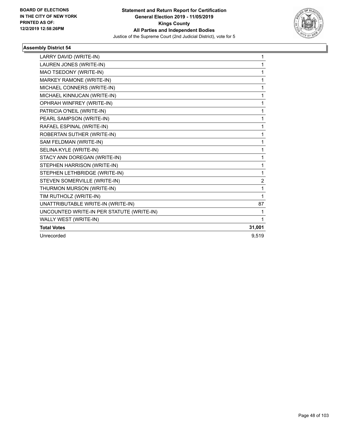

| LARRY DAVID (WRITE-IN)                    | $\mathbf 1$    |
|-------------------------------------------|----------------|
| LAUREN JONES (WRITE-IN)                   | 1              |
| MAO TSEDONY (WRITE-IN)                    | 1              |
| MARKEY RAMONE (WRITE-IN)                  | 1              |
| MICHAEL CONNERS (WRITE-IN)                | 1              |
| MICHAEL KINNUCAN (WRITE-IN)               | 1              |
| OPHRAH WINFREY (WRITE-IN)                 | 1              |
| PATRICIA O'NEIL (WRITE-IN)                | 1              |
| PEARL SAMPSON (WRITE-IN)                  | 1              |
| RAFAEL ESPINAL (WRITE-IN)                 | 1              |
| ROBERTAN SUTHER (WRITE-IN)                | 1              |
| SAM FELDMAN (WRITE-IN)                    | 1              |
| SELINA KYLE (WRITE-IN)                    | 1              |
| STACY ANN DOREGAN (WRITE-IN)              | 1              |
| STEPHEN HARRISON (WRITE-IN)               | 1              |
| STEPHEN LETHBRIDGE (WRITE-IN)             | 1              |
| STEVEN SOMERVILLE (WRITE-IN)              | $\overline{c}$ |
| THURMON MURSON (WRITE-IN)                 | 1              |
| TIM RUTHOLZ (WRITE-IN)                    | 1              |
| UNATTRIBUTABLE WRITE-IN (WRITE-IN)        | 87             |
| UNCOUNTED WRITE-IN PER STATUTE (WRITE-IN) | 1              |
| WALLY WEST (WRITE-IN)                     | 1              |
| <b>Total Votes</b>                        | 31,001         |
| Unrecorded                                | 9.519          |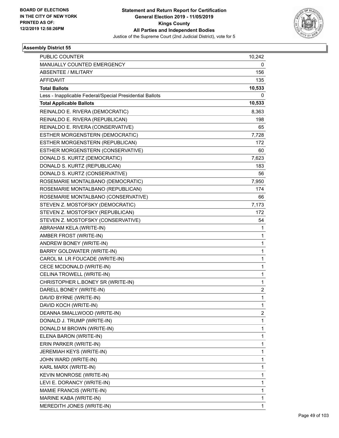

| PUBLIC COUNTER                                           | 10,242                  |
|----------------------------------------------------------|-------------------------|
| MANUALLY COUNTED EMERGENCY                               | 0                       |
| <b>ABSENTEE / MILITARY</b>                               | 156                     |
| <b>AFFIDAVIT</b>                                         | 135                     |
| <b>Total Ballots</b>                                     | 10,533                  |
| Less - Inapplicable Federal/Special Presidential Ballots | 0                       |
| <b>Total Applicable Ballots</b>                          | 10,533                  |
| REINALDO E. RIVERA (DEMOCRATIC)                          | 8,363                   |
| REINALDO E. RIVERA (REPUBLICAN)                          | 198                     |
| REINALDO E. RIVERA (CONSERVATIVE)                        | 65                      |
| ESTHER MORGENSTERN (DEMOCRATIC)                          | 7,728                   |
| ESTHER MORGENSTERN (REPUBLICAN)                          | 172                     |
| ESTHER MORGENSTERN (CONSERVATIVE)                        | 60                      |
| DONALD S. KURTZ (DEMOCRATIC)                             | 7,623                   |
| DONALD S. KURTZ (REPUBLICAN)                             | 183                     |
| DONALD S. KURTZ (CONSERVATIVE)                           | 56                      |
| ROSEMARIE MONTALBANO (DEMOCRATIC)                        | 7,950                   |
| ROSEMARIE MONTALBANO (REPUBLICAN)                        | 174                     |
| ROSEMARIE MONTALBANO (CONSERVATIVE)                      | 66                      |
| STEVEN Z. MOSTOFSKY (DEMOCRATIC)                         | 7,173                   |
| STEVEN Z. MOSTOFSKY (REPUBLICAN)                         | 172                     |
| STEVEN Z. MOSTOFSKY (CONSERVATIVE)                       | 54                      |
| ABRAHAM KELA (WRITE-IN)                                  | 1                       |
| AMBER FROST (WRITE-IN)                                   | 1                       |
| ANDREW BONEY (WRITE-IN)                                  | $\mathbf{1}$            |
| BARRY GOLDWATER (WRITE-IN)                               | $\mathbf{1}$            |
| CAROL M. LR FOUCADE (WRITE-IN)                           | 1                       |
| CECE MCDONALD (WRITE-IN)                                 | $\mathbf{1}$            |
| CELINA TROWELL (WRITE-IN)                                | $\mathbf{1}$            |
| CHRISTOPHER L.BONEY SR (WRITE-IN)                        | 1                       |
| DARELL BONEY (WRITE-IN)                                  | $\overline{\mathbf{c}}$ |
| DAVID BYRNE (WRITE-IN)                                   | $\mathbf{1}$            |
| DAVID KOCH (WRITE-IN)                                    | 1                       |
| DEANNA SMALLWOOD (WRITE-IN)                              | $\overline{\mathbf{c}}$ |
| DONALD J. TRUMP (WRITE-IN)                               | $\mathbf{1}$            |
| DONALD M BROWN (WRITE-IN)                                | 1                       |
| ELENA BARON (WRITE-IN)                                   | $\mathbf{1}$            |
| ERIN PARKER (WRITE-IN)                                   | $\mathbf{1}$            |
| JEREMIAH KEYS (WRITE-IN)                                 | 1                       |
| JOHN WARD (WRITE-IN)                                     | $\mathbf{1}$            |
| KARL MARX (WRITE-IN)                                     | $\mathbf{1}$            |
| KEVIN MONROSE (WRITE-IN)                                 | 1                       |
| LEVI E. DORANCY (WRITE-IN)                               | $\mathbf{1}$            |
| MAMIE FRANCIS (WRITE-IN)                                 | $\mathbf{1}$            |
| MARINE KABA (WRITE-IN)                                   | 1                       |
| MEREDITH JONES (WRITE-IN)                                | $\mathbf{1}$            |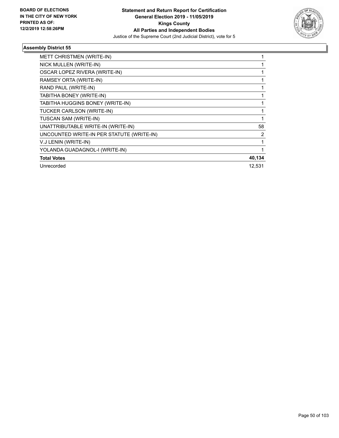

| METT CHRISTMEN (WRITE-IN)                 |        |
|-------------------------------------------|--------|
| NICK MULLEN (WRITE-IN)                    |        |
| OSCAR LOPEZ RIVERA (WRITE-IN)             | 1      |
| RAMSEY ORTA (WRITE-IN)                    | 1      |
| RAND PAUL (WRITE-IN)                      |        |
| TABITHA BONEY (WRITE-IN)                  | 1      |
| TABITHA HUGGINS BONEY (WRITE-IN)          |        |
| TUCKER CARLSON (WRITE-IN)                 | 1      |
| TUSCAN SAM (WRITE-IN)                     |        |
| UNATTRIBUTABLE WRITE-IN (WRITE-IN)        | 58     |
| UNCOUNTED WRITE-IN PER STATUTE (WRITE-IN) | 2      |
| V.J LENIN (WRITE-IN)                      | 1      |
| YOLANDA GUADAGNOL-I (WRITE-IN)            | 1      |
| <b>Total Votes</b>                        | 40,134 |
| Unrecorded                                | 12,531 |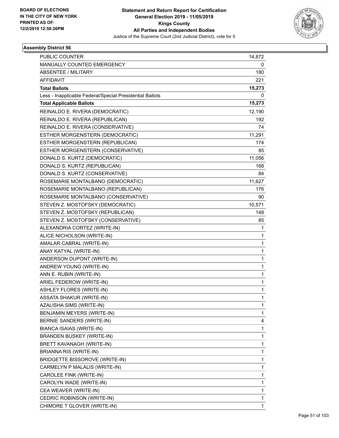

| <b>PUBLIC COUNTER</b>                                    | 14,872       |
|----------------------------------------------------------|--------------|
| MANUALLY COUNTED EMERGENCY                               | 0            |
| <b>ABSENTEE / MILITARY</b>                               | 180          |
| <b>AFFIDAVIT</b>                                         | 221          |
| <b>Total Ballots</b>                                     | 15,273       |
| Less - Inapplicable Federal/Special Presidential Ballots | 0            |
| <b>Total Applicable Ballots</b>                          | 15,273       |
| REINALDO E. RIVERA (DEMOCRATIC)                          | 12,190       |
| REINALDO E. RIVERA (REPUBLICAN)                          | 192          |
| REINALDO E. RIVERA (CONSERVATIVE)                        | 74           |
| ESTHER MORGENSTERN (DEMOCRATIC)                          | 11,291       |
| ESTHER MORGENSTERN (REPUBLICAN)                          | 174          |
| ESTHER MORGENSTERN (CONSERVATIVE)                        | 85           |
| DONALD S. KURTZ (DEMOCRATIC)                             | 11,056       |
| DONALD S. KURTZ (REPUBLICAN)                             | 168          |
| DONALD S. KURTZ (CONSERVATIVE)                           | 84           |
| ROSEMARIE MONTALBANO (DEMOCRATIC)                        | 11,627       |
| ROSEMARIE MONTALBANO (REPUBLICAN)                        | 176          |
| ROSEMARIE MONTALBANO (CONSERVATIVE)                      | 90           |
| STEVEN Z. MOSTOFSKY (DEMOCRATIC)                         | 10,571       |
| STEVEN Z. MOSTOFSKY (REPUBLICAN)                         | 148          |
| STEVEN Z. MOSTOFSKY (CONSERVATIVE)                       | 85           |
| ALEXANDRIA CORTEZ (WRITE-IN)                             | 1            |
| ALICE NICHOLSON (WRITE-IN)                               | 1            |
| AMALAR CABRAL (WRITE-IN)                                 | 1            |
| ANAY KATYAL (WRITE-IN)                                   | $\mathbf 1$  |
| ANDERSON DUPONT (WRITE-IN)                               | $\mathbf 1$  |
| ANDREW YOUNG (WRITE-IN)                                  | 1            |
| ANN E. RUBIN (WRITE-IN)                                  | $\mathbf{1}$ |
| ARIEL FEDEROW (WRITE-IN)                                 | $\mathbf 1$  |
| <b>ASHLEY FLORES (WRITE-IN)</b>                          | $\mathbf{1}$ |
| ASSATA SHAKUR (WRITE-IN)                                 | 1            |
| AZALISHA SIMS (WRITE-IN)                                 | 1            |
| BENJAMIN MEYERS (WRITE-IN)                               | 1            |
| BERNIE SANDERS (WRITE-IN)                                | 4            |
| BIANCA ISAIAS (WRITE-IN)                                 | 1            |
| <b>BRANDEN BUSKEY (WRITE-IN)</b>                         | 1            |
| BRETT KAVANAGH (WRITE-IN)                                | 1            |
| <b>BRIANNA RIS (WRITE-IN)</b>                            | 1            |
| <b>BRIDGETTE BISSOROVE (WRITE-IN)</b>                    | 1            |
| CARMELYN P MALALIS (WRITE-IN)                            | $\mathbf 1$  |
| CAROLEE FINK (WRITE-IN)                                  | 1            |
| CAROLYN WADE (WRITE-IN)                                  | 1            |
| CEA WEAVER (WRITE-IN)                                    | 1            |
| CEDRIC ROBINSON (WRITE-IN)                               | 1            |
| CHIMORE T GLOVER (WRITE-IN)                              | 1            |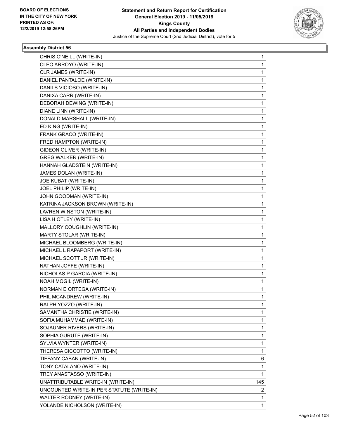

| CHRIS O'NEILL (WRITE-IN)                  | 1           |
|-------------------------------------------|-------------|
| CLEO ARROYO (WRITE-IN)                    | $\mathbf 1$ |
| CLR JAMES (WRITE-IN)                      | 1           |
| DANIEL PANTALOE (WRITE-IN)                | 1           |
| DANILS VICIOSO (WRITE-IN)                 | $\mathbf 1$ |
| DANIXA CARR (WRITE-IN)                    | 1           |
| DEBORAH DEWING (WRITE-IN)                 | 1           |
| DIANE LINN (WRITE-IN)                     | $\mathbf 1$ |
| DONALD MARSHALL (WRITE-IN)                | 1           |
| ED KING (WRITE-IN)                        | 1           |
| FRANK GRACO (WRITE-IN)                    | 1           |
| FRED HAMPTON (WRITE-IN)                   | 1           |
| GIDEON OLIVER (WRITE-IN)                  | 1           |
| <b>GREG WALKER (WRITE-IN)</b>             | $\mathbf 1$ |
| HANNAH GLADSTEIN (WRITE-IN)               | 1           |
| JAMES DOLAN (WRITE-IN)                    | 1           |
| JOE KUBAT (WRITE-IN)                      | 1           |
| JOEL PHILIP (WRITE-IN)                    | 1           |
| JOHN GOODMAN (WRITE-IN)                   | 1           |
| KATRINA JACKSON BROWN (WRITE-IN)          | $\mathbf 1$ |
| LAVREN WINSTON (WRITE-IN)                 | 1           |
| LISA H OTLEY (WRITE-IN)                   | 1           |
| MALLORY COUGHLIN (WRITE-IN)               | 1           |
| MARTY STOLAR (WRITE-IN)                   | 1           |
| MICHAEL BLOOMBERG (WRITE-IN)              | 1           |
| MICHAEL L RAPAPORT (WRITE-IN)             | $\mathbf 1$ |
| MICHAEL SCOTT JR (WRITE-IN)               | 1           |
| NATHAN JOFFE (WRITE-IN)                   | 1           |
| NICHOLAS P GARCIA (WRITE-IN)              | 1           |
| NOAH MOGIL (WRITE-IN)                     | 1           |
| NORMAN E ORTEGA (WRITE-IN)                | 1           |
| PHIL MCANDREW (WRITE-IN)                  | $\mathbf 1$ |
| RALPH YOZZO (WRITE-IN)                    | 1           |
| SAMANTHA CHRISTIE (WRITE-IN)              | 1           |
| SOFIA MUHAMMAD (WRITE-IN)                 | $\mathbf 1$ |
| SOJAUNER RIVERS (WRITE-IN)                | 1           |
| SOPHIA GURUTE (WRITE-IN)                  | 1           |
| SYLVIA WYNTER (WRITE-IN)                  | $\mathbf 1$ |
| THERESA CICCOTTO (WRITE-IN)               | 1           |
| TIFFANY CABAN (WRITE-IN)                  | 6           |
| TONY CATALANO (WRITE-IN)                  | $\mathbf 1$ |
| TREY ANASTASSO (WRITE-IN)                 | 1           |
| UNATTRIBUTABLE WRITE-IN (WRITE-IN)        | 145         |
| UNCOUNTED WRITE-IN PER STATUTE (WRITE-IN) | 2           |
| WALTER RODNEY (WRITE-IN)                  | 1           |
| YOLANDE NICHOLSON (WRITE-IN)              | 1           |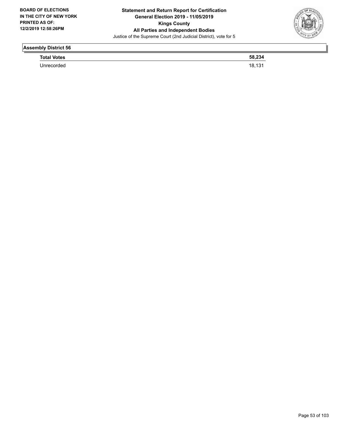

| __                 |                |
|--------------------|----------------|
| <b>Total Votes</b> | 58,234         |
|                    | 1012<br>10,131 |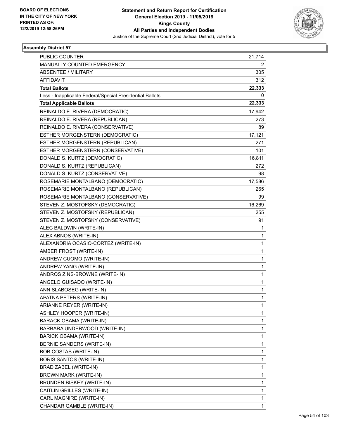

| <b>PUBLIC COUNTER</b>                                    | 21,714       |
|----------------------------------------------------------|--------------|
| MANUALLY COUNTED EMERGENCY                               | 2            |
| <b>ABSENTEE / MILITARY</b>                               | 305          |
| <b>AFFIDAVIT</b>                                         | 312          |
| <b>Total Ballots</b>                                     | 22,333       |
| Less - Inapplicable Federal/Special Presidential Ballots | $^{(1)}$     |
| <b>Total Applicable Ballots</b>                          | 22,333       |
| REINALDO E. RIVERA (DEMOCRATIC)                          | 17,942       |
| REINALDO E. RIVERA (REPUBLICAN)                          | 273          |
| REINALDO E. RIVERA (CONSERVATIVE)                        | 89           |
| ESTHER MORGENSTERN (DEMOCRATIC)                          | 17,121       |
| ESTHER MORGENSTERN (REPUBLICAN)                          | 271          |
| ESTHER MORGENSTERN (CONSERVATIVE)                        | 101          |
| DONALD S. KURTZ (DEMOCRATIC)                             | 16,811       |
| DONALD S. KURTZ (REPUBLICAN)                             | 272          |
| DONALD S. KURTZ (CONSERVATIVE)                           | 98           |
| ROSEMARIE MONTALBANO (DEMOCRATIC)                        | 17,586       |
| ROSEMARIE MONTALBANO (REPUBLICAN)                        | 265          |
| ROSEMARIE MONTALBANO (CONSERVATIVE)                      | 99           |
| STEVEN Z. MOSTOFSKY (DEMOCRATIC)                         | 16,269       |
| STEVEN Z. MOSTOFSKY (REPUBLICAN)                         | 255          |
| STEVEN Z. MOSTOFSKY (CONSERVATIVE)                       | 91           |
| ALEC BALDWIN (WRITE-IN)                                  | 1            |
| ALEX ABNOS (WRITE-IN)                                    | 1            |
| ALEXANDRIA OCASIO-CORTEZ (WRITE-IN)                      | $\mathbf{1}$ |
| AMBER FROST (WRITE-IN)                                   | $\mathbf{1}$ |
| ANDREW CUOMO (WRITE-IN)                                  | 1            |
| ANDREW YANG (WRITE-IN)                                   | 1            |
| ANDROS ZINS-BROWNE (WRITE-IN)                            | $\mathbf{1}$ |
| ANGELO GUISADO (WRITE-IN)                                | 1            |
| ANN SLABOSEG (WRITE-IN)                                  | $\mathbf{1}$ |
| APATNA PETERS (WRITE-IN)                                 | 1            |
| ARIANNE REYER (WRITE-IN)                                 | 1            |
| ASHLEY HOOPER (WRITE-IN)                                 | 1            |
| <b>BARACK OBAMA (WRITE-IN)</b>                           | 1            |
| BARBARA UNDERWOOD (WRITE-IN)                             | 1            |
| BARICK OBAMA (WRITE-IN)                                  | 1            |
| BERNIE SANDERS (WRITE-IN)                                | 1            |
| <b>BOB COSTAS (WRITE-IN)</b>                             | 1            |
| <b>BORIS SANTOS (WRITE-IN)</b>                           | 1            |
| BRAD ZABEL (WRITE-IN)                                    | $\mathbf{1}$ |
| BROWN MARK (WRITE-IN)                                    | 1            |
| BRUNDEN BISKEY (WRITE-IN)                                | 1            |
| CAITLIN GRILLES (WRITE-IN)                               | $\mathbf{1}$ |
| CARL MAGNIRE (WRITE-IN)                                  | 1            |
| CHANDAR GAMBLE (WRITE-IN)                                | 1            |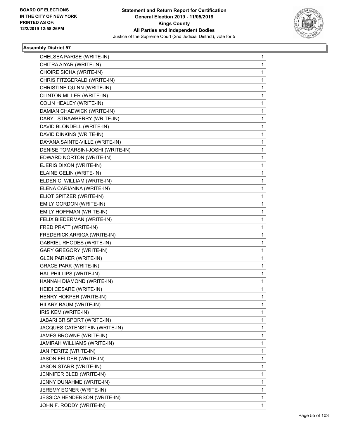

| CHELSEA PARISE (WRITE-IN)         | 1 |
|-----------------------------------|---|
| CHITRA AIYAR (WRITE-IN)           | 1 |
| CHOIRE SICHA (WRITE-IN)           | 1 |
| CHRIS FITZGERALD (WRITE-IN)       | 1 |
| CHRISTINE QUINN (WRITE-IN)        | 1 |
| CLINTON MILLER (WRITE-IN)         | 1 |
| COLIN HEALEY (WRITE-IN)           | 1 |
| DAMIAN CHADWICK (WRITE-IN)        | 1 |
| DARYL STRAWBERRY (WRITE-IN)       | 1 |
| DAVID BLONDELL (WRITE-IN)         | 1 |
| DAVID DINKINS (WRITE-IN)          | 1 |
| DAYANA SAINTE-VILLE (WRITE-IN)    | 1 |
| DENISE TOMARSINI-JOSHI (WRITE-IN) | 1 |
| EDWARD NORTON (WRITE-IN)          | 1 |
| EJERIS DIXON (WRITE-IN)           | 1 |
| ELAINE GELIN (WRITE-IN)           | 1 |
| ELDEN C. WILLIAM (WRITE-IN)       | 1 |
| ELENA CARIANNA (WRITE-IN)         | 1 |
| ELIOT SPITZER (WRITE-IN)          | 1 |
| EMILY GORDON (WRITE-IN)           | 1 |
| EMILY HOFFMAN (WRITE-IN)          | 1 |
| FELIX BIEDERMAN (WRITE-IN)        | 1 |
| FRED PRATT (WRITE-IN)             | 1 |
| FREDERICK ARRIGA (WRITE-IN)       | 1 |
| <b>GABRIEL RHODES (WRITE-IN)</b>  | 1 |
| <b>GARY GREGORY (WRITE-IN)</b>    | 1 |
| <b>GLEN PARKER (WRITE-IN)</b>     | 1 |
| <b>GRACE PARK (WRITE-IN)</b>      | 1 |
| HAL PHILLIPS (WRITE-IN)           | 1 |
| HANNAH DIAMOND (WRITE-IN)         | 1 |
| HEIDI CESARE (WRITE-IN)           | 1 |
| HENRY HOKPER (WRITE-IN)           | 1 |
| HILARY BAUM (WRITE-IN)            | 1 |
| IRIS KEM (WRITE-IN)               | 1 |
| JABARI BRISPORT (WRITE-IN)        | 1 |
| JACQUES CATENSTEIN (WRITE-IN)     | 1 |
| JAMES BROWNE (WRITE-IN)           | 1 |
| JAMIRAH WILLIAMS (WRITE-IN)       | 1 |
| JAN PERITZ (WRITE-IN)             | 1 |
| JASON FELDER (WRITE-IN)           | 1 |
| <b>JASON STARR (WRITE-IN)</b>     | 1 |
| JENNIFER BLED (WRITE-IN)          | 1 |
| JENNY DUNAHME (WRITE-IN)          | 1 |
| JEREMY EGNER (WRITE-IN)           | 1 |
| JESSICA HENDERSON (WRITE-IN)      | 1 |
| JOHN F. RODDY (WRITE-IN)          | 1 |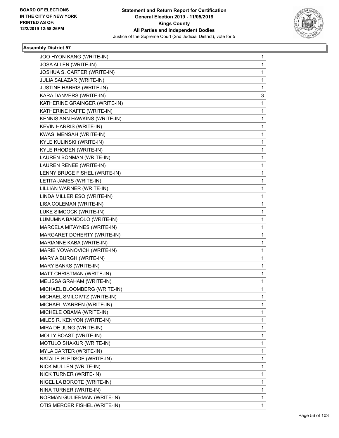

| JOO HYON KANG (WRITE-IN)         | 1 |
|----------------------------------|---|
| JOSA ALLEN (WRITE-IN)            | 1 |
| JOSHUA S. CARTER (WRITE-IN)      | 1 |
| JULIA SALAZAR (WRITE-IN)         | 1 |
| <b>JUSTINE HARRIS (WRITE-IN)</b> | 1 |
| KARA DANVERS (WRITE-IN)          | 3 |
| KATHERINE GRAINGER (WRITE-IN)    | 1 |
| KATHERINE KAFFE (WRITE-IN)       | 1 |
| KENNIS ANN HAWKINS (WRITE-IN)    | 1 |
| KEVIN HARRIS (WRITE-IN)          | 1 |
| KWASI MENSAH (WRITE-IN)          | 1 |
| KYLE KULINSKI (WRITE-IN)         | 1 |
| KYLE RHODEN (WRITE-IN)           | 1 |
| LAUREN BONMAN (WRITE-IN)         | 1 |
| LAUREN RENEE (WRITE-IN)          | 1 |
| LENNY BRUCE FISHEL (WRITE-IN)    | 1 |
| LETITA JAMES (WRITE-IN)          | 1 |
| LILLIAN WARNER (WRITE-IN)        | 1 |
| LINDA MILLER ESQ (WRITE-IN)      | 1 |
| LISA COLEMAN (WRITE-IN)          | 1 |
| LUKE SIMCOCK (WRITE-IN)          | 1 |
| LUMUMNA BANDOLO (WRITE-IN)       | 1 |
| MARCELA MITAYNES (WRITE-IN)      | 1 |
| MARGARET DOHERTY (WRITE-IN)      | 1 |
| MARIANNE KABA (WRITE-IN)         | 1 |
| MARIE YOVANOVICH (WRITE-IN)      | 1 |
| MARY A BURGH (WRITE-IN)          | 1 |
| MARY BANKS (WRITE-IN)            | 1 |
| MATT CHRISTMAN (WRITE-IN)        | 1 |
| MELISSA GRAHAM (WRITE-IN)        | 1 |
| MICHAEL BLOOMBERG (WRITE-IN)     | 1 |
| MICHAEL SMILOIVTZ (WRITE-IN)     | 1 |
| MICHAEL WARREN (WRITE-IN)        | 1 |
| MICHELE OBAMA (WRITE-IN)         | 1 |
| MILES R. KENYON (WRITE-IN)       | 1 |
| MIRA DE JUNG (WRITE-IN)          | 1 |
| MOLLY BOAST (WRITE-IN)           | 1 |
| MOTULO SHAKUR (WRITE-IN)         | 1 |
| MYLA CARTER (WRITE-IN)           | 1 |
| NATALIE BLEDSOE (WRITE-IN)       | 1 |
| NICK MULLEN (WRITE-IN)           | 1 |
| NICK TURNER (WRITE-IN)           | 1 |
| NIGEL LA BOROTE (WRITE-IN)       | 1 |
| NINA TURNER (WRITE-IN)           | 1 |
| NORMAN GULIERMAN (WRITE-IN)      | 1 |
| OTIS MERCER FISHEL (WRITE-IN)    | 1 |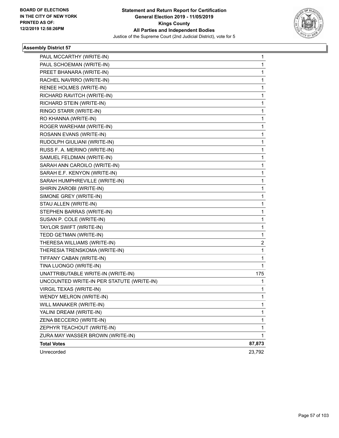

| PAUL MCCARTHY (WRITE-IN)                  | 1            |
|-------------------------------------------|--------------|
| PAUL SCHOEMAN (WRITE-IN)                  | 1            |
| PREET BHANARA (WRITE-IN)                  | 1            |
| RACHEL NAVRRO (WRITE-IN)                  | 1            |
| RENEE HOLMES (WRITE-IN)                   | 1            |
| RICHARD RAVITCH (WRITE-IN)                | 1            |
| RICHARD STEIN (WRITE-IN)                  | 1            |
| RINGO STARR (WRITE-IN)                    | 1            |
| RO KHANNA (WRITE-IN)                      | 1            |
| ROGER WAREHAM (WRITE-IN)                  | 1            |
| ROSANN EVANS (WRITE-IN)                   | 1            |
| RUDOLPH GIULIANI (WRITE-IN)               | 1            |
| RUSS F. A. MERINO (WRITE-IN)              | 1            |
| SAMUEL FELDMAN (WRITE-IN)                 | 1            |
| SARAH ANN CAROILO (WRITE-IN)              | 1            |
| SARAH E.F. KENYON (WRITE-IN)              | 1            |
| SARAH HUMPHREVILLE (WRITE-IN)             | 1            |
| SHIRIN ZAROBI (WRITE-IN)                  | 1            |
| SIMONE GREY (WRITE-IN)                    | 1            |
| STAU ALLEN (WRITE-IN)                     | 1            |
| STEPHEN BARRAS (WRITE-IN)                 | 1            |
| SUSAN P. COLE (WRITE-IN)                  | 1            |
| TAYLOR SWIFT (WRITE-IN)                   | 1            |
| TEDD GETMAN (WRITE-IN)                    | 1            |
| THERESA WILLIAMS (WRITE-IN)               | 2            |
| THERESIA TRENSKOMA (WRITE-IN)             | 1            |
| TIFFANY CABAN (WRITE-IN)                  | 1            |
| TINA LUONGO (WRITE-IN)                    | 1            |
| UNATTRIBUTABLE WRITE-IN (WRITE-IN)        | 175          |
| UNCOUNTED WRITE-IN PER STATUTE (WRITE-IN) | 1            |
| <b>VIRGIL TEXAS (WRITE-IN)</b>            | 1            |
| WENDY MELRON (WRITE-IN)                   | $\mathbf{1}$ |
| WILL MANAKER (WRITE-IN)                   | 1            |
| YALINI DREAM (WRITE-IN)                   | 1            |
| ZENA BECCERO (WRITE-IN)                   | 1            |
| ZEPHYR TEACHOUT (WRITE-IN)                | 1            |
| ZURA MAY WASSER BROWN (WRITE-IN)          | 1            |
| <b>Total Votes</b>                        | 87,873       |
| Unrecorded                                | 23,792       |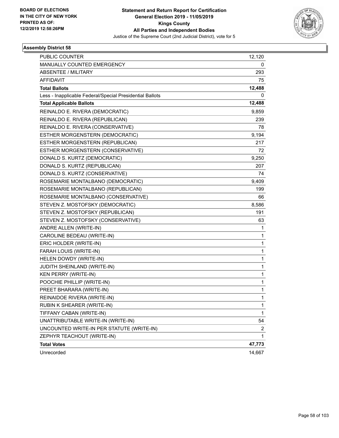

| <b>PUBLIC COUNTER</b>                                    | 12,120       |
|----------------------------------------------------------|--------------|
| MANUALLY COUNTED EMERGENCY                               | 0            |
| <b>ABSENTEE / MILITARY</b>                               | 293          |
| <b>AFFIDAVIT</b>                                         | 75           |
| <b>Total Ballots</b>                                     | 12,488       |
| Less - Inapplicable Federal/Special Presidential Ballots | 0            |
| <b>Total Applicable Ballots</b>                          | 12,488       |
| REINALDO E. RIVERA (DEMOCRATIC)                          | 9,859        |
| REINALDO E. RIVERA (REPUBLICAN)                          | 239          |
| REINALDO E. RIVERA (CONSERVATIVE)                        | 78           |
| ESTHER MORGENSTERN (DEMOCRATIC)                          | 9,194        |
| ESTHER MORGENSTERN (REPUBLICAN)                          | 217          |
| ESTHER MORGENSTERN (CONSERVATIVE)                        | 72           |
| DONALD S. KURTZ (DEMOCRATIC)                             | 9,250        |
| DONALD S. KURTZ (REPUBLICAN)                             | 207          |
| DONALD S. KURTZ (CONSERVATIVE)                           | 74           |
| ROSEMARIE MONTALBANO (DEMOCRATIC)                        | 9,409        |
| ROSEMARIE MONTALBANO (REPUBLICAN)                        | 199          |
| ROSEMARIE MONTALBANO (CONSERVATIVE)                      | 66           |
| STEVEN Z. MOSTOFSKY (DEMOCRATIC)                         | 8,586        |
| STEVEN Z. MOSTOFSKY (REPUBLICAN)                         | 191          |
| STEVEN Z. MOSTOFSKY (CONSERVATIVE)                       | 63           |
| ANDRE ALLEN (WRITE-IN)                                   | 1            |
| CAROLINE BEDEAU (WRITE-IN)                               | 1            |
| ERIC HOLDER (WRITE-IN)                                   | $\mathbf{1}$ |
| FARAH LOUIS (WRITE-IN)                                   | $\mathbf{1}$ |
| HELEN DOWDY (WRITE-IN)                                   | 1            |
| JUDITH SHEINLAND (WRITE-IN)                              | $\mathbf{1}$ |
| <b>KEN PERRY (WRITE-IN)</b>                              | $\mathbf{1}$ |
| POOCHIE PHILLIP (WRITE-IN)                               | 1            |
| PREET BHARARA (WRITE-IN)                                 | $\mathbf{1}$ |
| REINAIDOE RIVERA (WRITE-IN)                              | 1            |
| RUBIN K SHEARER (WRITE-IN)                               | 1            |
| TIFFANY CABAN (WRITE-IN)                                 | $\mathbf{1}$ |
| UNATTRIBUTABLE WRITE-IN (WRITE-IN)                       | 54           |
| UNCOUNTED WRITE-IN PER STATUTE (WRITE-IN)                | 2            |
| ZEPHYR TEACHOUT (WRITE-IN)                               | $\mathbf{1}$ |
| <b>Total Votes</b>                                       | 47,773       |
| Unrecorded                                               | 14,667       |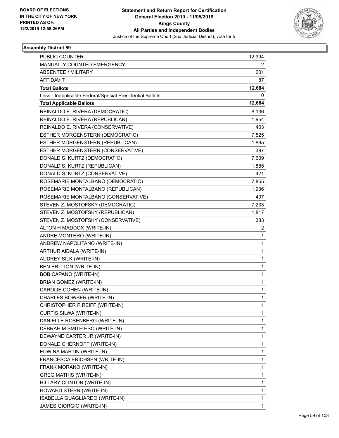

| <b>PUBLIC COUNTER</b>                                    | 12,394       |
|----------------------------------------------------------|--------------|
| MANUALLY COUNTED EMERGENCY                               | 2            |
| <b>ABSENTEE / MILITARY</b>                               | 201          |
| <b>AFFIDAVIT</b>                                         | 87           |
| <b>Total Ballots</b>                                     | 12,684       |
| Less - Inapplicable Federal/Special Presidential Ballots | 0            |
| <b>Total Applicable Ballots</b>                          | 12,684       |
| REINALDO E. RIVERA (DEMOCRATIC)                          | 8,136        |
| REINALDO E. RIVERA (REPUBLICAN)                          | 1,954        |
| REINALDO E. RIVERA (CONSERVATIVE)                        | 403          |
| ESTHER MORGENSTERN (DEMOCRATIC)                          | 7,525        |
| ESTHER MORGENSTERN (REPUBLICAN)                          | 1,865        |
| ESTHER MORGENSTERN (CONSERVATIVE)                        | 397          |
| DONALD S. KURTZ (DEMOCRATIC)                             | 7,639        |
| DONALD S. KURTZ (REPUBLICAN)                             | 1,885        |
| DONALD S. KURTZ (CONSERVATIVE)                           | 421          |
| ROSEMARIE MONTALBANO (DEMOCRATIC)                        | 7,855        |
| ROSEMARIE MONTALBANO (REPUBLICAN)                        | 1,936        |
| ROSEMARIE MONTALBANO (CONSERVATIVE)                      | 407          |
| STEVEN Z. MOSTOFSKY (DEMOCRATIC)                         | 7,233        |
| STEVEN Z. MOSTOFSKY (REPUBLICAN)                         | 1,817        |
| STEVEN Z. MOSTOFSKY (CONSERVATIVE)                       | 383          |
| ALTON H MADDOX (WRITE-IN)                                | 2            |
| ANDRE MONTERO (WRITE-IN)                                 | 1            |
| ANDREW NAPOLITANO (WRITE-IN)                             | $\mathbf{1}$ |
| ARTHUR AIDALA (WRITE-IN)                                 | $\mathbf{1}$ |
| AUDREY SILK (WRITE-IN)                                   | 1            |
| BEN BRITTON (WRITE-IN)                                   | $\mathbf{1}$ |
| BOB CAPANO (WRITE-IN)                                    | 1            |
| <b>BRIAN GOMEZ (WRITE-IN)</b>                            | $\mathbf{1}$ |
| CAROLIE COHEN (WRITE-IN)                                 | $\mathbf{1}$ |
| CHARLES BOWSER (WRITE-IN)                                | 1            |
| CHRISTOPHER P.REIFF (WRITE-IN)                           | 1            |
| CURTIS SILWA (WRITE-IN)                                  | 1            |
| DANIELLE ROSENBERG (WRITE-IN)                            | 1            |
| DEBRAH M SMITH ESQ (WRITE-IN)                            | 1            |
| DEWAYNE CARTER JR (WRITE-IN)                             | 1            |
| DONALD CHERNOFF (WRITE-IN)                               | 1            |
| EDWINA MARTIN (WRITE-IN)                                 | $\mathbf{1}$ |
| FRANCESCA ERICHSEN (WRITE-IN)                            | $\mathbf{1}$ |
| FRANK MORANO (WRITE-IN)                                  | 1            |
| <b>GREG MATHIS (WRITE-IN)</b>                            | 1            |
| HILLARY CLINTON (WRITE-IN)                               | 1            |
| HOWARD STERN (WRITE-IN)                                  | 1            |
| ISABELLA GUAGLIARDO (WRITE-IN)                           | 1            |
| JAMES GIORGIO (WRITE-IN)                                 | $\mathbf{1}$ |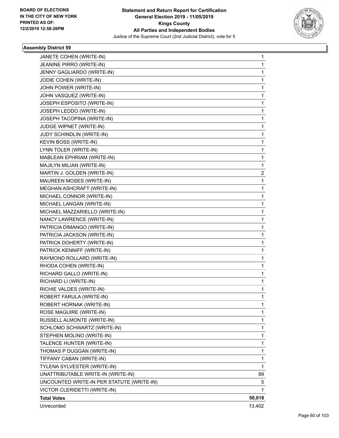

| JANETE COHEN (WRITE-IN)                   | 1            |
|-------------------------------------------|--------------|
| JEANINE PIRRO (WRITE-IN)                  | 1            |
| JENNY GAGLIARDO (WRITE-IN)                | 1            |
| JODIE COHEN (WRITE-IN)                    | 1            |
| JOHN POWER (WRITE-IN)                     | 1            |
| JOHN VASQUEZ (WRITE-IN)                   | 1            |
| JOSEPH ESPOSITO (WRITE-IN)                | 1            |
| JOSEPH LEDDO (WRITE-IN)                   | 1            |
| JOSEPH TACOPINA (WRITE-IN)                | 1            |
| JUDGE WIPNET (WRITE-IN)                   | 1            |
| JUDY SCHINDLIN (WRITE-IN)                 | 1            |
| KEVIN BOSS (WRITE-IN)                     | 1            |
| LYNN TOLER (WRITE-IN)                     | 1            |
| MABLEAN EPHRIAM (WRITE-IN)                | 1            |
| MAJILYN MILIAN (WRITE-IN)                 | $\mathbf{1}$ |
| MARTIN J. GOLDEN (WRITE-IN)               | 2            |
| MAUREEN MOSES (WRITE-IN)                  | 1            |
| MEGHAN ASHCRAFT (WRITE-IN)                | $\mathbf{1}$ |
| MICHAEL CONNOR (WRITE-IN)                 | 1            |
| MICHAEL LANGAN (WRITE-IN)                 | 1            |
| MICHAEL MAZZARIELLO (WRITE-IN)            | 1            |
| NANCY LAWRENCE (WRITE-IN)                 | 1            |
| PATRICIA DIMANGO (WRITE-IN)               | 1            |
| PATRICIA JACKSON (WRITE-IN)               | 1            |
| PATRICK DOHERTY (WRITE-IN)                | 1            |
| PATRICK KENNIFF (WRITE-IN)                | $\mathbf{1}$ |
| RAYMOND ROLLARD (WRITE-IN)                | 1            |
| RHODA COHEN (WRITE-IN)                    | 1            |
| RICHARD GALLO (WRITE-IN)                  | 1            |
| RICHARD LI (WRITE-IN)                     | 1            |
| RICHIE VALDES (WRITE-IN)                  | 1            |
| ROBERT FARULA (WRITE-IN)                  | 1            |
| ROBERT HORNAK (WRITE-IN)                  | 1            |
| ROSE MAGUIRE (WRITE-IN)                   | 1            |
| RUSSELL ALMONTE (WRITE-IN)                | 1            |
| SCHLOMO SCHWARTZ (WRITE-IN)               | 1            |
| STEPHEN MOLINO (WRITE-IN)                 | 1            |
| TALENCE HUNTER (WRITE-IN)                 | 1            |
| THOMAS P DUGGAN (WRITE-IN)                | 1            |
| TIFFANY CABAN (WRITE-IN)                  | 1            |
| TYLENA SYLVESTER (WRITE-IN)               | $\mathbf{1}$ |
| UNATTRIBUTABLE WRITE-IN (WRITE-IN)        | 89           |
| UNCOUNTED WRITE-IN PER STATUTE (WRITE-IN) | 5            |
| VICTOR CLERIDETTI (WRITE-IN)              | 1            |
| <b>Total Votes</b>                        | 50,018       |
| Unrecorded                                | 13,402       |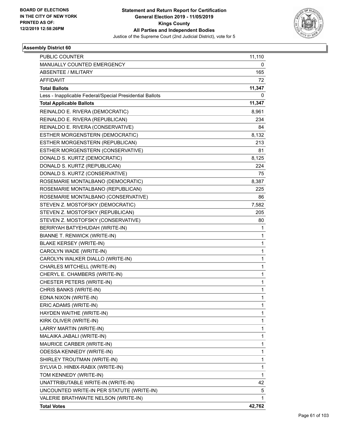

| <b>PUBLIC COUNTER</b>                                    | 11,110 |
|----------------------------------------------------------|--------|
| MANUALLY COUNTED EMERGENCY                               | 0      |
| <b>ABSENTEE / MILITARY</b>                               | 165    |
| <b>AFFIDAVIT</b>                                         | 72     |
| <b>Total Ballots</b>                                     | 11,347 |
| Less - Inapplicable Federal/Special Presidential Ballots | 0      |
| <b>Total Applicable Ballots</b>                          | 11,347 |
| REINALDO E. RIVERA (DEMOCRATIC)                          | 8,961  |
| REINALDO E. RIVERA (REPUBLICAN)                          | 234    |
| REINALDO E. RIVERA (CONSERVATIVE)                        | 84     |
| ESTHER MORGENSTERN (DEMOCRATIC)                          | 8,132  |
| ESTHER MORGENSTERN (REPUBLICAN)                          | 213    |
| ESTHER MORGENSTERN (CONSERVATIVE)                        | 81     |
| DONALD S. KURTZ (DEMOCRATIC)                             | 8,125  |
| DONALD S. KURTZ (REPUBLICAN)                             | 224    |
| DONALD S. KURTZ (CONSERVATIVE)                           | 75     |
| ROSEMARIE MONTALBANO (DEMOCRATIC)                        | 8,387  |
| ROSEMARIE MONTALBANO (REPUBLICAN)                        | 225    |
| ROSEMARIE MONTALBANO (CONSERVATIVE)                      | 86     |
| STEVEN Z. MOSTOFSKY (DEMOCRATIC)                         | 7,582  |
| STEVEN Z. MOSTOFSKY (REPUBLICAN)                         | 205    |
| STEVEN Z. MOSTOFSKY (CONSERVATIVE)                       | 80     |
| BERIRYAH BATYEHUDAH (WRITE-IN)                           | 1      |
| BIANNE T. RENWICK (WRITE-IN)                             | 1      |
| <b>BLAKE KERSEY (WRITE-IN)</b>                           | 1      |
| CAROLYN WADE (WRITE-IN)                                  | 1      |
| CAROLYN WALKER DIALLO (WRITE-IN)                         | 1      |
| CHARLES MITCHELL (WRITE-IN)                              | 1      |
| CHERYL E. CHAMBERS (WRITE-IN)                            | 1      |
| CHESTER PETERS (WRITE-IN)                                | 1      |
| CHRIS BANKS (WRITE-IN)                                   | 1      |
| EDNA NIXON (WRITE-IN)                                    | 1      |
| ERIC ADAMS (WRITE-IN)                                    | 1      |
| HAYDEN WAITHE (WRITE-IN)                                 | 1      |
| KIRK OLIVER (WRITE-IN)                                   | 1      |
| LARRY MARTIN (WRITE-IN)                                  | 1      |
| MALAIKA JABALI (WRITE-IN)                                | 1      |
| MAURICE CARBER (WRITE-IN)                                | 1      |
| <b>ODESSA KENNEDY (WRITE-IN)</b>                         | 1      |
| SHIRLEY TROUTMAN (WRITE-IN)                              | 1      |
| SYLVIA D. HINBX-RABIX (WRITE-IN)                         | 1      |
| TOM KENNEDY (WRITE-IN)                                   | 1      |
| UNATTRIBUTABLE WRITE-IN (WRITE-IN)                       | 42     |
| UNCOUNTED WRITE-IN PER STATUTE (WRITE-IN)                | 5      |
| VALERIE BRATHWAITE NELSON (WRITE-IN)                     | 1      |
| <b>Total Votes</b>                                       | 42,762 |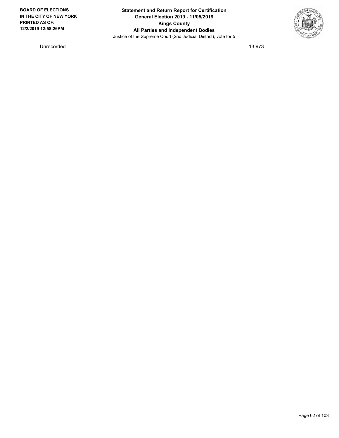

Unrecorded 13,973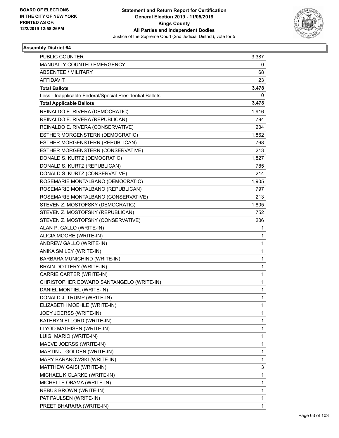

| PUBLIC COUNTER                                           | 3,387        |
|----------------------------------------------------------|--------------|
| MANUALLY COUNTED EMERGENCY                               | 0            |
| <b>ABSENTEE / MILITARY</b>                               | 68           |
| <b>AFFIDAVIT</b>                                         | 23           |
| <b>Total Ballots</b>                                     | 3,478        |
| Less - Inapplicable Federal/Special Presidential Ballots | 0            |
| <b>Total Applicable Ballots</b>                          | 3,478        |
| REINALDO E. RIVERA (DEMOCRATIC)                          | 1,916        |
| REINALDO E. RIVERA (REPUBLICAN)                          | 794          |
| REINALDO E. RIVERA (CONSERVATIVE)                        | 204          |
| ESTHER MORGENSTERN (DEMOCRATIC)                          | 1,862        |
| ESTHER MORGENSTERN (REPUBLICAN)                          | 768          |
| ESTHER MORGENSTERN (CONSERVATIVE)                        | 213          |
| DONALD S. KURTZ (DEMOCRATIC)                             | 1,827        |
| DONALD S. KURTZ (REPUBLICAN)                             | 785          |
| DONALD S. KURTZ (CONSERVATIVE)                           | 214          |
| ROSEMARIE MONTALBANO (DEMOCRATIC)                        | 1,905        |
| ROSEMARIE MONTALBANO (REPUBLICAN)                        | 797          |
| ROSEMARIE MONTALBANO (CONSERVATIVE)                      | 213          |
| STEVEN Z. MOSTOFSKY (DEMOCRATIC)                         | 1,805        |
| STEVEN Z. MOSTOFSKY (REPUBLICAN)                         | 752          |
| STEVEN Z. MOSTOFSKY (CONSERVATIVE)                       | 206          |
| ALAN P. GALLO (WRITE-IN)                                 | 1            |
| ALICIA MOORE (WRITE-IN)                                  | 1            |
| ANDREW GALLO (WRITE-IN)                                  | 1            |
| ANIKA SMILEY (WRITE-IN)                                  | $\mathbf{1}$ |
| BARBARA MUNICHIND (WRITE-IN)                             | 1            |
| BRAIN DOTTERY (WRITE-IN)                                 | 1            |
| CARRIE CARTER (WRITE-IN)                                 | $\mathbf{1}$ |
| CHRISTOPHER EDWARD SANTANGELO (WRITE-IN)                 | 1            |
| DANIEL MONTIEL (WRITE-IN)                                | 1            |
| DONALD J. TRUMP (WRITE-IN)                               | 1            |
| ELIZABETH MOEHLE (WRITE-IN)                              | 1            |
| JOEY JOERSS (WRITE-IN)                                   | 1            |
| KATHRYN ELLORD (WRITE-IN)                                | $\mathbf{1}$ |
| LLYOD MATHISEN (WRITE-IN)                                | $\mathbf{1}$ |
| LUIGI MARIO (WRITE-IN)                                   | 1            |
| MAEVE JOERSS (WRITE-IN)                                  | $\mathbf{1}$ |
| MARTIN J. GOLDEN (WRITE-IN)                              | 1            |
| MARY BARANOWSKI (WRITE-IN)                               | 1            |
| MATTHEW GAISI (WRITE-IN)                                 | 3            |
| MICHAEL K CLARKE (WRITE-IN)                              | $\mathbf{1}$ |
| MICHELLE OBAMA (WRITE-IN)                                | 1            |
| NEBUS BROWN (WRITE-IN)                                   | $\mathbf{1}$ |
| PAT PAULSEN (WRITE-IN)                                   | 1            |
| PREET BHARARA (WRITE-IN)                                 | $\mathbf{1}$ |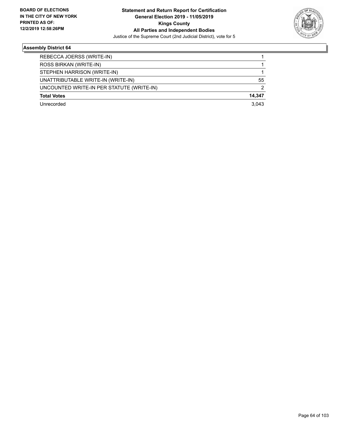

| REBECCA JOERSS (WRITE-IN)                 |        |
|-------------------------------------------|--------|
| ROSS BIRKAN (WRITE-IN)                    |        |
| STEPHEN HARRISON (WRITE-IN)               |        |
| UNATTRIBUTABLE WRITE-IN (WRITE-IN)        | 55     |
| UNCOUNTED WRITE-IN PER STATUTE (WRITE-IN) | 2      |
| <b>Total Votes</b>                        | 14,347 |
| Unrecorded                                | 3.043  |
|                                           |        |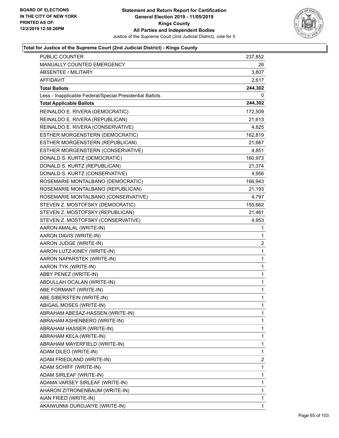

| PUBLIC COUNTER                                           | 237,852      |
|----------------------------------------------------------|--------------|
| MANUALLY COUNTED EMERGENCY                               | 26           |
| <b>ABSENTEE / MILITARY</b>                               | 3,807        |
| AFFIDAVIT                                                | 2,617        |
| <b>Total Ballots</b>                                     | 244,302      |
| Less - Inapplicable Federal/Special Presidential Ballots | 0            |
| <b>Total Applicable Ballots</b>                          | 244,302      |
| REINALDO E. RIVERA (DEMOCRATIC)                          | 172,509      |
| REINALDO E. RIVERA (REPUBLICAN)                          | 21,613       |
| REINALDO E. RIVERA (CONSERVATIVE)                        | 4,825        |
| ESTHER MORGENSTERN (DEMOCRATIC)                          | 162,819      |
| ESTHER MORGENSTERN (REPUBLICAN)                          | 21,667       |
| ESTHER MORGENSTERN (CONSERVATIVE)                        | 4,851        |
| DONALD S. KURTZ (DEMOCRATIC)                             | 160,973      |
| DONALD S. KURTZ (REPUBLICAN)                             | 21,374       |
| DONALD S. KURTZ (CONSERVATIVE)                           | 4,956        |
| ROSEMARIE MONTALBANO (DEMOCRATIC)                        | 166,943      |
| ROSEMARIE MONTALBANO (REPUBLICAN)                        | 21,193       |
| ROSEMARIE MONTALBANO (CONSERVATIVE)                      | 4,797        |
| STEVEN Z. MOSTOFSKY (DEMOCRATIC)                         | 155,662      |
| STEVEN Z. MOSTOFSKY (REPUBLICAN)                         | 21,461       |
| STEVEN Z. MOSTOFSKY (CONSERVATIVE)                       | 4,953        |
| AARON AMALAL (WRITE-IN)                                  | 1            |
| AARON DAVIS (WRITE-IN)                                   | 1            |
| AARON JUDGE (WRITE-IN)                                   | 2            |
| AARON LUTZ-KINEY (WRITE-IN)                              | $\mathbf{1}$ |
| AARON NAPARSTEK (WRITE-IN)                               | $\mathbf{1}$ |
| AARON TYK (WRITE-IN)                                     | 1            |
| ABBY PENEZ (WRITE-IN)                                    | 1            |
| ABDULLAH OCALAN (WRITE-IN)                               | 1            |
| ABE FORMANT (WRITE-IN)                                   | 1            |
| ABE SIBERSTEIN (WRITE-IN)                                | 1            |
| ABIGAIL MOSES (WRITE-IN)                                 | 1            |
| ABRAHAM ABESAZ-HASSEN (WRITE-IN)                         | 1            |
| ABRAHAM ASHENBERO (WRITE-IN)                             | 1            |
| ABRAHAM HASSER (WRITE-IN)                                | 1            |
| ABRAHAM KELA (WRITE-IN)                                  | 1            |
| ABRAHAM MAYERFIELD (WRITE-IN)                            | 1            |
| ADAM DILEO (WRITE-IN)                                    | 1            |
| ADAM FRIEDLAND (WRITE-IN)                                | 2            |
| ADAM SCHIFF (WRITE-IN)                                   | 1            |
| ADAM SIRLEAF (WRITE-IN)                                  | 1            |
| ADAMA VARSEY SIRLEAF (WRITE-IN)                          | 1            |
| AHARON ZITRONENBAUM (WRITE-IN)                           | 1            |
| AIAN FRIED (WRITE-IN)                                    | 1            |
| AKAIWUNMI DUROJAIYE (WRITE-IN)                           | 1            |
|                                                          |              |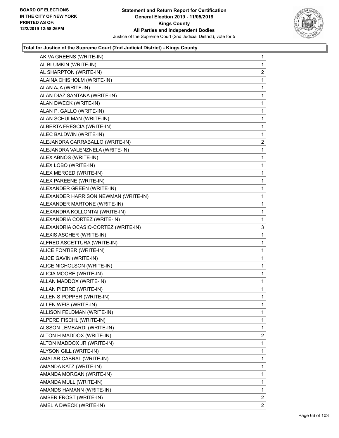

| AKIVA GREENS (WRITE-IN)              | $\mathbf{1}$   |
|--------------------------------------|----------------|
| AL BLUMKIN (WRITE-IN)                | 1              |
| AL SHARPTON (WRITE-IN)               | $\overline{2}$ |
| ALAINA CHISHOLM (WRITE-IN)           | 1              |
| ALAN AJA (WRITE-IN)                  | 1              |
| ALAN DIAZ SANTANA (WRITE-IN)         | 1              |
| ALAN DWECK (WRITE-IN)                | $\mathbf{1}$   |
| ALAN P. GALLO (WRITE-IN)             | 1              |
| ALAN SCHULMAN (WRITE-IN)             | 1              |
| ALBERTA FRESCIA (WRITE-IN)           | $\mathbf{1}$   |
| ALEC BALDWIN (WRITE-IN)              | 1              |
| ALEJANDRA CARRABALLO (WRITE-IN)      | 2              |
| ALEJANDRA VALENZNELA (WRITE-IN)      | $\mathbf{1}$   |
| ALEX ABNOS (WRITE-IN)                | 1              |
| ALEX LOBO (WRITE-IN)                 | 1              |
| ALEX MERCED (WRITE-IN)               | 1              |
| ALEX PAREENE (WRITE-IN)              | 1              |
| ALEXANDER GREEN (WRITE-IN)           | 1              |
| ALEXANDER HARRISON NEWMAN (WRITE-IN) | $\mathbf{1}$   |
| ALEXANDER MARTONE (WRITE-IN)         | 1              |
| ALEXANDRA KOLLONTAI (WRITE-IN)       | 1              |
| ALEXANDRIA CORTEZ (WRITE-IN)         | 1              |
| ALEXANDRIA OCASIO-CORTEZ (WRITE-IN)  | 3              |
| ALEXIS ASCHER (WRITE-IN)             | 1              |
| ALFRED ASCETTURA (WRITE-IN)          | 1              |
| ALICE FONTIER (WRITE-IN)             | 1              |
| ALICE GAVIN (WRITE-IN)               | 1              |
| ALICE NICHOLSON (WRITE-IN)           | 1              |
| ALICIA MOORE (WRITE-IN)              | 1              |
| ALLAN MADDOX (WRITE-IN)              | 1              |
| <b>ALLAN PIERRE (WRITE-IN)</b>       | 1              |
| ALLEN S POPPER (WRITE-IN)            | 1              |
| ALLEN WEIS (WRITE-IN)                | 1              |
| ALLISON FELDMAN (WRITE-IN)           | 1              |
| ALPERE FISCHL (WRITE-IN)             | 1              |
| ALSSON LEMBARDI (WRITE-IN)           | 1              |
| ALTON H MADDOX (WRITE-IN)            | $\overline{2}$ |
| ALTON MADDOX JR (WRITE-IN)           | 1              |
| ALYSON GILL (WRITE-IN)               | 1              |
| AMALAR CABRAL (WRITE-IN)             | 1              |
| AMANDA KATZ (WRITE-IN)               | 1              |
| AMANDA MORGAN (WRITE-IN)             | 1              |
| AMANDA MULL (WRITE-IN)               | 1              |
| AMANDS HAMANN (WRITE-IN)             | 1              |
| AMBER FROST (WRITE-IN)               | 2              |
| AMELIA DWECK (WRITE-IN)              | 2              |
|                                      |                |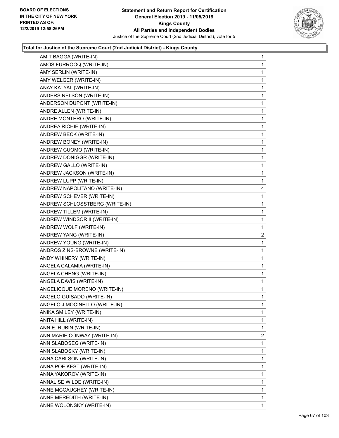

| AMIT BAGGA (WRITE-IN)          | 1              |
|--------------------------------|----------------|
| AMOS FURROOQ (WRITE-IN)        | $\mathbf{1}$   |
| AMY SERLIN (WRITE-IN)          | 1              |
| AMY WELGER (WRITE-IN)          | 1              |
| ANAY KATYAL (WRITE-IN)         | 1              |
| ANDERS NELSON (WRITE-IN)       | 1              |
| ANDERSON DUPONT (WRITE-IN)     | 1              |
| ANDRE ALLEN (WRITE-IN)         | 1              |
| ANDRE MONTERO (WRITE-IN)       | 1              |
| ANDREA RICHIE (WRITE-IN)       | 1              |
| ANDREW BECK (WRITE-IN)         | 1              |
| ANDREW BONEY (WRITE-IN)        | 1              |
| ANDREW CUOMO (WRITE-IN)        | 1              |
| ANDREW DONIGGR (WRITE-IN)      | 1              |
| ANDREW GALLO (WRITE-IN)        | 1              |
| ANDREW JACKSON (WRITE-IN)      | 1              |
| ANDREW LUPP (WRITE-IN)         | 1              |
| ANDREW NAPOLITANO (WRITE-IN)   | 4              |
| ANDREW SCHEVER (WRITE-IN)      | 1              |
| ANDREW SCHLOSSTBERG (WRITE-IN) | 1              |
| ANDREW TILLEM (WRITE-IN)       | 1              |
| ANDREW WINDSOR II (WRITE-IN)   | 1              |
| ANDREW WOLF (WRITE-IN)         | 1              |
|                                |                |
| ANDREW YANG (WRITE-IN)         | 2              |
| ANDREW YOUNG (WRITE-IN)        | 1              |
| ANDROS ZINS-BROWNE (WRITE-IN)  | 1              |
| ANDY WHINERY (WRITE-IN)        | 1              |
| ANGELA CALAMIA (WRITE-IN)      | 1              |
| ANGELA CHENG (WRITE-IN)        | 1              |
| ANGELA DAVIS (WRITE-IN)        | 1              |
| ANGELICQUE MORENO (WRITE-IN)   | 1              |
| ANGELO GUISADO (WRITE-IN)      | 1              |
| ANGELO J MOCINELLO (WRITE-IN)  | 1              |
| ANIKA SMILEY (WRITE-IN)        | 1              |
| ANITA HILL (WRITE-IN)          | $\mathbf{1}$   |
| ANN E. RUBIN (WRITE-IN)        | 1              |
| ANN MARIE CONWAY (WRITE-IN)    | $\overline{c}$ |
| ANN SLABOSEG (WRITE-IN)        | 1              |
| ANN SLABOSKY (WRITE-IN)        | 1              |
| ANNA CARLSON (WRITE-IN)        | 1              |
| ANNA POE KEST (WRITE-IN)       | 1              |
| ANNA YAKOROV (WRITE-IN)        | 1              |
| ANNALISE WILDE (WRITE-IN)      | 1              |
| ANNE MCCAUGHEY (WRITE-IN)      | 1              |
| ANNE MEREDITH (WRITE-IN)       | 1              |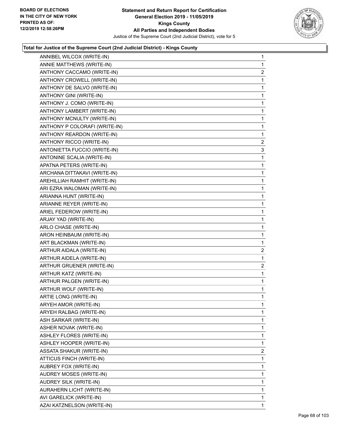

| ANNIBEL WILCOX (WRITE-IN)     | $\mathbf{1}$   |
|-------------------------------|----------------|
| ANNIE MATTHEWS (WRITE-IN)     | $\mathbf{1}$   |
| ANTHONY CACCAMO (WRITE-IN)    | $\overline{2}$ |
| ANTHONY CROWELL (WRITE-IN)    | $\mathbf{1}$   |
| ANTHONY DE SALVO (WRITE-IN)   | $\mathbf{1}$   |
| ANTHONY GINI (WRITE-IN)       | $\mathbf{1}$   |
| ANTHONY J. COMO (WRITE-IN)    | $\mathbf 1$    |
| ANTHONY LAMBERT (WRITE-IN)    | $\mathbf{1}$   |
| ANTHONY MCNULTY (WRITE-IN)    | $\mathbf{1}$   |
| ANTHONY P COLORAFI (WRITE-IN) | 1              |
| ANTHONY REARDON (WRITE-IN)    | 1              |
| ANTHONY RICCO (WRITE-IN)      | $\overline{2}$ |
| ANTONIETTA FUCCIO (WRITE-IN)  | 3              |
| ANTONINE SCALIA (WRITE-IN)    | $\mathbf{1}$   |
| APATNA PETERS (WRITE-IN)      | $\mathbf{1}$   |
| ARCHANA DITTAKAVI (WRITE-IN)  | $\mathbf 1$    |
| AREHILLIAH RAMHIT (WRITE-IN)  | $\mathbf{1}$   |
| ARI EZRA WALOMAN (WRITE-IN)   | $\mathbf{1}$   |
| ARIANNA HUNT (WRITE-IN)       | 1              |
| ARIANNE REYER (WRITE-IN)      | $\mathbf{1}$   |
| ARIEL FEDEROW (WRITE-IN)      | $\mathbf{1}$   |
| ARJAY YAD (WRITE-IN)          | $\mathbf 1$    |
| ARLO CHASE (WRITE-IN)         | 1              |
| ARON HEINBAUM (WRITE-IN)      | $\mathbf{1}$   |
| ART BLACKMAN (WRITE-IN)       | 1              |
| ARTHUR AIDALA (WRITE-IN)      | $\overline{a}$ |
| ARTHUR AIDELA (WRITE-IN)      | 1              |
| ARTHUR GRUENER (WRITE-IN)     | $\overline{2}$ |
| ARTHUR KATZ (WRITE-IN)        | $\mathbf{1}$   |
| ARTHUR PALGEN (WRITE-IN)      | $\mathbf{1}$   |
| ARTHUR WOLF (WRITE-IN)        | $\mathbf 1$    |
| ARTIE LONG (WRITE-IN)         | $\mathbf{1}$   |
| ARYEH AMOR (WRITE-IN)         | 1              |
| ARYEH RALBAG (WRITE-IN)       | 1              |
| ASH SARKAR (WRITE-IN)         | $\mathbf{1}$   |
| ASHER NOVAK (WRITE-IN)        | 1              |
| ASHLEY FLORES (WRITE-IN)      | 1              |
| ASHLEY HOOPER (WRITE-IN)      | 1              |
| ASSATA SHAKUR (WRITE-IN)      | $\overline{2}$ |
| ATTICUS FINCH (WRITE-IN)      | 1              |
| AUBREY FOX (WRITE-IN)         | $\mathbf{1}$   |
| AUDREY MOSES (WRITE-IN)       | 1              |
| AUDREY SILK (WRITE-IN)        | 1              |
| AURAHERN LICHT (WRITE-IN)     | $\mathbf{1}$   |
| AVI GARELICK (WRITE-IN)       | $\mathbf{1}$   |
|                               |                |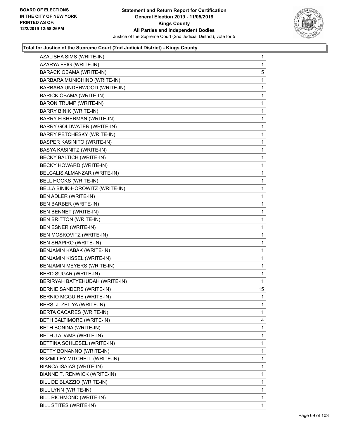

| AZALISHA SIMS (WRITE-IN)          | 1            |
|-----------------------------------|--------------|
| AZARYA FEIG (WRITE-IN)            | 1            |
| <b>BARACK OBAMA (WRITE-IN)</b>    | 5            |
| BARBARA MUNICHIND (WRITE-IN)      | 1            |
| BARBARA UNDERWOOD (WRITE-IN)      | 1            |
| BARICK OBAMA (WRITE-IN)           | 1            |
| <b>BARON TRUMP (WRITE-IN)</b>     | 1            |
| <b>BARRY BINIK (WRITE-IN)</b>     | 1            |
| BARRY FISHERMAN (WRITE-IN)        | 1            |
| <b>BARRY GOLDWATER (WRITE-IN)</b> | 1            |
| BARRY PETCHESKY (WRITE-IN)        | 1            |
| <b>BASPER KASINITO (WRITE-IN)</b> | 1            |
| BASYA KASINITZ (WRITE-IN)         | 1            |
| BECKY BALTICH (WRITE-IN)          | 1            |
| BECKY HOWARD (WRITE-IN)           | 1            |
| BELCALIS ALMANZAR (WRITE-IN)      | 1            |
| BELL HOOKS (WRITE-IN)             | 1            |
| BELLA BINIK-HOROWITZ (WRITE-IN)   | 1            |
| BEN ADLER (WRITE-IN)              | 1            |
| <b>BEN BARBER (WRITE-IN)</b>      | 1            |
| BEN BENNET (WRITE-IN)             | 1            |
| BEN BRITTON (WRITE-IN)            | 1            |
| BEN ESNER (WRITE-IN)              | 1            |
| BEN MOSKOVITZ (WRITE-IN)          | 1            |
| BEN SHAPIRO (WRITE-IN)            | 1            |
| BENJAMIN KABAK (WRITE-IN)         | 1            |
| BENJAMIN KISSEL (WRITE-IN)        | 1            |
| BENJAMIN MEYERS (WRITE-IN)        | $\mathbf{1}$ |
| BERD SUGAR (WRITE-IN)             | 1            |
| BERIRYAH BATYEHUDAH (WRITE-IN)    | 1            |
| <b>BERNIE SANDERS (WRITE-IN)</b>  | 15           |
| <b>BERNIO MCGUIRE (WRITE-IN)</b>  | 1            |
| BERSI J. ZELIYA (WRITE-IN)        | 1            |
| <b>BERTA CACARES (WRITE-IN)</b>   | 1            |
| BETH BALTIMORE (WRITE-IN)         | 4            |
| BETH BONINA (WRITE-IN)            | 1            |
| BETH J ADAMS (WRITE-IN)           | 1            |
| BETTINA SCHLESEL (WRITE-IN)       | 1            |
| BETTY BONANNO (WRITE-IN)          | 1            |
| BGZMLLEY MITCHELL (WRITE-IN)      | 1            |
| BIANCA ISAIAS (WRITE-IN)          | 1            |
| BIANNE T. RENWICK (WRITE-IN)      | 1            |
| BILL DE BLAZZIO (WRITE-IN)        | 1            |
| BILL LYNN (WRITE-IN)              | 1            |
| BILL RICHMOND (WRITE-IN)          | 1            |
| BILL STITES (WRITE-IN)            | 1            |
|                                   |              |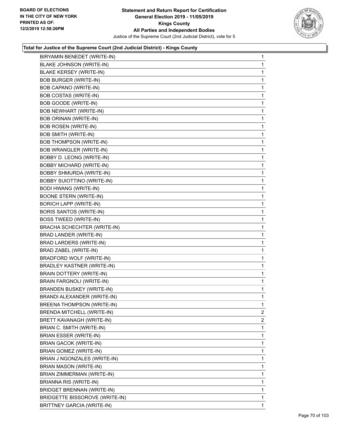

| BIRYAMIN BENEDET (WRITE-IN)        | 1              |
|------------------------------------|----------------|
| BLAKE JOHNSON (WRITE-IN)           | 1              |
| <b>BLAKE KERSEY (WRITE-IN)</b>     | 1              |
| <b>BOB BURGER (WRITE-IN)</b>       | 1              |
| BOB CAPANO (WRITE-IN)              | 1              |
| <b>BOB COSTAS (WRITE-IN)</b>       | 1              |
| <b>BOB GOODE (WRITE-IN)</b>        | 1              |
| <b>BOB NEWHART (WRITE-IN)</b>      | 1              |
| <b>BOB ORINAN (WRITE-IN)</b>       | 1              |
| <b>BOB ROSEN (WRITE-IN)</b>        | 1              |
| <b>BOB SMITH (WRITE-IN)</b>        | 1              |
| <b>BOB THOMPSON (WRITE-IN)</b>     | 1              |
| <b>BOB WRANGLER (WRITE-IN)</b>     | 1              |
| BOBBY D. LEONG (WRITE-IN)          | 1              |
| <b>BOBBY MICHARD (WRITE-IN)</b>    | 1              |
| <b>BOBBY SHMURDA (WRITE-IN)</b>    | 1              |
| <b>BOBBY SUIOTTINO (WRITE-IN)</b>  | 1              |
| <b>BODI HWANG (WRITE-IN)</b>       | 1              |
| <b>BOONE STERN (WRITE-IN)</b>      | 1              |
| <b>BORICH LAPP (WRITE-IN)</b>      | 1              |
| <b>BORIS SANTOS (WRITE-IN)</b>     | 1              |
| <b>BOSS TWEED (WRITE-IN)</b>       | 1              |
| <b>BRACHA SCHECHTER (WRITE-IN)</b> | 1              |
| BRAD LANDER (WRITE-IN)             | 1              |
| BRAD LARDERS (WRITE-IN)            | 1              |
| BRAD ZABEL (WRITE-IN)              | 1              |
| BRADFORD WOLF (WRITE-IN)           | 1              |
| <b>BRADLEY KASTNER (WRITE-IN)</b>  | 1              |
| <b>BRAIN DOTTERY (WRITE-IN)</b>    | 1              |
| BRAIN FARGNOLI (WRITE-IN)          | 1              |
| <b>BRANDEN BUSKEY (WRITE-IN)</b>   | 1              |
| BRANDI ALEXANDER (WRITE-IN)        | 1              |
| BREENA THOMPSON (WRITE-IN)         | 1              |
| BRENDA MITCHELL (WRITE-IN)         | $\overline{2}$ |
| BRETT KAVANAGH (WRITE-IN)          | $\overline{2}$ |
| BRIAN C. SMITH (WRITE-IN)          | 1              |
| BRIAN ESSER (WRITE-IN)             | 1              |
| <b>BRIAN GACOK (WRITE-IN)</b>      | 1              |
| BRIAN GOMEZ (WRITE-IN)             | 1              |
| BRIAN J NGONZALES (WRITE-IN)       | 1              |
| <b>BRIAN MASON (WRITE-IN)</b>      | 1              |
| BRIAN ZIMMERMAN (WRITE-IN)         | 1              |
| <b>BRIANNA RIS (WRITE-IN)</b>      | 1              |
| BRIDGET BRENNAN (WRITE-IN)         | 1              |
| BRIDGETTE BISSOROVE (WRITE-IN)     | 1              |
| <b>BRITTNEY GARCIA (WRITE-IN)</b>  | 1              |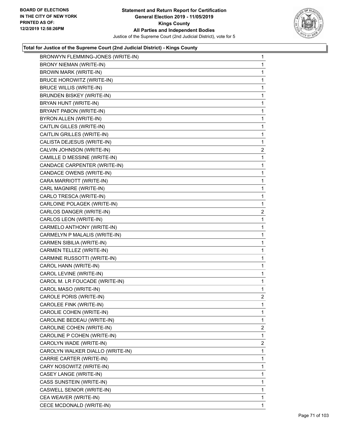

| BRONWYN FLEMMING-JONES (WRITE-IN) | $\mathbf{1}$   |
|-----------------------------------|----------------|
| <b>BRONY NIEMAN (WRITE-IN)</b>    | $\mathbf{1}$   |
| BROWN MARK (WRITE-IN)             | 1              |
| BRUCE HOROWITZ (WRITE-IN)         | 1              |
| <b>BRUCE WILLIS (WRITE-IN)</b>    | 1              |
| <b>BRUNDEN BISKEY (WRITE-IN)</b>  | 1              |
| BRYAN HUNT (WRITE-IN)             | 1              |
| BRYANT PABON (WRITE-IN)           | 1              |
| BYRON ALLEN (WRITE-IN)            | 1              |
| CAITLIN GILLES (WRITE-IN)         | 1              |
| CAITLIN GRILLES (WRITE-IN)        | 1              |
| CALISTA DEJESUS (WRITE-IN)        | 1              |
| CALVIN JOHNSON (WRITE-IN)         | $\overline{2}$ |
| CAMILLE D MESSINE (WRITE-IN)      | 1              |
| CANDACE CARPENTER (WRITE-IN)      | 1              |
| CANDACE OWENS (WRITE-IN)          | 1              |
| CARA MARRIOTT (WRITE-IN)          | 1              |
| CARL MAGNIRE (WRITE-IN)           | 1              |
| CARLO TRESCA (WRITE-IN)           | 1              |
| CARLOINE POLAGEK (WRITE-IN)       | 1              |
| CARLOS DANGER (WRITE-IN)          | $\overline{2}$ |
| CARLOS LEON (WRITE-IN)            | 1              |
| CARMELO ANTHONY (WRITE-IN)        | 1.             |
| CARMELYN P MALALIS (WRITE-IN)     | 1              |
| CARMEN SIBILIA (WRITE-IN)         | 1              |
| CARMEN TELLEZ (WRITE-IN)          | 1              |
| CARMINE RUSSOTTI (WRITE-IN)       | 1              |
| CAROL HANN (WRITE-IN)             | 1              |
| CAROL LEVINE (WRITE-IN)           | 1.             |
| CAROL M. LR FOUCADE (WRITE-IN)    | $\mathbf{1}$   |
| CAROL MASO (WRITE-IN)             | 1              |
| CAROLE PORIS (WRITE-IN)           | $\overline{2}$ |
| CAROLEE FINK (WRITE-IN)           | 1              |
| CAROLIE COHEN (WRITE-IN)          | 1              |
| CAROLINE BEDEAU (WRITE-IN)        | 1              |
| CAROLINE COHEN (WRITE-IN)         | $\overline{2}$ |
| CAROLINE P COHEN (WRITE-IN)       | 1              |
| CAROLYN WADE (WRITE-IN)           | $\overline{2}$ |
| CAROLYN WALKER DIALLO (WRITE-IN)  | 1              |
| CARRIE CARTER (WRITE-IN)          | 1              |
| CARY NOSOWITZ (WRITE-IN)          | 1              |
| CASEY LANGE (WRITE-IN)            | 1              |
| CASS SUNSTEIN (WRITE-IN)          | 1              |
| CASWELL SENIOR (WRITE-IN)         | 1              |
| CEA WEAVER (WRITE-IN)             | 1              |
| CECE MCDONALD (WRITE-IN)          | 1              |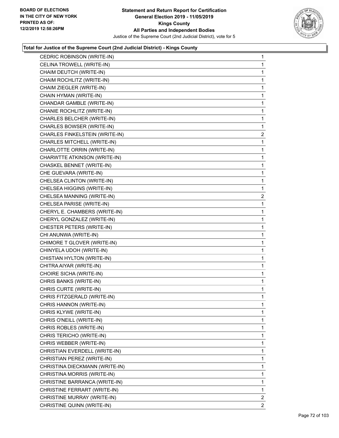

| CEDRIC ROBINSON (WRITE-IN)     | $\mathbf{1}$   |
|--------------------------------|----------------|
| CELINA TROWELL (WRITE-IN)      | 1.             |
| CHAIM DEUTCH (WRITE-IN)        | 1              |
| CHAIM ROCHLITZ (WRITE-IN)      | 1              |
| CHAIM ZIEGLER (WRITE-IN)       | 1              |
| CHAIN HYMAN (WRITE-IN)         | 1              |
| CHANDAR GAMBLE (WRITE-IN)      | 1              |
| CHANIE ROCHLITZ (WRITE-IN)     | 1              |
| CHARLES BELCHER (WRITE-IN)     | 1              |
| CHARLES BOWSER (WRITE-IN)      | 1              |
| CHARLES FINKELSTEIN (WRITE-IN) | 2              |
| CHARLES MITCHELL (WRITE-IN)    | 1              |
| CHARLOTTE ORRIN (WRITE-IN)     | 1              |
| CHARWTTE ATKINSON (WRITE-IN)   | 1              |
| CHASKEL BENNET (WRITE-IN)      | 1              |
| CHE GUEVARA (WRITE-IN)         | 1              |
| CHELSEA CLINTON (WRITE-IN)     | 1.             |
| CHELSEA HIGGINS (WRITE-IN)     | 1              |
| CHELSEA MANNING (WRITE-IN)     | $\overline{2}$ |
| CHELSEA PARISE (WRITE-IN)      | 1              |
| CHERYL E. CHAMBERS (WRITE-IN)  | 1              |
| CHERYL GONZALEZ (WRITE-IN)     | 1              |
| CHESTER PETERS (WRITE-IN)      | 1.             |
| CHI ANUNWA (WRITE-IN)          | 1              |
| CHIMORE T GLOVER (WRITE-IN)    | 1              |
| CHINYELA UDOH (WRITE-IN)       | 1.             |
| CHISTIAN HYLTON (WRITE-IN)     | 1              |
| CHITRA AIYAR (WRITE-IN)        | 1              |
| CHOIRE SICHA (WRITE-IN)        | 1              |
| CHRIS BANKS (WRITE-IN)         | $\mathbf{1}$   |
| CHRIS CURTE (WRITE-IN)         | 1              |
| CHRIS FITZGERALD (WRITE-IN)    | 1              |
| CHRIS HANNON (WRITE-IN)        | 1              |
| CHRIS KLYWE (WRITE-IN)         | 1              |
| CHRIS O'NEILL (WRITE-IN)       | 1              |
| CHRIS ROBLES (WRITE-IN)        | 1              |
| CHRIS TERICHO (WRITE-IN)       | 1              |
| CHRIS WEBBER (WRITE-IN)        | 1              |
| CHRISTIAN EVERDELL (WRITE-IN)  | 1              |
| CHRISTIAN PEREZ (WRITE-IN)     | 1              |
| CHRISTINA DIECKMANN (WRITE-IN) | 1              |
| CHRISTINA MORRIS (WRITE-IN)    | 1              |
| CHRISTINE BARRANCA (WRITE-IN)  | 1              |
| CHRISTINE FERRART (WRITE-IN)   | 1              |
| CHRISTINE MURRAY (WRITE-IN)    | 2              |
| CHRISTINE QUINN (WRITE-IN)     | 2              |
|                                |                |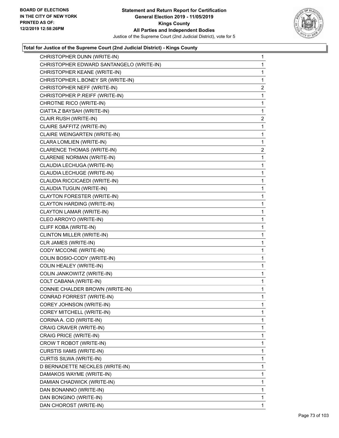

| CHRISTOPHER DUNN (WRITE-IN)              | $\mathbf{1}$   |
|------------------------------------------|----------------|
| CHRISTOPHER EDWARD SANTANGELO (WRITE-IN) | $\mathbf{1}$   |
| CHRISTOPHER KEANE (WRITE-IN)             | $\mathbf{1}$   |
| CHRISTOPHER L.BONEY SR (WRITE-IN)        | 1              |
| CHRISTOPHER NEFF (WRITE-IN)              | 2              |
| CHRISTOPHER P.REIFF (WRITE-IN)           | 1              |
| CHROTNE RICO (WRITE-IN)                  | 1              |
| CIATTA Z BAYSAH (WRITE-IN)               | $\mathbf{1}$   |
| CLAIR RUSH (WRITE-IN)                    | 2              |
| CLAIRE SAFFITZ (WRITE-IN)                | $\mathbf 1$    |
| CLAIRE WEINGARTEN (WRITE-IN)             | 1              |
| CLARA LOMLIEN (WRITE-IN)                 | 1              |
| <b>CLARENCE THOMAS (WRITE-IN)</b>        | $\overline{2}$ |
| CLARENIE NORMAN (WRITE-IN)               | 1              |
| CLAUDIA LECHUGA (WRITE-IN)               | 1              |
| CLAUDIA LECHUGE (WRITE-IN)               | 1              |
| CLAUDIA RICCICAEDI (WRITE-IN)            | $\mathbf 1$    |
| CLAUDIA TUGUN (WRITE-IN)                 | 1              |
| CLAYTON FORESTER (WRITE-IN)              | 1              |
| CLAYTON HARDING (WRITE-IN)               | 1              |
| CLAYTON LAMAR (WRITE-IN)                 | 1              |
| CLEO ARROYO (WRITE-IN)                   | 1              |
| CLIFF KOBA (WRITE-IN)                    | $\mathbf 1$    |
| CLINTON MILLER (WRITE-IN)                | 1              |
| CLR JAMES (WRITE-IN)                     | 1              |
| CODY MCCONE (WRITE-IN)                   | 1              |
| COLIN BOSIO-CODY (WRITE-IN)              | 1              |
| COLIN HEALEY (WRITE-IN)                  | 1              |
| COLIN JANKOWITZ (WRITE-IN)               | $\mathbf 1$    |
| COLT CABANA (WRITE-IN)                   | $\mathbf{1}$   |
| CONNIE CHALDER BROWN (WRITE-IN)          | $\mathbf{1}$   |
| CONRAD FORREST (WRITE-IN)                | $\mathbf{1}$   |
| COREY JOHNSON (WRITE-IN)                 | 1              |
| COREY MITCHELL (WRITE-IN)                | 1              |
| CORINA A. CID (WRITE-IN)                 | 1              |
| CRAIG CRAVER (WRITE-IN)                  | 1              |
| CRAIG PRICE (WRITE-IN)                   | 1              |
| CROW T ROBOT (WRITE-IN)                  | 1              |
| CURSTIS IIAMS (WRITE-IN)                 | 1              |
| CURTIS SILWA (WRITE-IN)                  | 1              |
| D BERNADETTE NECKLES (WRITE-IN)          | 1              |
| DAMAKOS WAYME (WRITE-IN)                 | 1              |
| DAMIAN CHADWICK (WRITE-IN)               | 1              |
| DAN BONANNO (WRITE-IN)                   | 1              |
| DAN BONGINO (WRITE-IN)                   | $\mathbf{1}$   |
| DAN CHOROST (WRITE-IN)                   | 1              |
|                                          |                |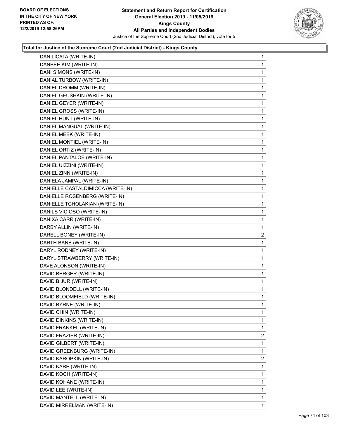

| DAN LICATA (WRITE-IN)                                    | $\mathbf{1}$   |
|----------------------------------------------------------|----------------|
| DANBEE KIM (WRITE-IN)                                    | 1              |
| DANI SIMONS (WRITE-IN)                                   | 1              |
| DANIAL TURBOW (WRITE-IN)                                 | 1              |
| DANIEL DROMM (WRITE-IN)                                  | 1              |
| DANIEL GEUSHKIN (WRITE-IN)                               | 1              |
| DANIEL GEYER (WRITE-IN)                                  | 1              |
| DANIEL GROSS (WRITE-IN)                                  | 1              |
| DANIEL HUNT (WRITE-IN)                                   | 1              |
| DANIEL MANGUAL (WRITE-IN)                                | 1              |
| DANIEL MEEK (WRITE-IN)                                   | 1              |
| DANIEL MONTIEL (WRITE-IN)                                | 1              |
| DANIEL ORTIZ (WRITE-IN)                                  | 1              |
| DANIEL PANTALOE (WRITE-IN)                               | 1              |
| DANIEL UIZZINI (WRITE-IN)                                | 1              |
| DANIEL ZINN (WRITE-IN)                                   | 1              |
| DANIELA JAMPAL (WRITE-IN)                                | 1              |
| DANIELLE CASTALDIMICCA (WRITE-IN)                        | 1              |
| DANIELLE ROSENBERG (WRITE-IN)                            | 1              |
| DANIELLE TCHOLAKIAN (WRITE-IN)                           | 1              |
| DANILS VICIOSO (WRITE-IN)                                | 1              |
| DANIXA CARR (WRITE-IN)                                   | 1              |
| DARBY ALLIN (WRITE-IN)                                   | 1              |
| DARELL BONEY (WRITE-IN)                                  | $\mathbf{2}$   |
| DARTH BANE (WRITE-IN)                                    | 1              |
|                                                          |                |
|                                                          | 1              |
| DARYL RODNEY (WRITE-IN)<br>DARYL STRAWBERRY (WRITE-IN)   | 1              |
| DAVE ALONSON (WRITE-IN)                                  | 1              |
| DAVID BERGER (WRITE-IN)                                  | 1              |
|                                                          | 1              |
| DAVID BIJUR (WRITE-IN)                                   | 1              |
| DAVID BLONDELL (WRITE-IN)<br>DAVID BLOOMFIELD (WRITE-IN) | 1              |
|                                                          | 1              |
| DAVID BYRNE (WRITE-IN)                                   | 1              |
| DAVID CHIN (WRITE-IN)                                    | 1              |
| DAVID DINKINS (WRITE-IN)                                 | 1              |
| DAVID FRANKEL (WRITE-IN)<br>DAVID FRAZIER (WRITE-IN)     | $\overline{2}$ |
|                                                          | 1              |
| DAVID GILBERT (WRITE-IN)<br>DAVID GREENBURG (WRITE-IN)   | 1              |
|                                                          | 2              |
| DAVID KAROPKIN (WRITE-IN)                                | 1              |
| DAVID KARP (WRITE-IN)                                    | 1              |
| DAVID KOCH (WRITE-IN)                                    | 1              |
| DAVID KOHANE (WRITE-IN)                                  | 1              |
| DAVID LEE (WRITE-IN)                                     | 1              |
| DAVID MANTELL (WRITE-IN)<br>DAVID MIRRELMAN (WRITE-IN)   | $\mathbf{1}$   |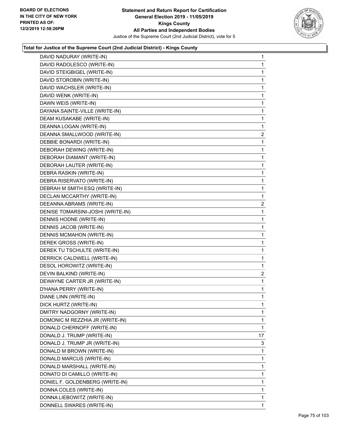

| DAVID NADURAY (WRITE-IN)          | $\mathbf{1}$   |
|-----------------------------------|----------------|
| DAVID RADOLESCO (WRITE-IN)        | $\mathbf 1$    |
| DAVID STEIGBIGEL (WRITE-IN)       | $\mathbf 1$    |
| DAVID STOROBIN (WRITE-IN)         | $\mathbf 1$    |
| DAVID WACHSLER (WRITE-IN)         | 1              |
| DAVID WENK (WRITE-IN)             | 1              |
| DAWN WEIS (WRITE-IN)              | $\mathbf 1$    |
| DAYANA SAINTE-VILLE (WRITE-IN)    | $\mathbf 1$    |
| DEAM KUSAKABE (WRITE-IN)          | 1              |
| DEANNA LOGAN (WRITE-IN)           | $\mathbf 1$    |
| DEANNA SMALLWOOD (WRITE-IN)       | 2              |
| DEBBIE BONARDI (WRITE-IN)         | 1              |
| DEBORAH DEWING (WRITE-IN)         | $\mathbf 1$    |
| DEBORAH DIAMANT (WRITE-IN)        | $\mathbf 1$    |
| DEBORAH LAUTER (WRITE-IN)         | 1              |
| DEBRA RASKIN (WRITE-IN)           | $\mathbf 1$    |
| DEBRA RISERVATO (WRITE-IN)        | 1              |
| DEBRAH M SMITH ESQ (WRITE-IN)     | 1              |
| DECLAN MCCARTHY (WRITE-IN)        | $\mathbf 1$    |
| DEEANNA ABRAMS (WRITE-IN)         | $\overline{c}$ |
| DENISE TOMARSINI-JOSHI (WRITE-IN) | 1              |
| DENNIS HODNE (WRITE-IN)           | $\mathbf 1$    |
| DENNIS JACOB (WRITE-IN)           | 1              |
| DENNIS MCMAHON (WRITE-IN)         | 1              |
| DEREK GROSS (WRITE-IN)            | $\mathbf 1$    |
| DEREK TU TSCHULTE (WRITE-IN)      | 1              |
| DERRICK CALDWELL (WRITE-IN)       | 1              |
| DESOL HOROWITZ (WRITE-IN)         | $\mathbf 1$    |
| DEVIN BALKIND (WRITE-IN)          | 2              |
| DEWAYNE CARTER JR (WRITE-IN)      | 1              |
| D'HANA PERRY (WRITE-IN)           | $\mathbf 1$    |
| DIANE LINN (WRITE-IN)             | 1              |
| DICK HURTZ (WRITE-IN)             | 1              |
| DMITRY NADGORNY (WRITE-IN)        | 1              |
| DOMONIC M REZZHIA JR (WRITE-IN)   | 1              |
| DONALD CHERNOFF (WRITE-IN)        | 1              |
| DONALD J. TRUMP (WRITE-IN)        | 17             |
| DONALD J. TRUMP JR (WRITE-IN)     | 3              |
| DONALD M BROWN (WRITE-IN)         | 1              |
| DONALD MARCUS (WRITE-IN)          | 1              |
| DONALD MARSHALL (WRITE-IN)        | 1              |
| DONATO DI CAMILLO (WRITE-IN)      | 1              |
| DONIEL F. GOLDENBERG (WRITE-IN)   | 1              |
| DONNA COLES (WRITE-IN)            | 1              |
| DONNA LIEBOWITZ (WRITE-IN)        | 1              |
| DONNELL SWARES (WRITE-IN)         | $\mathbf{1}$   |
|                                   |                |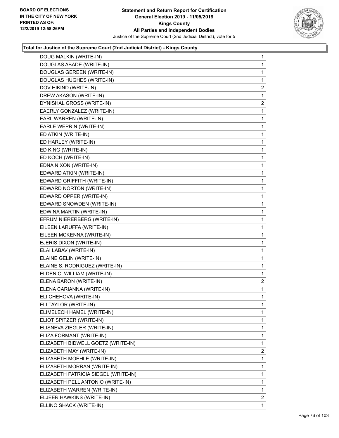

| DOUG MALKIN (WRITE-IN)               | $\mathbf{1}$   |
|--------------------------------------|----------------|
| DOUGLAS ABADE (WRITE-IN)             | 1              |
| DOUGLAS GEREEN (WRITE-IN)            | 1              |
| DOUGLAS HUGHES (WRITE-IN)            | 1              |
| DOV HIKIND (WRITE-IN)                | $\overline{c}$ |
| DREW AKASON (WRITE-IN)               | 1              |
| DYNISHAL GROSS (WRITE-IN)            | $\overline{2}$ |
| EAERLY GONZALEZ (WRITE-IN)           | 1              |
| EARL WARREN (WRITE-IN)               | 1              |
| EARLE WEPRIN (WRITE-IN)              | 1              |
| ED ATKIN (WRITE-IN)                  | 1              |
| ED HARLEY (WRITE-IN)                 | 1              |
| ED KING (WRITE-IN)                   | $\mathbf{1}$   |
| ED KOCH (WRITE-IN)                   | 1              |
| EDNA NIXON (WRITE-IN)                | 1              |
| EDWARD ATKIN (WRITE-IN)              | 1              |
| EDWARD GRIFFITH (WRITE-IN)           | 1              |
| EDWARD NORTON (WRITE-IN)             | 1              |
| EDWARD OPPER (WRITE-IN)              | $\mathbf{1}$   |
| EDWARD SNOWDEN (WRITE-IN)            | 1              |
| EDWINA MARTIN (WRITE-IN)             | 1              |
| EFRUM NIERERBERG (WRITE-IN)          | 1              |
| EILEEN LARUFFA (WRITE-IN)            | 1              |
| EILEEN MCKENNA (WRITE-IN)            | 1              |
| EJERIS DIXON (WRITE-IN)              | $\mathbf{1}$   |
| ELAI LABAV (WRITE-IN)                | 1              |
| ELAINE GELIN (WRITE-IN)              | 1              |
| ELAINE S. RODRIGUEZ (WRITE-IN)       | 1              |
| ELDEN C. WILLIAM (WRITE-IN)          | 1              |
| ELENA BARON (WRITE-IN)               | 2              |
| ELENA CARIANNA (WRITE-IN)            | 1              |
| ELI CHEHOVA (WRITE-IN)               | 1              |
| ELI TAYLOR (WRITE-IN)                | 1              |
| ELIMELECH HAMEL (WRITE-IN)           | $\mathbf{1}$   |
| ELIOT SPITZER (WRITE-IN)             | 1              |
| ELISNEVA ZIEGLER (WRITE-IN)          | 1              |
| ELIZA FORMANT (WRITE-IN)             | 1              |
| ELIZABETH BIDWELL GOETZ (WRITE-IN)   | 1              |
| ELIZABETH MAY (WRITE-IN)             | 2              |
| ELIZABETH MOEHLE (WRITE-IN)          | 1              |
| ELIZABETH MORRAN (WRITE-IN)          | 1              |
| ELIZABETH PATRICIA SIEGEL (WRITE-IN) | 1              |
| ELIZABETH PELL ANTONIO (WRITE-IN)    | 1              |
| ELIZABETH WARREN (WRITE-IN)          | 1              |
| ELJEER HAWKINS (WRITE-IN)            | $\overline{2}$ |
| ELLINO SHACK (WRITE-IN)              | 1              |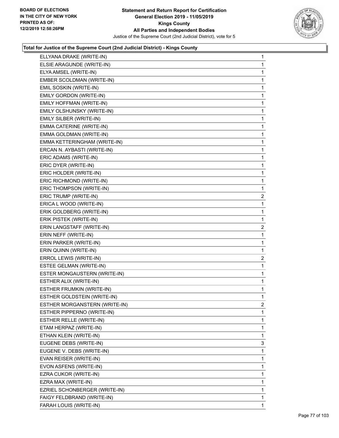

| ELLYANA DRAKE (WRITE-IN)      | 1              |
|-------------------------------|----------------|
| ELSIE ARAGUNDE (WRITE-IN)     | $\mathbf{1}$   |
| ELYA AMSEL (WRITE-IN)         | 1              |
| EMBER SCOLDMAN (WRITE-IN)     | 1              |
| EMIL SOSKIN (WRITE-IN)        | 1              |
| EMILY GORDON (WRITE-IN)       | 1              |
| EMILY HOFFMAN (WRITE-IN)      | 1              |
| EMILY OLSHUNSKY (WRITE-IN)    | 1              |
| EMILY SILBER (WRITE-IN)       | 1              |
| EMMA CATERINE (WRITE-IN)      | 1              |
| EMMA GOLDMAN (WRITE-IN)       | 1              |
| EMMA KETTERINGHAM (WRITE-IN)  | 1              |
| ERCAN N. AYBASTI (WRITE-IN)   | 1              |
| ERIC ADAMS (WRITE-IN)         | 1              |
| ERIC DYER (WRITE-IN)          | 1              |
| ERIC HOLDER (WRITE-IN)        | 1              |
| ERIC RICHMOND (WRITE-IN)      | 1              |
| ERIC THOMPSON (WRITE-IN)      | 1              |
| ERIC TRUMP (WRITE-IN)         | $\overline{c}$ |
| ERICA L WOOD (WRITE-IN)       | 1              |
| ERIK GOLDBERG (WRITE-IN)      | 1              |
| ERIK PISTEK (WRITE-IN)        | 1              |
| ERIN LANGSTAFF (WRITE-IN)     | 2              |
|                               |                |
| ERIN NEFF (WRITE-IN)          | 1              |
| ERIN PARKER (WRITE-IN)        | 1              |
| ERIN QUINN (WRITE-IN)         | 1              |
| ERROL LEWIS (WRITE-IN)        | $\overline{c}$ |
| ESTEE GELMAN (WRITE-IN)       | 1              |
| ESTER MONGAUSTERN (WRITE-IN)  | 1              |
| ESTHER ALIX (WRITE-IN)        | 1              |
| ESTHER FRUMKIN (WRITE-IN)     | 1              |
| ESTHER GOLDSTEIN (WRITE-IN)   | 1              |
| ESTHER MORGANSTERN (WRITE-IN) | 2              |
| ESTHER PIPPERNO (WRITE-IN)    | 1              |
| ESTHER RELLE (WRITE-IN)       | 1              |
| ETAM HERPAZ (WRITE-IN)        | 1              |
| ETHAN KLEIN (WRITE-IN)        | 1              |
| EUGENE DEBS (WRITE-IN)        | 3              |
| EUGENE V. DEBS (WRITE-IN)     | 1              |
| EVAN REISER (WRITE-IN)        | 1              |
| EVON ASFENS (WRITE-IN)        | 1              |
| EZRA CUKOR (WRITE-IN)         | 1              |
| EZRA MAX (WRITE-IN)           | 1              |
| EZRIEL SCHONBERGER (WRITE-IN) | 1              |
| FAIGY FELDBRAND (WRITE-IN)    | 1              |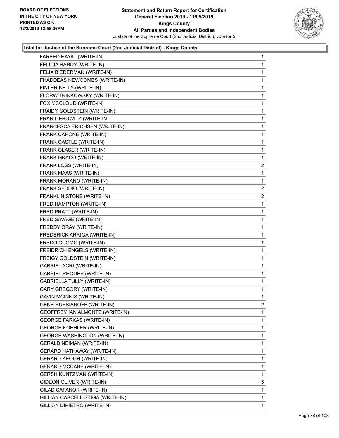

| FAREED HAYAT (WRITE-IN)             | 1              |
|-------------------------------------|----------------|
| FELICIA HARDY (WRITE-IN)            | 1              |
| FELIX BIEDERMAN (WRITE-IN)          | 1              |
| FHADDEAS NEWCOMBS (WRITE-IN)        | 1              |
| FINLER KELLY (WRITE-IN)             | 1              |
| FLORW TRINKOWSKY (WRITE-IN)         | 1              |
| FOX MCCLOUD (WRITE-IN)              | 1              |
| FRAIDY GOLDSTEIN (WRITE-IN)         | 1              |
| FRAN LIEBOWITZ (WRITE-IN)           | 1              |
| FRANCESCA ERICHSEN (WRITE-IN)       | 1              |
| FRANK CARONE (WRITE-IN)             | 1              |
| FRANK CASTLE (WRITE-IN)             | 1              |
| FRANK GLASER (WRITE-IN)             | 1              |
| FRANK GRACO (WRITE-IN)              | 1              |
| FRANK LOSS (WRITE-IN)               | $\overline{2}$ |
| FRANK MAAS (WRITE-IN)               | 1              |
| FRANK MORANO (WRITE-IN)             | 1              |
| FRANK SEDDIO (WRITE-IN)             | 2              |
| FRANKLIN STONE (WRITE-IN)           | $\overline{a}$ |
| FRED HAMPTON (WRITE-IN)             | 1              |
| FRED PRATT (WRITE-IN)               | 1              |
| FRED SAVAGE (WRITE-IN)              | 1              |
| FREDDY ORAY (WRITE-IN)              | 1              |
| FREDERICK ARRIGA (WRITE-IN)         | 1              |
| FREDO CUOMO (WRITE-IN)              | 1              |
| FREIDRICH ENGELS (WRITE-IN)         | 1              |
| FREIGY GOLDSTEIN (WRITE-IN)         | 1              |
| GABRIEL ACRI (WRITE-IN)             | 1              |
| <b>GABRIEL RHODES (WRITE-IN)</b>    | $\mathbf{1}$   |
| GABRIELLA TULLY (WRITE-IN)          | 1              |
| <b>GARY GREGORY (WRITE-IN)</b>      | 1              |
| <b>GAVIN MCINNIS (WRITE-IN)</b>     | 1              |
| GENE RUSSIANOFF (WRITE-IN)          | 2              |
| GEOFFREY IAN ALMONTE (WRITE-IN)     | 1              |
| <b>GEORGE FARKAS (WRITE-IN)</b>     | 1              |
| <b>GEORGE KOEHLER (WRITE-IN)</b>    | 1              |
| <b>GEORGE WASHINGTON (WRITE-IN)</b> | 1              |
| <b>GERALD NEIMAN (WRITE-IN)</b>     | 1              |
| <b>GERARD HATHAWAY (WRITE-IN)</b>   | 1              |
| <b>GERARD KEOGH (WRITE-IN)</b>      | 1              |
| <b>GERARD MCCABE (WRITE-IN)</b>     | 1              |
| GERSH KUNTZMAN (WRITE-IN)           | 1              |
| GIDEON OLIVER (WRITE-IN)            | 5              |
| GILAD SAFANOR (WRITE-IN)            | 1              |
| GILLIAN CASCELL-STIGA (WRITE-IN)    | 1              |
| GILLIAN DIPIETRO (WRITE-IN)         | 1              |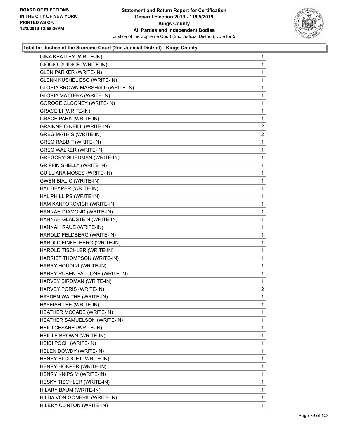

| GINA KEATLEY (WRITE-IN)            | $\mathbf{1}$   |
|------------------------------------|----------------|
| <b>GIOGIO GUIDICE (WRITE-IN)</b>   | 1              |
| <b>GLEN PARKER (WRITE-IN)</b>      | 1              |
| GLENN KUSHEL ESQ (WRITE-IN)        | 1              |
| GLORIA BROWN MARSHAL0 (WRITE-IN)   | 1              |
| GLORIA MATTERA (WRITE-IN)          | 1              |
| <b>GOROGE CLOONEY (WRITE-IN)</b>   | 1              |
| <b>GRACE LI (WRITE-IN)</b>         | 1              |
| <b>GRACE PARK (WRITE-IN)</b>       | 1              |
| <b>GRAINNE O NEILL (WRITE-IN)</b>  | $\overline{2}$ |
| <b>GREG MATHIS (WRITE-IN)</b>      | $\overline{2}$ |
| <b>GREG RABBIT (WRITE-IN)</b>      | 1              |
| <b>GREG WALKER (WRITE-IN)</b>      | 1              |
| <b>GREGORY GLIEDMAN (WRITE-IN)</b> | 1              |
| <b>GRIFFIN SHELLY (WRITE-IN)</b>   | $\mathbf{1}$   |
| <b>GUILLIANA MOSES (WRITE-IN)</b>  | 1              |
| <b>GWEN BIALIC (WRITE-IN)</b>      | 1              |
| HAL DEAPER (WRITE-IN)              | 1              |
| HAL PHILLIPS (WRITE-IN)            | 1              |
| HAM KANTOROVICH (WRITE-IN)         | 1              |
| HANNAH DIAMOND (WRITE-IN)          | 1              |
| HANNAH GLADSTEIN (WRITE-IN)        | 1              |
| HANNAH RAUE (WRITE-IN)             | 1              |
| HAROLD FELDBERG (WRITE-IN)         | 1              |
| HAROLD FINKELBERG (WRITE-IN)       | 1              |
| HAROLD TISCHLER (WRITE-IN)         | 1              |
| HARRIET THOMPSON (WRITE-IN)        | 1              |
| HARRY HOUDINI (WRITE-IN)           | 1              |
| HARRY RUBEN-FALCONE (WRITE-IN)     | 1              |
| HARVEY BIRDMAN (WRITE-IN)          | 1              |
| HARVEY PORIS (WRITE-IN)            | $\mathbf{2}$   |
| HAYDEN WAITHE (WRITE-IN)           | 1              |
| HAYEIAH LEE (WRITE-IN)             | 1              |
| HEATHER MCCABE (WRITE-IN)          | 1              |
| HEATHER SAMUELSON (WRITE-IN)       | 1              |
| HEIDI CESARE (WRITE-IN)            | 1              |
| HEIDI E BROWN (WRITE-IN)           | 1              |
| HEIDI POCH (WRITE-IN)              | 1              |
| HELEN DOWDY (WRITE-IN)             | 1              |
| HENRY BLODGET (WRITE-IN)           | 1              |
| HENRY HOKPER (WRITE-IN)            | 1              |
| HENRY KNIPSIM (WRITE-IN)           | 1              |
| HESKY TISCHLER (WRITE-IN)          | 1              |
| HILARY BAUM (WRITE-IN)             | 1              |
| HILDA VON GONERIL (WRITE-IN)       | 1              |
| HILERY CLINTON (WRITE-IN)          | 1              |
|                                    |                |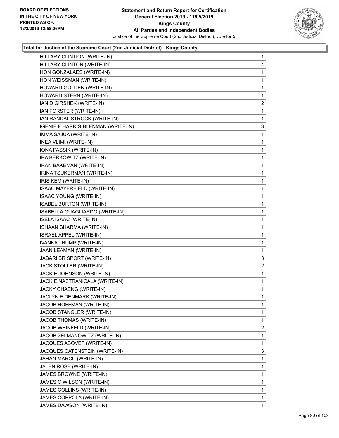

| HILLARY CLINTION (WRITE-IN)        | $\mathbf{1}$ |
|------------------------------------|--------------|
| HILLARY CLINTON (WRITE-IN)         | 4            |
| HON GONZALAES (WRITE-IN)           | 1            |
| HON WEISSMAN (WRITE-IN)            | 1            |
| HOWARD GOLDEN (WRITE-IN)           | $\mathbf{1}$ |
| HOWARD STERN (WRITE-IN)            | 1            |
| IAN D GIRSHEK (WRITE-IN)           | 2            |
| IAN FORSTER (WRITE-IN)             | 1            |
| IAN RANDAL STROCK (WRITE-IN)       | 1            |
| IGENIE F HARRIS-BLENMAN (WRITE-IN) | 3            |
| IMMA SAJUA (WRITE-IN)              | 1            |
| INEA VLIMI (WRITE-IN)              | $\mathbf{1}$ |
| IONA PASSIK (WRITE-IN)             | 1            |
| IRA BERKOWITZ (WRITE-IN)           | $\mathbf{1}$ |
| IRAN BAKEMAN (WRITE-IN)            | 1            |
| IRINA TSUKERMAN (WRITE-IN)         | 1            |
| IRIS KEM (WRITE-IN)                | 1            |
| ISAAC MAYERFIELD (WRITE-IN)        | 1            |
| <b>ISAAC YOUNG (WRITE-IN)</b>      | 1            |
| <b>ISABEL BURTON (WRITE-IN)</b>    | $\mathbf{1}$ |
| ISABELLA GUAGLIARDO (WRITE-IN)     | 1            |
| <b>ISELA ISAAC (WRITE-IN)</b>      | 1            |
| ISHAAN SHARMA (WRITE-IN)           | 1            |
| ISRAEL APPEL (WRITE-IN)            | 1            |
| IVANKA TRUMP (WRITE-IN)            | 1            |
| JAAN LEAMAN (WRITE-IN)             | $\mathbf{1}$ |
| JABARI BRISPORT (WRITE-IN)         | 3            |
| JACK STOLLER (WRITE-IN)            | 2            |
| JACKIE JOHNSON (WRITE-IN)          | 1            |
| JACKIE NASTRANICALA (WRITE-IN)     | $\mathbf{1}$ |
| JACKY CHAENG (WRITE-IN)            | 1            |
| JACLYN E DENMARK (WRITE-IN)        | $\mathbf{1}$ |
| JACOB HOFFMAN (WRITE-IN)           | 1            |
| JACOB STANGLER (WRITE-IN)          | 1            |
| JACOB THOMAS (WRITE-IN)            | $\mathbf 1$  |
| JACOB WEINFELD (WRITE-IN)          | 2            |
| JACOB ZELMANOWITZ (WRITE-IN)       | 1            |
| JACQUES ABOVEF (WRITE-IN)          | $\mathbf 1$  |
| JACQUES CATENSTEIN (WRITE-IN)      | 3            |
| JAHAN MARCU (WRITE-IN)             | 1            |
| JALEN ROSE (WRITE-IN)              | $\mathbf{1}$ |
| JAMES BROWNE (WRITE-IN)            | 1            |
| JAMES C WILSON (WRITE-IN)          | 1            |
| JAMES COLLINS (WRITE-IN)           | $\mathbf{1}$ |
| JAMES COPPOLA (WRITE-IN)           | $\mathbf{1}$ |
| JAMES DAWSON (WRITE-IN)            | 1            |
|                                    |              |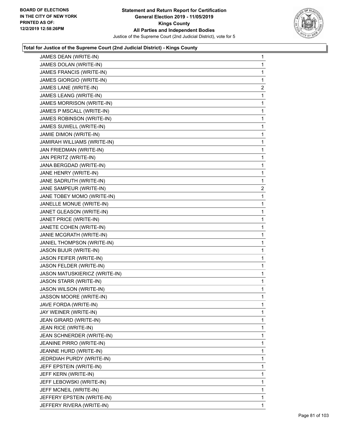

| JAMES DEAN (WRITE-IN)         | 1              |
|-------------------------------|----------------|
| JAMES DOLAN (WRITE-IN)        | 1              |
| JAMES FRANCIS (WRITE-IN)      | 1              |
| JAMES GIORGIO (WRITE-IN)      | 1              |
| JAMES LANE (WRITE-IN)         | $\overline{2}$ |
| JAMES LEANG (WRITE-IN)        | 1              |
| JAMES MORRISON (WRITE-IN)     | 1              |
| JAMES P MSCALL (WRITE-IN)     | 1              |
| JAMES ROBINSON (WRITE-IN)     | 1              |
| JAMES SUWELL (WRITE-IN)       | 1              |
| JAMIE DIMON (WRITE-IN)        | 1              |
| JAMIRAH WILLIAMS (WRITE-IN)   | 1              |
| JAN FRIEDMAN (WRITE-IN)       | 1              |
| JAN PERITZ (WRITE-IN)         | 1              |
| JANA BERGDAD (WRITE-IN)       | 1              |
| JANE HENRY (WRITE-IN)         | 1              |
| JANE SADRUTH (WRITE-IN)       | 1              |
| JANE SAMPEUR (WRITE-IN)       | $\mathbf{2}$   |
| JANE TOBEY MOMO (WRITE-IN)    | 1              |
| JANELLE MONUE (WRITE-IN)      | 1              |
| JANET GLEASON (WRITE-IN)      | 1              |
| JANET PRICE (WRITE-IN)        | 1              |
| JANETE COHEN (WRITE-IN)       | 1              |
| JANIE MCGRATH (WRITE-IN)      | 1              |
| JANIEL THOMPSON (WRITE-IN)    | 1              |
| JASON BIJUR (WRITE-IN)        | 1              |
| JASON FEIFER (WRITE-IN)       | 1              |
| JASON FELDER (WRITE-IN)       | 1              |
| JASON MATUSKIERICZ (WRITE-IN) | 1              |
| JASON STARR (WRITE-IN)        | 1              |
| JASON WILSON (WRITE-IN)       | 1              |
| JASSON MOORE (WRITE-IN)       | 1              |
| JAVE FORDA (WRITE-IN)         | 1              |
| JAY WEINER (WRITE-IN)         | 1              |
| JEAN GIRARD (WRITE-IN)        | 1              |
| JEAN RICE (WRITE-IN)          | 1              |
| JEAN SCHNERDER (WRITE-IN)     | 1              |
| JEANINE PIRRO (WRITE-IN)      | 1              |
| JEANNE HURD (WRITE-IN)        | 1              |
| JEDRDIAH PURDY (WRITE-IN)     | 1              |
| JEFF EPSTEIN (WRITE-IN)       | 1              |
| JEFF KERN (WRITE-IN)          | 1              |
| JEFF LEBOWSKI (WRITE-IN)      | 1              |
| JEFF MCNEIL (WRITE-IN)        | 1              |
| JEFFERY EPSTEIN (WRITE-IN)    | 1              |
| JEFFERY RIVERA (WRITE-IN)     | 1              |
|                               |                |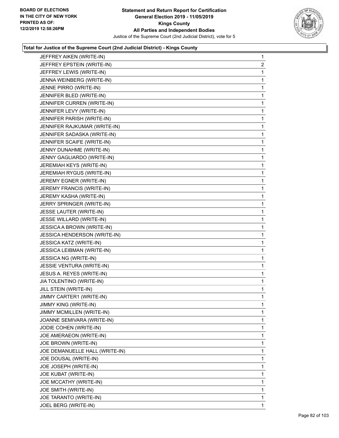

| JEFFREY AIKEN (WRITE-IN)       | $\mathbf{1}$   |
|--------------------------------|----------------|
| JEFFREY EPSTEIN (WRITE-IN)     | $\overline{2}$ |
| JEFFREY LEWIS (WRITE-IN)       | 1              |
| JENNA WEINBERG (WRITE-IN)      | 1              |
| JENNE PIRRO (WRITE-IN)         | 1              |
| JENNIFER BLED (WRITE-IN)       | 1              |
| JENNIFER CURREN (WRITE-IN)     | $\mathbf{1}$   |
| JENNIFER LEVY (WRITE-IN)       | 1              |
| JENNIFER PARISH (WRITE-IN)     | 1              |
| JENNIFER RAJKUMAR (WRITE-IN)   | 1              |
| JENNIFER SADASKA (WRITE-IN)    | 1              |
| JENNIFER SCAIFE (WRITE-IN)     | 1              |
| JENNY DUNAHME (WRITE-IN)       | $\mathbf{1}$   |
| JENNY GAGLIARDO (WRITE-IN)     | 1              |
| JEREMIAH KEYS (WRITE-IN)       | 1              |
| JEREMIAH RYGUS (WRITE-IN)      | 1              |
| JEREMY EGNER (WRITE-IN)        | 1              |
| JEREMY FRANCIS (WRITE-IN)      | 1              |
| JEREMY KASHA (WRITE-IN)        | $\mathbf{1}$   |
| JERRY SPRINGER (WRITE-IN)      | 1              |
| JESSE LAUTER (WRITE-IN)        | 1              |
| JESSE WILLARD (WRITE-IN)       | 1              |
| JESSICA A BROWN (WRITE-IN)     | 1              |
| JESSICA HENDERSON (WRITE-IN)   | 1              |
| <b>JESSICA KATZ (WRITE-IN)</b> | 1              |
| JESSICA LEIBMAN (WRITE-IN)     | 1              |
| JESSICA NG (WRITE-IN)          | 1              |
| JESSIE VENTURA (WRITE-IN)      | 1              |
| JESUS A. REYES (WRITE-IN)      | 1              |
| JIA TOLENTINO (WRITE-IN)       | 1              |
| JILL STEIN (WRITE-IN)          | $\mathbf{1}$   |
| JIMMY CARTER1 (WRITE-IN)       | 1              |
| JIMMY KING (WRITE-IN)          | 1              |
| JIMMY MCMILLEN (WRITE-IN)      | 1              |
| JOANNE SEMIVARA (WRITE-IN)     | 1              |
| JODIE COHEN (WRITE-IN)         | 1              |
| JOE AMERAEON (WRITE-IN)        | 1              |
| JOE BROWN (WRITE-IN)           | 1              |
| JOE DEMANUELLE HALL (WRITE-IN) | 1              |
| JOE DOUSAL (WRITE-IN)          | 1              |
| JOE JOSEPH (WRITE-IN)          | 1              |
| JOE KUBAT (WRITE-IN)           | 1              |
| JOE MCCATHY (WRITE-IN)         | 1              |
| JOE SMITH (WRITE-IN)           | 1              |
| JOE TARANTO (WRITE-IN)         | 1              |
| JOEL BERG (WRITE-IN)           | 1              |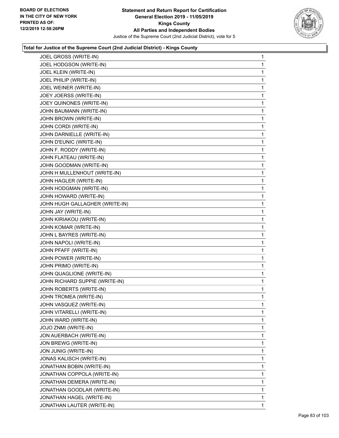

| JOEL GROSS (WRITE-IN)          | 1 |
|--------------------------------|---|
| JOEL HODGSON (WRITE-IN)        | 1 |
| JOEL KLEIN (WRITE-IN)          | 1 |
| JOEL PHILIP (WRITE-IN)         | 1 |
| JOEL WEINER (WRITE-IN)         | 1 |
| JOEY JOERSS (WRITE-IN)         | 1 |
| JOEY QUINONES (WRITE-IN)       | 1 |
| JOHN BAUMANN (WRITE-IN)        | 1 |
| JOHN BROWN (WRITE-IN)          | 1 |
| JOHN CORDI (WRITE-IN)          | 1 |
| JOHN DARNIELLE (WRITE-IN)      | 1 |
| JOHN D'EUNIC (WRITE-IN)        | 1 |
| JOHN F. RODDY (WRITE-IN)       | 1 |
| JOHN FLATEAU (WRITE-IN)        | 1 |
| JOHN GOODMAN (WRITE-IN)        | 1 |
| JOHN H MULLENHOUT (WRITE-IN)   | 1 |
| JOHN HAGLER (WRITE-IN)         | 1 |
| JOHN HODGMAN (WRITE-IN)        | 1 |
| JOHN HOWARD (WRITE-IN)         | 1 |
| JOHN HUGH GALLAGHER (WRITE-IN) | 1 |
| JOHN JAY (WRITE-IN)            | 1 |
| JOHN KIRIAKOU (WRITE-IN)       | 1 |
| JOHN KOMAR (WRITE-IN)          | 1 |
| JOHN L BAYRES (WRITE-IN)       | 1 |
| JOHN NAPOLI (WRITE-IN)         | 1 |
| JOHN PFAFF (WRITE-IN)          | 1 |
| JOHN POWER (WRITE-IN)          | 1 |
| JOHN PRIMO (WRITE-IN)          | 1 |
| JOHN QUAGLIONE (WRITE-IN)      | 1 |
| JOHN RICHARD SUPPIE (WRITE-IN) | 1 |
| JOHN ROBERTS (WRITE-IN)        | 1 |
| JOHN TROMEA (WRITE-IN)         | 1 |
| JOHN VASQUEZ (WRITE-IN)        | 1 |
| JOHN VITARELLI (WRITE-IN)      | 1 |
| JOHN WARD (WRITE-IN)           | 1 |
| JOJO ZNMI (WRITE-IN)           | 1 |
| JON AUERBACH (WRITE-IN)        | 1 |
| JON BREWG (WRITE-IN)           | 1 |
| <b>JON JUNIG (WRITE-IN)</b>    | 1 |
| JONAS KALISCH (WRITE-IN)       | 1 |
| JONATHAN BOBIN (WRITE-IN)      | 1 |
| JONATHAN COPPOLA (WRITE-IN)    | 1 |
| JONATHAN DEMERA (WRITE-IN)     | 1 |
| JONATHAN GOODLAR (WRITE-IN)    | 1 |
| JONATHAN HAGEL (WRITE-IN)      | 1 |
| JONATHAN LAUTER (WRITE-IN)     | 1 |
|                                |   |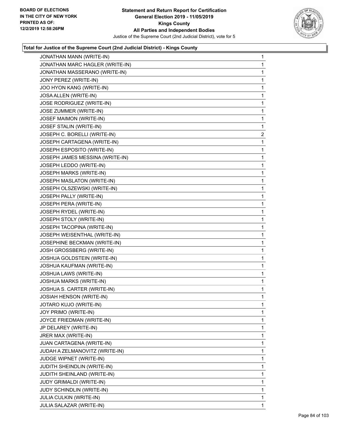

| JONATHAN MANN (WRITE-IN)        | 1              |
|---------------------------------|----------------|
| JONATHAN MARC HAGLER (WRITE-IN) | 1              |
| JONATHAN MASSERANO (WRITE-IN)   | 1              |
| JONY PEREZ (WRITE-IN)           | 1              |
| JOO HYON KANG (WRITE-IN)        | 1              |
| JOSA ALLEN (WRITE-IN)           | 1              |
| JOSE RODRIGUEZ (WRITE-IN)       | 1              |
| JOSE ZUMMER (WRITE-IN)          | 1              |
| JOSEF MAIMON (WRITE-IN)         | 1              |
| JOSEF STALIN (WRITE-IN)         | 1              |
| JOSEPH C. BORELLI (WRITE-IN)    | $\overline{c}$ |
| JOSEPH CARTAGENA (WRITE-IN)     | 1              |
| JOSEPH ESPOSITO (WRITE-IN)      | 1              |
| JOSEPH JAMES MESSINA (WRITE-IN) | 1              |
| JOSEPH LEDDO (WRITE-IN)         | 1              |
| JOSEPH MARKS (WRITE-IN)         | 1              |
| JOSEPH MASLATON (WRITE-IN)      | 1              |
| JOSEPH OLSZEWSKI (WRITE-IN)     | 1              |
| JOSEPH PALLY (WRITE-IN)         | 1              |
| JOSEPH PERA (WRITE-IN)          | 1              |
| JOSEPH RYDEL (WRITE-IN)         | 1              |
| JOSEPH STOLY (WRITE-IN)         | 1              |
| JOSEPH TACOPINA (WRITE-IN)      | 1              |
| JOSEPH WEISENTHAL (WRITE-IN)    | 1              |
| JOSEPHINE BECKMAN (WRITE-IN)    | 1              |
| JOSH GROSSBERG (WRITE-IN)       | 1              |
| JOSHUA GOLDSTEIN (WRITE-IN)     | 1              |
| JOSHUA KAUFMAN (WRITE-IN)       | 1              |
| JOSHUA LAWS (WRITE-IN)          | 1              |
| JOSHUA MARKS (WRITE-IN)         | 1              |
| JOSHUA S. CARTER (WRITE-IN)     | 1              |
| JOSIAH HENSON (WRITE-IN)        | $\mathbf{1}$   |
| JOTARO KUJO (WRITE-IN)          | 1              |
| JOY PRIMO (WRITE-IN)            | 1              |
| JOYCE FRIEDMAN (WRITE-IN)       | 1              |
| JP DELAREY (WRITE-IN)           | 1              |
| JRER MAX (WRITE-IN)             | 1              |
| JUAN CARTAGENA (WRITE-IN)       | 1              |
| JUDAH A ZELMANOVITZ (WRITE-IN)  | 1              |
| JUDGE WIPNET (WRITE-IN)         | 1              |
| JUDITH SHEINDLIN (WRITE-IN)     | 1              |
| JUDITH SHEINLAND (WRITE-IN)     | 1              |
| JUDY GRIMALDI (WRITE-IN)        | 1              |
| JUDY SCHINDLIN (WRITE-IN)       | 1              |
| JULIA CULKIN (WRITE-IN)         | 1              |
| JULIA SALAZAR (WRITE-IN)        | 1              |
|                                 |                |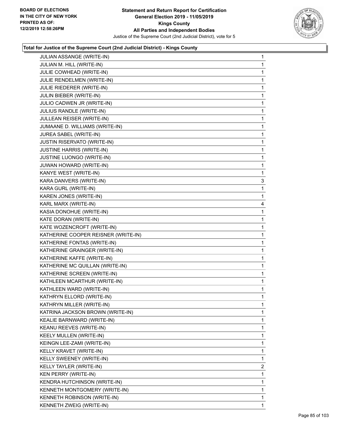

| JULIAN ASSANGE (WRITE-IN)           | $\mathbf{1}$ |
|-------------------------------------|--------------|
| JULIAN M. HILL (WRITE-IN)           | $\mathbf{1}$ |
| JULIE COWHEAD (WRITE-IN)            | 1            |
| JULIE RENDELMEN (WRITE-IN)          | $\mathbf{1}$ |
| JULIE RIEDERER (WRITE-IN)           | 1            |
| JULIN BIEBER (WRITE-IN)             | 1            |
| JULIO CADWEN JR (WRITE-IN)          | $\mathbf{1}$ |
| JULIUS RANDLE (WRITE-IN)            | 1            |
| JULLEAN REISER (WRITE-IN)           | 1            |
| JUMAANE D. WILLIAMS (WRITE-IN)      | $\mathbf{1}$ |
| JUREA SABEL (WRITE-IN)              | 1            |
| <b>JUSTIN RISERVATO (WRITE-IN)</b>  | 1            |
| <b>JUSTINE HARRIS (WRITE-IN)</b>    | $\mathbf{1}$ |
| JUSTINE LUONGO (WRITE-IN)           | 1            |
| JUWAN HOWARD (WRITE-IN)             | 1            |
| KANYE WEST (WRITE-IN)               | 1            |
| KARA DANVERS (WRITE-IN)             | 3            |
| KARA GURL (WRITE-IN)                | 1            |
| KAREN JONES (WRITE-IN)              | 1            |
| KARL MARX (WRITE-IN)                | 4            |
| KASIA DONOHUE (WRITE-IN)            | 1            |
| KATE DORAN (WRITE-IN)               | 1            |
| KATE WOZENCROFT (WRITE-IN)          | 1            |
| KATHERINE COOPER REISNER (WRITE-IN) | 1            |
| KATHERINE FONTAS (WRITE-IN)         | 1            |
| KATHERINE GRAINGER (WRITE-IN)       | 1            |
| KATHERINE KAFFE (WRITE-IN)          | 1            |
| KATHERINE MC QUILLAN (WRITE-IN)     | $\mathbf{1}$ |
| KATHERINE SCREEN (WRITE-IN)         | 1            |
| KATHLEEN MCARTHUR (WRITE-IN)        | $\mathbf{1}$ |
| KATHLEEN WARD (WRITE-IN)            | $\mathbf{1}$ |
| KATHRYN ELLORD (WRITE-IN)           | 1            |
| KATHRYN MILLER (WRITE-IN)           | 1            |
| KATRINA JACKSON BROWN (WRITE-IN)    | 1            |
| KEALIE BARNWARD (WRITE-IN)          | 1            |
| KEANU REEVES (WRITE-IN)             | 1            |
| KEELY MULLEN (WRITE-IN)             | 1            |
| KEINGN LEE-ZAMI (WRITE-IN)          | 1            |
| KELLY KRAVET (WRITE-IN)             | 1            |
| KELLY SWEENEY (WRITE-IN)            | 1            |
| KELLY TAYLER (WRITE-IN)             | 2            |
| KEN PERRY (WRITE-IN)                | 1            |
| KENDRA HUTCHINSON (WRITE-IN)        | 1            |
| KENNETH MONTGOMERY (WRITE-IN)       | 1            |
| KENNETH ROBINSON (WRITE-IN)         | 1            |
| KENNETH ZWEIG (WRITE-IN)            | 1            |
|                                     |              |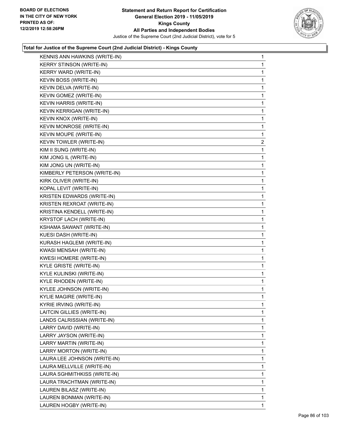

| KENNIS ANN HAWKINS (WRITE-IN)   | $\mathbf{1}$ |
|---------------------------------|--------------|
| <b>KERRY STINSON (WRITE-IN)</b> | 1            |
| KERRY WARD (WRITE-IN)           | 1            |
| KEVIN BOSS (WRITE-IN)           | 1            |
| KEVIN DELVA (WRITE-IN)          | 1            |
| KEVIN GOMEZ (WRITE-IN)          | 1            |
| KEVIN HARRIS (WRITE-IN)         | 1            |
| KEVIN KERRIGAN (WRITE-IN)       | 1            |
| KEVIN KNOX (WRITE-IN)           | 1            |
| KEVIN MONROSE (WRITE-IN)        | 1            |
| KEVIN MOUPE (WRITE-IN)          | 1            |
| KEVIN TOWLER (WRITE-IN)         | 2            |
| KIM II SUNG (WRITE-IN)          | 1            |
| KIM JONG IL (WRITE-IN)          | 1            |
| KIM JONG UN (WRITE-IN)          | 1            |
| KIMBERLY PETERSON (WRITE-IN)    | 1            |
| KIRK OLIVER (WRITE-IN)          | 1            |
| KOPAL LEVIT (WRITE-IN)          | 1            |
| KRISTEN EDWARDS (WRITE-IN)      | 1            |
| KRISTEN REXROAT (WRITE-IN)      | 1            |
| KRISTINA KENDELL (WRITE-IN)     | 1            |
| KRYSTOF LACH (WRITE-IN)         | 1            |
| KSHAMA SAWANT (WRITE-IN)        | 1            |
| KUESI DASH (WRITE-IN)           | 1            |
| KURASH HAGLEMI (WRITE-IN)       | 1            |
| KWASI MENSAH (WRITE-IN)         | 1            |
| <b>KWESI HOMERE (WRITE-IN)</b>  | 1            |
| KYLE GRISTE (WRITE-IN)          | 1            |
| KYLE KULINSKI (WRITE-IN)        | 1            |
| KYLE RHODEN (WRITE-IN)          | 1            |
| KYLEE JOHNSON (WRITE-IN)        | 1            |
| <b>KYLIE MAGIRE (WRITE-IN)</b>  | 1            |
| KYRIE IRVING (WRITE-IN)         | 1            |
| LAITCIN GILLIES (WRITE-IN)      | 1            |
| LANDS CALRISSIAN (WRITE-IN)     | 1            |
| LARRY DAVID (WRITE-IN)          | 1            |
| LARRY JAYSON (WRITE-IN)         | 1            |
| LARRY MARTIN (WRITE-IN)         | 1            |
| LARRY MORTON (WRITE-IN)         | 1            |
| LAURA LEE JOHNSON (WRITE-IN)    | 1            |
| LAURA MELLVILLE (WRITE-IN)      | 1            |
| LAURA SGHMITHKISS (WRITE-IN)    | 1            |
| LAURA TRACHTMAN (WRITE-IN)      | 1            |
| LAUREN BILASZ (WRITE-IN)        | 1            |
| LAUREN BONMAN (WRITE-IN)        |              |
|                                 | 1            |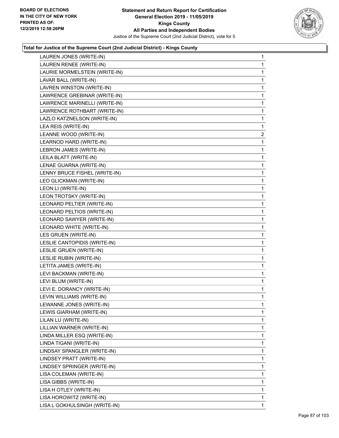

| LAUREN JONES (WRITE-IN)       | $\mathbf{1}$   |
|-------------------------------|----------------|
| LAUREN RENEE (WRITE-IN)       | 1              |
| LAURIE MORMELSTEIN (WRITE-IN) | 1              |
| LAVAR BALL (WRITE-IN)         | 1              |
| LAVREN WINSTON (WRITE-IN)     | 1              |
| LAWRENCE GREBINAR (WRITE-IN)  | 1              |
| LAWRENCE MARINELLI (WRITE-IN) | $\mathbf{1}$   |
| LAWRENCE ROTHBART (WRITE-IN)  | $\mathbf{1}$   |
| LAZLO KATZNELSON (WRITE-IN)   | 1              |
| LEA REIS (WRITE-IN)           | $\mathbf{1}$   |
| LEANNE WOOD (WRITE-IN)        | $\overline{a}$ |
| LEARNOD HARD (WRITE-IN)       | 1              |
| LEBRON JAMES (WRITE-IN)       | $\mathbf{1}$   |
| LEILA BLATT (WRITE-IN)        | 1              |
| LENAE GUARNA (WRITE-IN)       | 1              |
| LENNY BRUCE FISHEL (WRITE-IN) | $\mathbf{1}$   |
| LEO GLICKMAN (WRITE-IN)       | 1              |
| LEON LI (WRITE-IN)            | $\mathbf{1}$   |
| LEON TROTSKY (WRITE-IN)       | $\mathbf{1}$   |
| LEONARD PELTIER (WRITE-IN)    | 1              |
| LEONARD PELTIOS (WRITE-IN)    | 1              |
| LEONARD SAWYER (WRITE-IN)     | 1              |
| LEONARD WHITE (WRITE-IN)      | 1              |
| LES GRUEN (WRITE-IN)          | $\mathbf{1}$   |
| LESLIE CANTOPIDIS (WRITE-IN)  | 1              |
| LESLIE GRUEN (WRITE-IN)       | 1              |
| LESLIE RUBIN (WRITE-IN)       | 1              |
| LETITA JAMES (WRITE-IN)       | 1              |
| LEVI BACKMAN (WRITE-IN)       | 1              |
| LEVI BLUM (WRITE-IN)          | $\mathbf{1}$   |
| LEVI E. DORANCY (WRITE-IN)    | 1              |
| LEVIN WILLIAMS (WRITE-IN)     | 1              |
| LEWANNE JONES (WRITE-IN)      | 1              |
| LEWIS GIARHAM (WRITE-IN)      | 1              |
| LILAN LU (WRITE-IN)           | 1              |
| LILLIAN WARNER (WRITE-IN)     | 1              |
| LINDA MILLER ESQ (WRITE-IN)   | 1              |
| LINDA TIGANI (WRITE-IN)       | 1              |
| LINDSAY SPANGLER (WRITE-IN)   | 1              |
| LINDSEY PRATT (WRITE-IN)      | 1              |
| LINDSEY SPRINGER (WRITE-IN)   | 1              |
| LISA COLEMAN (WRITE-IN)       | 1              |
| LISA GIBBS (WRITE-IN)         | 1              |
| LISA H OTLEY (WRITE-IN)       | 1              |
| LISA HOROWITZ (WRITE-IN)      | 1              |
| LISA L GOKHULSINGH (WRITE-IN) | 1              |
|                               |                |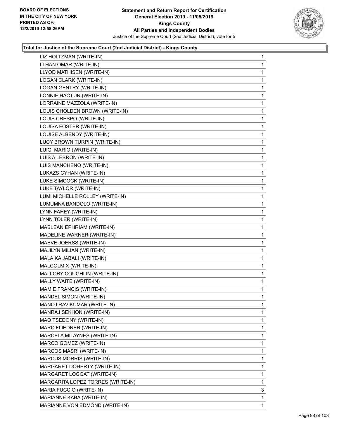

| LIZ HOLTZMAN (WRITE-IN)           | 1 |
|-----------------------------------|---|
| LLHAN OMAR (WRITE-IN)             | 1 |
| LLYOD MATHISEN (WRITE-IN)         | 1 |
| LOGAN CLARK (WRITE-IN)            | 1 |
| LOGAN GENTRY (WRITE-IN)           | 1 |
| LONNIE HACT JR (WRITE-IN)         | 1 |
| LORRAINE MAZZOLA (WRITE-IN)       | 1 |
| LOUIS CHOLDEN BROWN (WRITE-IN)    | 1 |
| LOUIS CRESPO (WRITE-IN)           | 1 |
| LOUISA FOSTER (WRITE-IN)          | 1 |
| LOUISE ALBENDY (WRITE-IN)         | 1 |
| LUCY BROWN TURPIN (WRITE-IN)      | 1 |
| LUIGI MARIO (WRITE-IN)            | 1 |
| LUIS A LEBRON (WRITE-IN)          | 1 |
| LUIS MANCHENO (WRITE-IN)          | 1 |
| LUKAZS CYHAN (WRITE-IN)           | 1 |
| LUKE SIMCOCK (WRITE-IN)           | 1 |
| LUKE TAYLOR (WRITE-IN)            | 1 |
| LUMI MICHELLE ROLLEY (WRITE-IN)   | 1 |
| LUMUMNA BANDOLO (WRITE-IN)        | 1 |
| LYNN FAHEY (WRITE-IN)             | 1 |
| LYNN TOLER (WRITE-IN)             | 1 |
| MABLEAN EPHRIAM (WRITE-IN)        | 1 |
| MADELINE WARNER (WRITE-IN)        | 1 |
| MAEVE JOERSS (WRITE-IN)           | 1 |
| MAJILYN MILIAN (WRITE-IN)         | 1 |
| MALAIKA JABALI (WRITE-IN)         | 1 |
| MALCOLM X (WRITE-IN)              | 1 |
| MALLORY COUGHLIN (WRITE-IN)       | 1 |
| MALLY WAITE (WRITE-IN)            | 1 |
| MAMIE FRANCIS (WRITE-IN)          | 1 |
| MANDEL SIMON (WRITE-IN)           | 1 |
| MANOJ RAVIKUMAR (WRITE-IN)        | 1 |
| MANRAJ SEKHON (WRITE-IN)          | 1 |
| MAO TSEDONY (WRITE-IN)            | 1 |
| MARC FLIEDNER (WRITE-IN)          | 1 |
| MARCELA MITAYNES (WRITE-IN)       | 1 |
| MARCO GOMEZ (WRITE-IN)            | 1 |
| MARCOS MASRI (WRITE-IN)           | 1 |
| <b>MARCUS MORRIS (WRITE-IN)</b>   | 1 |
| MARGARET DOHERTY (WRITE-IN)       | 1 |
| MARGARET LOGGAT (WRITE-IN)        | 1 |
| MARGARITA LOPEZ TORRES (WRITE-IN) | 1 |
| MARIA FUCCIO (WRITE-IN)           | 3 |
| MARIANNE KABA (WRITE-IN)          | 1 |
| MARIANNE VON EDMOND (WRITE-IN)    | 1 |
|                                   |   |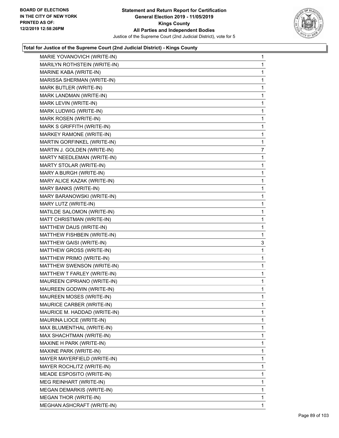

| MARIE YOVANOVICH (WRITE-IN)      | 1            |
|----------------------------------|--------------|
| MARILYN ROTHSTEIN (WRITE-IN)     | 1            |
| MARINE KABA (WRITE-IN)           | 1            |
| MARISSA SHERMAN (WRITE-IN)       | 1            |
| MARK BUTLER (WRITE-IN)           | 1            |
| MARK LANDMAN (WRITE-IN)          | 1            |
| MARK LEVIN (WRITE-IN)            | 1            |
| MARK LUDWIG (WRITE-IN)           | 1            |
| MARK ROSEN (WRITE-IN)            | 1            |
| MARK S GRIFFITH (WRITE-IN)       | 1            |
| MARKEY RAMONE (WRITE-IN)         | 1            |
| MARTIN GORFINKEL (WRITE-IN)      | 1            |
| MARTIN J. GOLDEN (WRITE-IN)      | 7            |
| MARTY NEEDLEMAN (WRITE-IN)       | 1            |
| MARTY STOLAR (WRITE-IN)          | 1            |
| MARY A BURGH (WRITE-IN)          | 1            |
| MARY ALICE KAZAK (WRITE-IN)      | 1            |
| MARY BANKS (WRITE-IN)            | 1            |
| MARY BARANOWSKI (WRITE-IN)       | 1            |
| MARY LUTZ (WRITE-IN)             | 1            |
| MATILDE SALOMON (WRITE-IN)       | 1            |
| MATT CHRISTMAN (WRITE-IN)        | 1            |
| MATTHEW DAUS (WRITE-IN)          | 1            |
| MATTHEW FISHBEIN (WRITE-IN)      | 1            |
| MATTHEW GAISI (WRITE-IN)         | 3            |
| MATTHEW GROSS (WRITE-IN)         | 1            |
| MATTHEW PRIMO (WRITE-IN)         | 1            |
| MATTHEW SWENSON (WRITE-IN)       | 1            |
| MATTHEW T FARLEY (WRITE-IN)      | 1            |
| MAUREEN CIPRIANO (WRITE-IN)      | 1            |
| MAUREEN GODWIN (WRITE-IN)        | 1            |
| MAUREEN MOSES (WRITE-IN)         | $\mathbf{1}$ |
| MAURICE CARBER (WRITE-IN)        | 1            |
| MAURICE M. HADDAD (WRITE-IN)     | 1            |
| MAURINA LIOCE (WRITE-IN)         | 1            |
| MAX BLUMENTHAL (WRITE-IN)        | 1            |
| MAX SHACHTMAN (WRITE-IN)         | 1            |
| MAXINE H PARK (WRITE-IN)         | 1            |
| MAXINE PARK (WRITE-IN)           | 1            |
| MAYER MAYERFIELD (WRITE-IN)      | 1            |
| MAYER ROCHLITZ (WRITE-IN)        | 1            |
| MEADE ESPOSITO (WRITE-IN)        | 1            |
| MEG REINHART (WRITE-IN)          | 1            |
| <b>MEGAN DEMARKIS (WRITE-IN)</b> | 1            |
| <b>MEGAN THOR (WRITE-IN)</b>     | 1            |
| MEGHAN ASHCRAFT (WRITE-IN)       | 1            |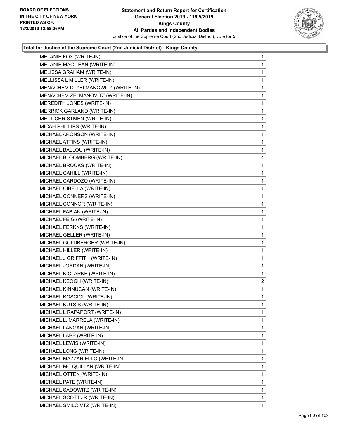

| MELANIE FOX (WRITE-IN)             | $\mathbf{1}$   |
|------------------------------------|----------------|
| MELANIE MAC LEAN (WRITE-IN)        | $\mathbf{1}$   |
| MELISSA GRAHAM (WRITE-IN)          | $\mathbf{1}$   |
| MELLISSA L MILLER (WRITE-IN)       | $\mathbf{1}$   |
| MENACHEM D. ZELMANOWITZ (WRITE-IN) | $\mathbf{1}$   |
| MENACHEM ZELMANOVITZ (WRITE-IN)    | 1              |
| MEREDITH JONES (WRITE-IN)          | $\mathbf{1}$   |
| MERRICK GARLAND (WRITE-IN)         | $\mathbf{1}$   |
| METT CHRISTMEN (WRITE-IN)          | $\mathbf 1$    |
| MICAH PHILLIPS (WRITE-IN)          | $\mathbf{1}$   |
| MICHAEL ARONSON (WRITE-IN)         | 1              |
| MICHAEL ATTINS (WRITE-IN)          | 1              |
| MICHAEL BALLOU (WRITE-IN)          | $\mathbf{1}$   |
| MICHAEL BLOOMBERG (WRITE-IN)       | 4              |
| MICHAEL BROOKS (WRITE-IN)          | $\mathbf 1$    |
| MICHAEL CAHILL (WRITE-IN)          | $\mathbf{1}$   |
| MICHAEL CARDOZO (WRITE-IN)         | 1              |
| MICHAEL CIBELLA (WRITE-IN)         | $\mathbf 1$    |
| MICHAEL CONNERS (WRITE-IN)         | $\mathbf{1}$   |
| MICHAEL CONNOR (WRITE-IN)          | $\mathbf{1}$   |
| MICHAEL FABIAN (WRITE-IN)          | $\mathbf{1}$   |
| MICHAEL FEIG (WRITE-IN)            | $\mathbf{1}$   |
| MICHAEL FERKNS (WRITE-IN)          | 1              |
| MICHAEL GELLER (WRITE-IN)          | $\mathbf 1$    |
| MICHAEL GOLDBERGER (WRITE-IN)      | $\mathbf{1}$   |
| MICHAEL HILLER (WRITE-IN)          | $\mathbf{1}$   |
| MICHAEL J GRIFFITH (WRITE-IN)      | $\mathbf{1}$   |
| MICHAEL JORDAN (WRITE-IN)          | $\mathbf{1}$   |
| MICHAEL K CLARKE (WRITE-IN)        | 1              |
| MICHAEL KEOGH (WRITE-IN)           | $\overline{2}$ |
| MICHAEL KINNUCAN (WRITE-IN)        | $\mathbf{1}$   |
| MICHAEL KOSCIOL (WRITE-IN)         | $\mathbf{1}$   |
| MICHAEL KUTSIS (WRITE-IN)          | 1              |
| MICHAEL L RAPAPORT (WRITE-IN)      | 1              |
| MICHAEL L. MARRELA (WRITE-IN)      | $\mathbf{1}$   |
| MICHAEL LANGAN (WRITE-IN)          | 1              |
| MICHAEL LAPP (WRITE-IN)            | 1              |
| MICHAEL LEWIS (WRITE-IN)           | 1              |
| MICHAEL LONG (WRITE-IN)            | 1              |
| MICHAEL MAZZARIELLO (WRITE-IN)     | 1              |
| MICHAEL MC QUILLAN (WRITE-IN)      | 1              |
| MICHAEL OTTEN (WRITE-IN)           | 1              |
| MICHAEL PATE (WRITE-IN)            | 1              |
| MICHAEL SADOWITZ (WRITE-IN)        | 1              |
| MICHAEL SCOTT JR (WRITE-IN)        | 1              |
| MICHAEL SMILOIVTZ (WRITE-IN)       | $\mathbf{1}$   |
|                                    |                |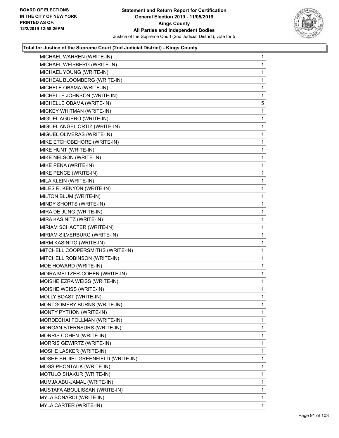

| MICHAEL WARREN (WRITE-IN)          | 1            |
|------------------------------------|--------------|
| MICHAEL WEISBERG (WRITE-IN)        | 1            |
| MICHAEL YOUNG (WRITE-IN)           | 1            |
| MICHEAL BLOOMBERG (WRITE-IN)       | 1            |
| MICHELE OBAMA (WRITE-IN)           | 1            |
| MICHELLE JOHNSON (WRITE-IN)        | 1            |
| MICHELLE OBAMA (WRITE-IN)          | $\,$ 5 $\,$  |
| MICKEY WHITMAN (WRITE-IN)          | 1            |
| MIGUEL AGUERO (WRITE-IN)           | 1            |
| MIGUEL ANGEL ORTIZ (WRITE-IN)      | 1            |
| MIGUEL OLIVERAS (WRITE-IN)         | 1            |
| MIKE ETCHOBEHORE (WRITE-IN)        | 1            |
| MIKE HUNT (WRITE-IN)               | 1            |
| MIKE NELSON (WRITE-IN)             | 1            |
| MIKE PENA (WRITE-IN)               | 1            |
| MIKE PENCE (WRITE-IN)              | 1            |
| MILA KLEIN (WRITE-IN)              | 1            |
| MILES R. KENYON (WRITE-IN)         | 1            |
| MILTON BLUM (WRITE-IN)             | 1            |
| MINDY SHORTS (WRITE-IN)            | 1            |
| MIRA DE JUNG (WRITE-IN)            | 1            |
| MIRA KASINITZ (WRITE-IN)           | 1            |
| MIRIAM SCHACTER (WRITE-IN)         | 1            |
| MIRIAM SILVERBURG (WRITE-IN)       | 1            |
| MIRM KASINITO (WRITE-IN)           | 1            |
| MITCHELL COOPERSMITHS (WRITE-IN)   | 1            |
| MITCHELL ROBINSON (WRITE-IN)       | 1            |
| MOE HOWARD (WRITE-IN)              | 1            |
| MOIRA MELTZER-COHEN (WRITE-IN)     | 1            |
| MOISHE EZRA WEISS (WRITE-IN)       | 1            |
| MOISHE WEISS (WRITE-IN)            | 1            |
| MOLLY BOAST (WRITE-IN)             | $\mathbf{1}$ |
| MONTGOMERY BURNS (WRITE-IN)        | 1            |
| MONTY PYTHON (WRITE-IN)            | 1            |
| MORDECHAI FOLLMAN (WRITE-IN)       | 1            |
| MORGAN STERNSURS (WRITE-IN)        | 1            |
| MORRIS COHEN (WRITE-IN)            | 1            |
| MORRIS GEWIRTZ (WRITE-IN)          | 1            |
| MOSHE LASKER (WRITE-IN)            | 1            |
| MOSHE SHUIEL GREENFIELD (WRITE-IN) | 1            |
| MOSS PHONTAUK (WRITE-IN)           | 1            |
| MOTULO SHAKUR (WRITE-IN)           | 1            |
| MUMJA ABU-JAMAL (WRITE-IN)         | 1            |
| MUSTAFA ABOULISSAN (WRITE-IN)      | 1            |
| MYLA BONARDI (WRITE-IN)            | 1            |
| MYLA CARTER (WRITE-IN)             | 1            |
|                                    |              |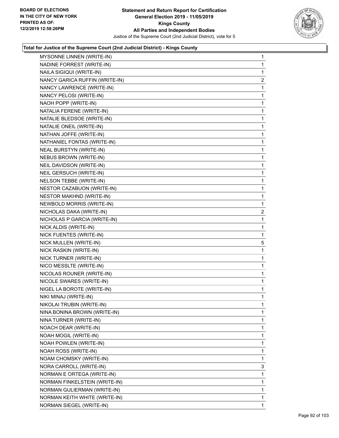

| MYSONNE LINNEN (WRITE-IN)      | 1              |
|--------------------------------|----------------|
| NADINE FORREST (WRITE-IN)      | 1              |
| NAILA SIGIQUI (WRITE-IN)       | 1              |
| NANCY GARICA RUFFIN (WRITE-IN) | $\overline{a}$ |
| NANCY LAWRENCE (WRITE-IN)      | 1              |
| NANCY PELOSI (WRITE-IN)        | 1              |
| NAOH POPP (WRITE-IN)           | 1              |
| NATALIA FERENE (WRITE-IN)      | 1              |
| NATALIE BLEDSOE (WRITE-IN)     | 1              |
| NATALIE ONEIL (WRITE-IN)       | 1              |
| NATHAN JOFFE (WRITE-IN)        | 1              |
| NATHANIEL FONTAS (WRITE-IN)    | 1              |
| NEAL BURSTYN (WRITE-IN)        | 1              |
| NEBUS BROWN (WRITE-IN)         | 1              |
| NEIL DAVIDSON (WRITE-IN)       | 1              |
| NEIL GERSUCH (WRITE-IN)        | 1              |
| NELSON TEBBE (WRITE-IN)        | 1              |
| NESTOR CAZABUON (WRITE-IN)     | 1              |
| NESTOR MAKHND (WRITE-IN)       | 1              |
| NEWBOLD MORRIS (WRITE-IN)      | 1              |
| NICHOLAS DAKA (WRITE-IN)       | $\overline{2}$ |
| NICHOLAS P GARCIA (WRITE-IN)   | 1              |
| NICK ALDIS (WRITE-IN)          | 1              |
| NICK FUENTES (WRITE-IN)        | 1              |
| NICK MULLEN (WRITE-IN)         | 5              |
| NICK RASKIN (WRITE-IN)         | 1              |
| NICK TURNER (WRITE-IN)         | 1              |
| NICO MESSLTE (WRITE-IN)        | 1              |
| NICOLAS ROUNER (WRITE-IN)      | 1              |
| NICOLE SWARES (WRITE-IN)       | 1              |
| NIGEL LA BOROTE (WRITE-IN)     | 1              |
| NIKI MINAJ (WRITE-IN)          | 1              |
| NIKOLAI TRUBIN (WRITE-IN)      | 1              |
| NINA BONINA BROWN (WRITE-IN)   | 1              |
| NINA TURNER (WRITE-IN)         | 1              |
| NOACH DEAR (WRITE-IN)          | 1              |
| NOAH MOGIL (WRITE-IN)          | 1              |
| <b>NOAH POWLEN (WRITE-IN)</b>  | 1              |
| NOAH ROSS (WRITE-IN)           | 1              |
| NOAM CHOMSKY (WRITE-IN)        | 1              |
| NORA CARROLL (WRITE-IN)        | 3              |
| NORMAN E ORTEGA (WRITE-IN)     | 1              |
| NORMAN FINKELSTEIN (WRITE-IN)  | 1              |
| NORMAN GULIERMAN (WRITE-IN)    | 1              |
| NORMAN KEITH WHITE (WRITE-IN)  | 1              |
| NORMAN SIEGEL (WRITE-IN)       | 1              |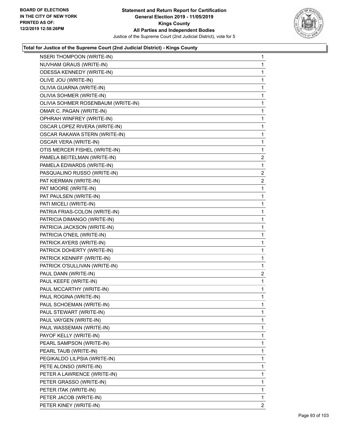

| <b>NSERI THOMPOON (WRITE-IN)</b>   | 1              |
|------------------------------------|----------------|
| NUVHAM GRAUS (WRITE-IN)            | 1              |
| <b>ODESSA KENNEDY (WRITE-IN)</b>   | 1              |
| OLIVE JOU (WRITE-IN)               | 1              |
| OLIVIA GUARNA (WRITE-IN)           | 1              |
| OLIVIA SOHMER (WRITE-IN)           | 1              |
| OLIVIA SOHMER ROSENBAUM (WRITE-IN) | 1              |
| OMAR C. PAGAN (WRITE-IN)           | 1              |
| OPHRAH WINFREY (WRITE-IN)          | 1              |
| OSCAR LOPEZ RIVERA (WRITE-IN)      | 1              |
| OSCAR RAKAWA STERN (WRITE-IN)      | 1              |
| OSCAR VERA (WRITE-IN)              | 1              |
| OTIS MERCER FISHEL (WRITE-IN)      | 1              |
| PAMELA BEITELMAN (WRITE-IN)        | $\overline{c}$ |
| PAMELA EDWARDS (WRITE-IN)          | 1              |
| PASQUALINO RUSSO (WRITE-IN)        | 2              |
| PAT KIERMAN (WRITE-IN)             | $\overline{2}$ |
| PAT MOORE (WRITE-IN)               | 1              |
| PAT PAULSEN (WRITE-IN)             | 1              |
| PATI MICELI (WRITE-IN)             | 1              |
| PATRIA FRIAS-COLON (WRITE-IN)      | 1              |
| PATRICIA DIMANGO (WRITE-IN)        | 1              |
| PATRICIA JACKSON (WRITE-IN)        | 1              |
| PATRICIA O'NEIL (WRITE-IN)         | 1              |
| PATRICK AYERS (WRITE-IN)           | 1              |
| PATRICK DOHERTY (WRITE-IN)         | 1              |
| PATRICK KENNIFF (WRITE-IN)         | 1              |
| PATRICK O'SULLIVAN (WRITE-IN)      | 1              |
| PAUL DANN (WRITE-IN)               | $\overline{2}$ |
| PAUL KEEFE (WRITE-IN)              | 1              |
| PAUL MCCARTHY (WRITE-IN)           | 1              |
| PAUL ROGINA (WRITE-IN)             | 1              |
| PAUL SCHOEMAN (WRITE-IN)           | 1              |
| PAUL STEWART (WRITE-IN)            | 1              |
| PAUL VAYGEN (WRITE-IN)             | 1              |
| PAUL WASSEMAN (WRITE-IN)           | 1              |
| PAYOF KELLY (WRITE-IN)             | 1              |
| PEARL SAMPSON (WRITE-IN)           | 1              |
| PEARL TAUB (WRITE-IN)              | 1              |
| PEGIKALDO LILPSIA (WRITE-IN)       | 1              |
| PETE ALONSO (WRITE-IN)             | 1              |
| PETER A LAWRENCE (WRITE-IN)        | 1              |
| PETER GRASSO (WRITE-IN)            | 1              |
| PETER ITAK (WRITE-IN)              | 1              |
| PETER JACOB (WRITE-IN)             | 1              |
| PETER KINEY (WRITE-IN)             | 2              |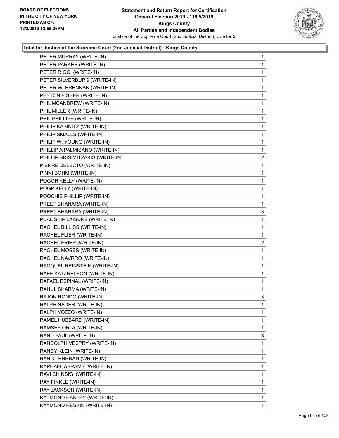

| PETER MURRAY (WRITE-IN)          | $\mathbf{1}$   |
|----------------------------------|----------------|
| PETER PARKER (WRITE-IN)          | 1              |
| PETER RIGGI (WRITE-IN)           | 1              |
| PETER SILVERBURG (WRITE-IN)      | 1              |
| PETER W. BRENNAN (WRITE-IN)      | 1              |
| PEYTON FISHER (WRITE-IN)         | 1              |
| PHIL MCANDREW (WRITE-IN)         | 1              |
| PHIL MILLER (WRITE-IN)           | 1              |
| PHIL PHILLIPS (WRITE-IN)         | 1              |
| PHILIP KASINITZ (WRITE-IN)       | 1              |
| PHILIP SMALLS (WRITE-IN)         | 1              |
| PHILIP W. YOUNG (WRITE-IN)       | 1              |
| PHILLIP A PALMISANO (WRITE-IN)   | 1              |
| PHILLIP BRISIMITZAKIS (WRITE-IN) | $\overline{c}$ |
| PIERRE DELECTO (WRITE-IN)        | 1              |
| PINNI BOHM (WRITE-IN)            | 1              |
| POGOR KELLY (WRITE-IN)           | 1              |
| POGP KELLY (WRITE-IN)            | 1              |
| POOCHIE PHILLIP (WRITE-IN)       | $\mathbf{1}$   |
| PREET BHANARA (WRITE-IN)         | 1              |
| PREET BHARARA (WRITE-IN)         | 3              |
| PUAL SKIP LAISURE (WRITE-IN)     | 1              |
| RACHEL BILLISS (WRITE-IN)        | $\mathbf{1}$   |
| RACHEL FLIER (WRITE-IN)          | 1              |
| RACHEL FRIER (WRITE-IN)          | $\overline{c}$ |
| RACHEL MOSES (WRITE-IN)          | 1              |
| RACHEL NAVRRO (WRITE-IN)         | 1              |
| RACQUEL REINSTEIN (WRITE-IN)     | 1              |
| RAEF KATZNELSON (WRITE-IN)       | $\mathbf{1}$   |
| RAFAEL ESPINAL (WRITE-IN)        | 1              |
| RAHUL SHARMA (WRITE-IN)          | 1              |
| RAJON RONDO (WRITE-IN)           | 3              |
| RALPH NADER (WRITE-IN)           | 1              |
| RALPH YOZZO (WRITE-IN)           | 1              |
| RAMEL HUBBARD (WRITE-IN)         | 1              |
| RAMSEY ORTA (WRITE-IN)           | 1              |
| RAND PAUL (WRITE-IN)             | 3              |
| RANDOLPH VESPRY (WRITE-IN)       | 1              |
| RANDY KLEIN (WRITE-IN)           | 1              |
| RANG LERRNAN (WRITE-IN)          | 1              |
| RAPHAEL ABRAMS (WRITE-IN)        | 1              |
| RAVI CHINSKY (WRITE-IN)          | 1              |
| RAY FINKLE (WRITE-IN)            | 1              |
| RAY JACKSON (WRITE-IN)           | 1              |
| RAYMOND HARLEY (WRITE-IN)        | 1              |
| RAYMOND RESKIN (WRITE-IN)        | 1              |
|                                  |                |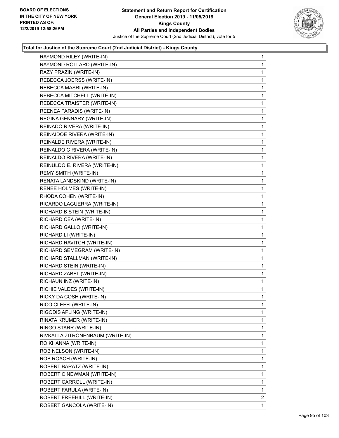

| RAYMOND RILEY (WRITE-IN)         | 1              |
|----------------------------------|----------------|
| RAYMOND ROLLARD (WRITE-IN)       | 1              |
| RAZY PRAZIN (WRITE-IN)           | 1              |
| REBECCA JOERSS (WRITE-IN)        | 1              |
| REBECCA MASRI (WRITE-IN)         | 1              |
| REBECCA MITCHELL (WRITE-IN)      | 1              |
| REBECCA TRAISTER (WRITE-IN)      | 1              |
| REENEA PARADIS (WRITE-IN)        | 1              |
| REGINA GENNARY (WRITE-IN)        | 1              |
| REINADO RIVERA (WRITE-IN)        | 1              |
| REINAIDOE RIVERA (WRITE-IN)      | 1              |
| REINALDE RIVERA (WRITE-IN)       | 1              |
| REINALDO C RIVERA (WRITE-IN)     | 1              |
| REINALDO RIVERA (WRITE-IN)       | 1              |
| REINULDO E. RIVERA (WRITE-IN)    | 1              |
| REMY SMITH (WRITE-IN)            | 1              |
| RENATA LANDSKIND (WRITE-IN)      | 1              |
| RENEE HOLMES (WRITE-IN)          | 1              |
| RHODA COHEN (WRITE-IN)           | 1              |
| RICARDO LAGUERRA (WRITE-IN)      | 1              |
| RICHARD B STEIN (WRITE-IN)       | 1              |
| RICHARD CEA (WRITE-IN)           | 1              |
| RICHARD GALLO (WRITE-IN)         | 1              |
| RICHARD LI (WRITE-IN)            | 1              |
| RICHARD RAVITCH (WRITE-IN)       | 1              |
| RICHARD SEMEGRAM (WRITE-IN)      | $\mathbf{1}$   |
| RICHARD STALLMAN (WRITE-IN)      | 1              |
| RICHARD STEIN (WRITE-IN)         | 1              |
| RICHARD ZABEL (WRITE-IN)         | 1              |
| RICHAUN INZ (WRITE-IN)           | 1              |
| RICHIE VALDES (WRITE-IN)         | 1              |
| RICKY DA COSH (WRITE-IN)         | 1              |
| RICO CLEFFI (WRITE-IN)           | 1              |
| RIGODIS APLING (WRITE-IN)        | 1              |
| RINATA KRUMER (WRITE-IN)         | 1              |
| RINGO STARR (WRITE-IN)           | 1              |
| RIVKALLA ZITRONENBAUM (WRITE-IN) | 1              |
| RO KHANNA (WRITE-IN)             | 1              |
| ROB NELSON (WRITE-IN)            | 1              |
| ROB ROACH (WRITE-IN)             | 1              |
| ROBERT BARATZ (WRITE-IN)         | 1              |
| ROBERT C NEWMAN (WRITE-IN)       | 1              |
| ROBERT CARROLL (WRITE-IN)        | 1              |
| ROBERT FARULA (WRITE-IN)         | 1              |
| ROBERT FREEHILL (WRITE-IN)       | $\overline{2}$ |
| ROBERT GANCOLA (WRITE-IN)        | 1.             |
|                                  |                |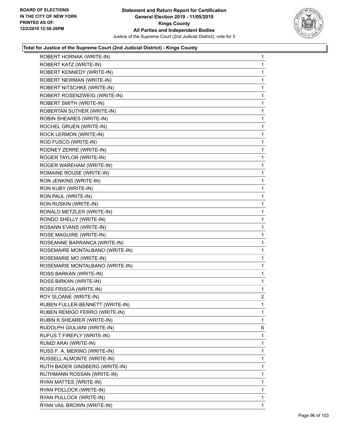

| ROBERT HORNAK (WRITE-IN)        | 1              |
|---------------------------------|----------------|
| ROBERT KATZ (WRITE-IN)          | 1              |
| ROBERT KENNEDY (WRITE-IN)       | 1              |
| ROBERT NEWMAN (WRITE-IN)        | 1              |
| ROBERT NITSCHKE (WRITE-IN)      | 1              |
| ROBERT ROSENZWEIG (WRITE-IN)    | 1              |
| ROBERT SMITH (WRITE-IN)         | 1              |
| ROBERTAN SUTHER (WRITE-IN)      | 1              |
| ROBIN SHEARES (WRITE-IN)        | 1              |
| ROCHEL GRUEN (WRITE-IN)         | 1              |
| ROCK LERMON (WRITE-IN)          | 1              |
| ROD FUSCO (WRITE-IN)            | 1              |
| RODNEY ZERRE (WRITE-IN)         | 1              |
| ROGER TAYLOR (WRITE-IN)         | 1              |
| ROGER WAREHAM (WRITE-IN)        | 1              |
| ROMAINE ROUSE (WRITE-IN)        | 1              |
| RON JENKINS (WRITE-IN)          | 1              |
| RON KUBY (WRITE-IN)             | 1              |
| RON PAUL (WRITE-IN)             | 1              |
| RON RUSKIN (WRITE-IN)           | 1              |
| RONALD METZLER (WRITE-IN)       | 1              |
| RONDO SHELLY (WRITE-IN)         | 1              |
| ROSANN EVANS (WRITE-IN)         | 1              |
| ROSE MAGUIRE (WRITE-IN)         | 1              |
| ROSEANNE BARRANCA (WRITE-IN)    | 1              |
| ROSEMAIRE MONTALBANO (WRITE-IN) | 1              |
| ROSEMARIE MO (WRITE-IN)         | 1              |
| ROSEMARIE MONTALBANO (WRITE-IN) | 1              |
| ROSS BARKAN (WRITE-IN)          | 1              |
| ROSS BIRKAN (WRITE-IN)          | 1              |
| ROSS FRISCIA (WRITE-IN)         | 1              |
| ROY SLOANE (WRITE-IN)           | $\overline{2}$ |
| RUBEN FULLER-BENNETT (WRITE-IN) | 1              |
| RUBEN REMIGO FERRO (WRITE-IN)   | 1              |
| RUBIN K SHEARER (WRITE-IN)      | 1              |
| RUDOLPH GIULIANI (WRITE-IN)     | 6              |
| RUFUS T FIREFLY (WRITE-IN)      | 1              |
| RUMZI ARAI (WRITE-IN)           | 1              |
| RUSS F. A. MERINO (WRITE-IN)    | 1              |
| RUSSELL ALMONTE (WRITE-IN)      | 1              |
| RUTH BADER GINSBERG (WRITE-IN)  | 1              |
| RUTHMANN ROSSAN (WRITE-IN)      | 1              |
| RYAN MATTES (WRITE-IN)          | 1              |
| RYAN POLLOCK (WRITE-IN)         | 1              |
| RYAN PULLOCK (WRITE-IN)         | 1              |
| RYAN VAIL BROWN (WRITE-IN)      | 1              |
|                                 |                |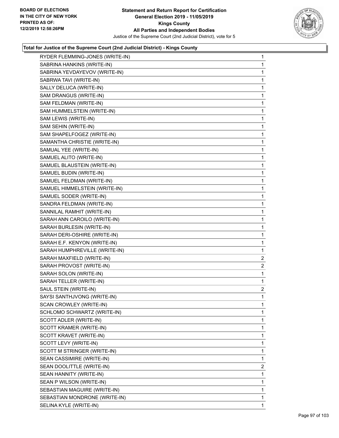

| RYDER FLEMMING-JONES (WRITE-IN) | $\mathbf{1}$   |
|---------------------------------|----------------|
| SABRINA HANKINS (WRITE-IN)      | 1              |
| SABRINA YEVDAYEVOV (WRITE-IN)   | 1              |
| SABRWA TAVI (WRITE-IN)          | 1              |
| SALLY DELUCA (WRITE-IN)         | 1              |
| SAM DRANGUS (WRITE-IN)          | 1              |
| SAM FELDMAN (WRITE-IN)          | 1              |
| SAM HUMMELSTEIN (WRITE-IN)      | 1              |
| SAM LEWIS (WRITE-IN)            | 1              |
| SAM SEHIN (WRITE-IN)            | 1              |
| SAM SHAPELFOGEZ (WRITE-IN)      | 1              |
| SAMANTHA CHRISTIE (WRITE-IN)    | 1              |
| SAMUAL YEE (WRITE-IN)           | 1              |
| SAMUEL ALITO (WRITE-IN)         | $\mathbf{1}$   |
| SAMUEL BLAUSTEIN (WRITE-IN)     | 1              |
| SAMUEL BUDIN (WRITE-IN)         | 1              |
| SAMUEL FELDMAN (WRITE-IN)       | 1              |
| SAMUEL HIMMELSTEIN (WRITE-IN)   | 1              |
| SAMUEL SODER (WRITE-IN)         | 1              |
| SANDRA FELDMAN (WRITE-IN)       | $\mathbf{1}$   |
| SANNILAL RAMHIT (WRITE-IN)      | 1              |
| SARAH ANN CAROILO (WRITE-IN)    | 1              |
| SARAH BURLESIN (WRITE-IN)       | 1              |
| SARAH DERI-OSHIRE (WRITE-IN)    | 1              |
| SARAH E.F. KENYON (WRITE-IN)    | 1              |
| SARAH HUMPHREVILLE (WRITE-IN)   | 1              |
| SARAH MAXFIELD (WRITE-IN)       | $\overline{2}$ |
| SARAH PROVOST (WRITE-IN)        | $\overline{2}$ |
| SARAH SOLON (WRITE-IN)          | $\mathbf{1}$   |
| SARAH TELLER (WRITE-IN)         | 1              |
| SAUL STEIN (WRITE-IN)           | $\overline{2}$ |
| SAYSI SANTHJVONG (WRITE-IN)     | 1              |
| SCAN CROWLEY (WRITE-IN)         | 1              |
| SCHLOMO SCHWARTZ (WRITE-IN)     | 1              |
| SCOTT ADLER (WRITE-IN)          | 1              |
| SCOTT KRAMER (WRITE-IN)         | 1              |
| SCOTT KRAVET (WRITE-IN)         | 1              |
| SCOTT LEVY (WRITE-IN)           | 1              |
| SCOTT M STRINGER (WRITE-IN)     | 1              |
| SEAN CASSIMIRE (WRITE-IN)       | 1              |
| SEAN DOOLITTLE (WRITE-IN)       | 2              |
| SEAN HANNITY (WRITE-IN)         | 1              |
| SEAN P WILSON (WRITE-IN)        | 1              |
| SEBASTIAN MAGUIRE (WRITE-IN)    | 1              |
| SEBASTIAN MONDRONE (WRITE-IN)   | 1              |
| SELINA KYLE (WRITE-IN)          | 1              |
|                                 |                |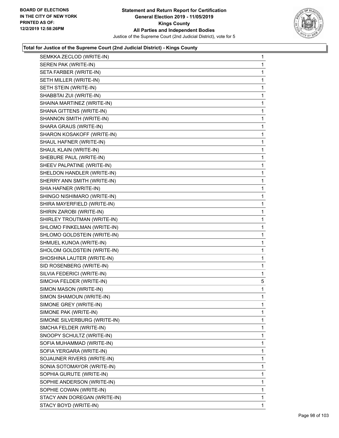

|                              | $\mathbf{1}$ |
|------------------------------|--------------|
| SEREN PAK (WRITE-IN)         | 1            |
| SETA FARBER (WRITE-IN)       | 1            |
| SETH MILLER (WRITE-IN)       | 1            |
| SETH STEIN (WRITE-IN)        | 1            |
| SHABBTAI ZUI (WRITE-IN)      | 1            |
| SHAINA MARTINEZ (WRITE-IN)   | 1            |
| SHANA GITTENS (WRITE-IN)     | 1            |
| SHANNON SMITH (WRITE-IN)     | 1            |
| SHARA GRAUS (WRITE-IN)       | 1            |
| SHARON KOSAKOFF (WRITE-IN)   | 1            |
| SHAUL HAFNER (WRITE-IN)      | 1            |
| SHAUL KLAIN (WRITE-IN)       | 1            |
| SHEBURE PAUL (WRITE-IN)      | 1            |
| SHEEV PALPATINE (WRITE-IN)   | 1            |
| SHELDON HANDLER (WRITE-IN)   | 1            |
| SHERRY ANN SMITH (WRITE-IN)  | 1            |
| SHIA HAFNER (WRITE-IN)       | 1            |
| SHINGO NISHIMARO (WRITE-IN)  | 1            |
| SHIRA MAYERFIELD (WRITE-IN)  | 1            |
| SHIRIN ZAROBI (WRITE-IN)     | 1            |
| SHIRLEY TROUTMAN (WRITE-IN)  | 1            |
| SHLOMO FINKELMAN (WRITE-IN)  | 1            |
| SHLOMO GOLDSTEIN (WRITE-IN)  | 1            |
| SHMUEL KUNOA (WRITE-IN)      | 1            |
|                              |              |
| SHOLOM GOLDSTEIN (WRITE-IN)  | 1            |
| SHOSHINA LAUTER (WRITE-IN)   | 1            |
| SID ROSENBERG (WRITE-IN)     | 1            |
| SILVIA FEDERICI (WRITE-IN)   | 1            |
| SIMCHA FELDER (WRITE-IN)     | 5            |
| SIMON MASON (WRITE-IN)       | 1            |
| SIMON SHAMOUN (WRITE-IN)     | 1            |
| SIMONE GREY (WRITE-IN)       | 1            |
| SIMONE PAK (WRITE-IN)        | 1            |
| SIMONE SILVERBURG (WRITE-IN) | 1            |
| SMCHA FELDER (WRITE-IN)      | 1            |
| SNOOPY SCHULTZ (WRITE-IN)    | 1            |
| SOFIA MUHAMMAD (WRITE-IN)    | 1            |
| SOFIA YERGARA (WRITE-IN)     | 1            |
| SOJAUNER RIVERS (WRITE-IN)   | 1            |
| SONIA SOTOMAYOR (WRITE-IN)   | 1            |
| SOPHIA GURUTE (WRITE-IN)     | 1            |
| SOPHIE ANDERSON (WRITE-IN)   | 1            |
| SOPHIE COWAN (WRITE-IN)      | 1            |
| STACY ANN DOREGAN (WRITE-IN) | 1            |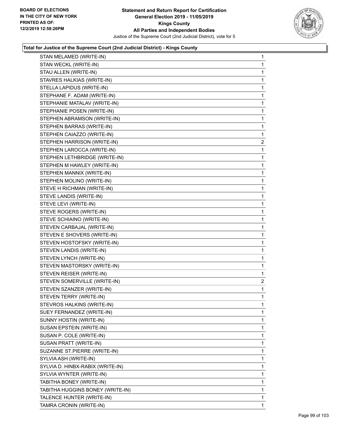

| STAN MELAMED (WRITE-IN)          | $\mathbf{1}$   |
|----------------------------------|----------------|
| STAN WECKL (WRITE-IN)            | 1              |
| STAU ALLEN (WRITE-IN)            | 1              |
| STAVRES HALKIAS (WRITE-IN)       | 1              |
| STELLA LAPIDUS (WRITE-IN)        | 1              |
| STEPHANE F. ADAM (WRITE-IN)      | 1              |
| STEPHANIE MATALAV (WRITE-IN)     | 1              |
| STEPHANIE POSEN (WRITE-IN)       | $\mathbf{1}$   |
| STEPHEN ABRAMSON (WRITE-IN)      | 1              |
| STEPHEN BARRAS (WRITE-IN)        | 1              |
| STEPHEN CAIAZZO (WRITE-IN)       | 1              |
| STEPHEN HARRISON (WRITE-IN)      | $\overline{c}$ |
| STEPHEN LAROCCA (WRITE-IN)       | $\mathbf{1}$   |
| STEPHEN LETHBRIDGE (WRITE-IN)    | 1              |
| STEPHEN M HAWLEY (WRITE-IN)      | 1              |
| STEPHEN MANNIX (WRITE-IN)        | 1              |
| STEPHEN MOLINO (WRITE-IN)        | 1              |
| STEVE H RICHMAN (WRITE-IN)       | 1              |
| STEVE LANDIS (WRITE-IN)          | 1              |
| STEVE LEVI (WRITE-IN)            | 1              |
| STEVE ROGERS (WRITE-IN)          | 1              |
| STEVE SCHIAINO (WRITE-IN)        | 1              |
| STEVEN CARBAJAL (WRITE-IN)       | 1              |
| STEVEN E SHOVERS (WRITE-IN)      | 1              |
| STEVEN HOSTOFSKY (WRITE-IN)      | 1              |
| STEVEN LANDIS (WRITE-IN)         | 1              |
| STEVEN LYNCH (WRITE-IN)          | 1              |
| STEVEN MASTORSKY (WRITE-IN)      | 1              |
| STEVEN REISER (WRITE-IN)         | 1              |
| STEVEN SOMERVILLE (WRITE-IN)     | $\overline{c}$ |
| STEVEN SZANZER (WRITE-IN)        | 1              |
| STEVEN TERRY (WRITE-IN)          | 1              |
| STEVROS HALKINS (WRITE-IN)       | 1              |
| SUEY FERNANDEZ (WRITE-IN)        | 1              |
| SUNNY HOSTIN (WRITE-IN)          | 1              |
| SUSAN EPSTEIN (WRITE-IN)         | 1              |
| SUSAN P. COLE (WRITE-IN)         | 1              |
| SUSAN PRATT (WRITE-IN)           | 1              |
| SUZANNE ST.PIERRE (WRITE-IN)     | 1              |
| SYLVIA ASH (WRITE-IN)            | 1              |
| SYLVIA D. HINBX-RABIX (WRITE-IN) | 1              |
| SYLVIA WYNTER (WRITE-IN)         | 1              |
| TABITHA BONEY (WRITE-IN)         | 1              |
| TABITHA HUGGINS BONEY (WRITE-IN) | 1              |
| TALENCE HUNTER (WRITE-IN)        | 1              |
| TAMRA CRONIN (WRITE-IN)          | 1              |
|                                  |                |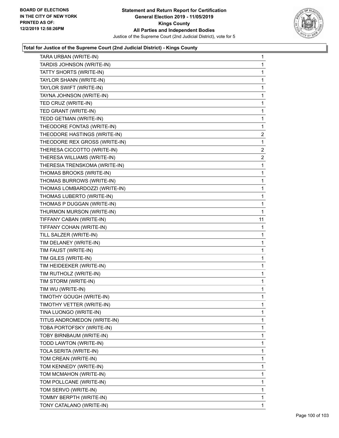

| TARA URBAN (WRITE-IN)         | 1              |
|-------------------------------|----------------|
| TARDIS JOHNSON (WRITE-IN)     | $\mathbf{1}$   |
| TATTY SHORTS (WRITE-IN)       | 1              |
| TAYLOR SHANN (WRITE-IN)       | 1              |
| TAYLOR SWIFT (WRITE-IN)       | 1              |
| TAYNA JOHNSON (WRITE-IN)      | 1              |
| TED CRUZ (WRITE-IN)           | 1              |
| TED GRANT (WRITE-IN)          | 1              |
| TEDD GETMAN (WRITE-IN)        | 1              |
| THEODORE FONTAS (WRITE-IN)    | 1              |
| THEODORE HASTINGS (WRITE-IN)  | $\overline{2}$ |
| THEODORE REX GROSS (WRITE-IN) | 1              |
| THERESA CICCOTTO (WRITE-IN)   | $\overline{a}$ |
| THERESA WILLIAMS (WRITE-IN)   | $\overline{2}$ |
| THERESIA TRENSKOMA (WRITE-IN) | 1              |
| THOMAS BROOKS (WRITE-IN)      | 1              |
| THOMAS BURROWS (WRITE-IN)     | 1              |
| THOMAS LOMBARDOZZI (WRITE-IN) | 1              |
| THOMAS LUBERTO (WRITE-IN)     | 1              |
| THOMAS P DUGGAN (WRITE-IN)    | 1              |
| THURMON MURSON (WRITE-IN)     | 1              |
| TIFFANY CABAN (WRITE-IN)      | 11             |
| TIFFANY COHAN (WRITE-IN)      | 1              |
| TILL SALZER (WRITE-IN)        | 1              |
| TIM DELANEY (WRITE-IN)        | 1              |
| TIM FAUST (WRITE-IN)          | 1              |
| TIM GILES (WRITE-IN)          | 1              |
| TIM HEIDEEKER (WRITE-IN)      | 1              |
| TIM RUTHOLZ (WRITE-IN)        | 1              |
| TIM STORM (WRITE-IN)          | 1              |
| TIM WU (WRITE-IN)             | 1              |
| TIMOTHY GOUGH (WRITE-IN)      | 1              |
| TIMOTHY VETTER (WRITE-IN)     | 1              |
| TINA LUONGO (WRITE-IN)        | 1              |
| TITUS ANDROMEDON (WRITE-IN)   | 1              |
| TOBA PORTOFSKY (WRITE-IN)     | 1              |
| TOBY BIRNBAUM (WRITE-IN)      | 1              |
| TODD LAWTON (WRITE-IN)        | 1              |
| TOLA SERITA (WRITE-IN)        | 1              |
| TOM CREAN (WRITE-IN)          | 1              |
| TOM KENNEDY (WRITE-IN)        | 1              |
| TOM MCMAHON (WRITE-IN)        | 1              |
| TOM POLLCANE (WRITE-IN)       | 1              |
| TOM SERVO (WRITE-IN)          | 1              |
| TOMMY BERPTH (WRITE-IN)       | 1              |
| TONY CATALANO (WRITE-IN)      | 1              |
|                               |                |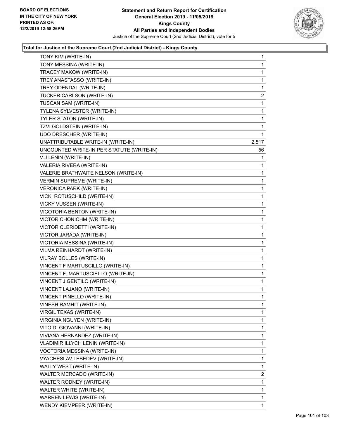

| TONY KIM (WRITE-IN)                       | $\mathbf{1}$   |
|-------------------------------------------|----------------|
| TONY MESSINA (WRITE-IN)                   | $\mathbf{1}$   |
| TRACEY MAKOW (WRITE-IN)                   | 1              |
| TREY ANASTASSO (WRITE-IN)                 | $\mathbf{1}$   |
| TREY ODENDAL (WRITE-IN)                   | $\mathbf{1}$   |
| TUCKER CARLSON (WRITE-IN)                 | $\overline{2}$ |
| TUSCAN SAM (WRITE-IN)                     | 1              |
| TYLENA SYLVESTER (WRITE-IN)               | $\mathbf{1}$   |
| TYLER STATON (WRITE-IN)                   | 1              |
| TZVI GOLDSTEIN (WRITE-IN)                 | 1              |
| UDO DRESCHER (WRITE-IN)                   | $\mathbf 1$    |
| UNATTRIBUTABLE WRITE-IN (WRITE-IN)        | 2,517          |
| UNCOUNTED WRITE-IN PER STATUTE (WRITE-IN) | 56             |
| V.J LENIN (WRITE-IN)                      | 1              |
| VALERIA RIVERA (WRITE-IN)                 | 1              |
| VALERIE BRATHWAITE NELSON (WRITE-IN)      | 1              |
| VERMIN SUPREME (WRITE-IN)                 | $\mathbf{1}$   |
| <b>VERONICA PARK (WRITE-IN)</b>           | 1              |
| VICKI ROTUSCHILD (WRITE-IN)               | 1              |
| VICKY VUSSEN (WRITE-IN)                   | $\mathbf{1}$   |
| VICOTORIA BENTON (WRITE-IN)               | 1              |
| VICTOR CHONICHM (WRITE-IN)                | $\mathbf{1}$   |
| VICTOR CLERIDETTI (WRITE-IN)              | $\mathbf{1}$   |
| VICTOR JARADA (WRITE-IN)                  | 1              |
| VICTORIA MESSINA (WRITE-IN)               | 1              |
| VILMA REINHARDT (WRITE-IN)                | $\mathbf{1}$   |
| VILRAY BOLLES (WRITE-IN)                  | 1              |
| VINCENT F MARTUSCILLO (WRITE-IN)          | $\mathbf{1}$   |
| VINCENT F. MARTUSCIELLO (WRITE-IN)        | $\mathbf{1}$   |
| VINCENT J GENTILO (WRITE-IN)              | $\mathbf{1}$   |
| VINCENT LAJANO (WRITE-IN)                 | $\mathbf 1$    |
| VINCENT PINELLO (WRITE-IN)                | $\mathbf{1}$   |
| VINESH RAMHIT (WRITE-IN)                  | $\mathbf{1}$   |
| VIRGIL TEXAS (WRITE-IN)                   | 1              |
| <b>VIRGINIA NGUYEN (WRITE-IN)</b>         | $\mathbf{1}$   |
| VITO DI GIOVANNI (WRITE-IN)               | 1              |
| VIVIANA HERNANDEZ (WRITE-IN)              | 1              |
| VLADIMIR ILLYCH LENIN (WRITE-IN)          | 1              |
| VOCTORIA MESSINA (WRITE-IN)               | 1              |
| VYACHESLAV LEBEDEV (WRITE-IN)             | 1              |
| WALLY WEST (WRITE-IN)                     | $\mathbf{1}$   |
| WALTER MERCADO (WRITE-IN)                 | $\overline{2}$ |
| WALTER RODNEY (WRITE-IN)                  | 1              |
| WALTER WHITE (WRITE-IN)                   | 1              |
| WARREN LEWIS (WRITE-IN)                   | 1              |
| WENDY KIEMPEER (WRITE-IN)                 | 1              |
|                                           |                |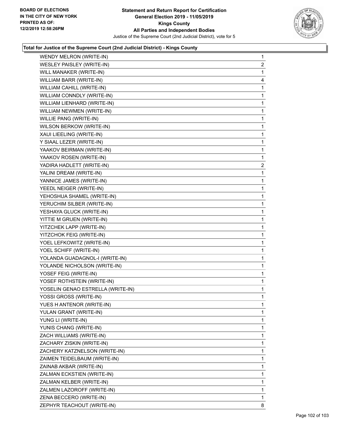

| WENDY MELRON (WRITE-IN)           | $\mathbf{1}$   |
|-----------------------------------|----------------|
| WESLEY PAISLEY (WRITE-IN)         | $\overline{2}$ |
| WILL MANAKER (WRITE-IN)           | 1              |
| WILLIAM BARR (WRITE-IN)           | 4              |
| WILLIAM CAHILL (WRITE-IN)         | 1              |
| WILLIAM CONNDLY (WRITE-IN)        | 1              |
| WILLIAM LIENHARD (WRITE-IN)       | 1              |
| WILLIAM NEWMEN (WRITE-IN)         | 1              |
| WILLIE PANG (WRITE-IN)            | 1              |
| WILSON BERKOW (WRITE-IN)          | 1              |
| XAUI LIEELING (WRITE-IN)          | 1              |
| Y SIAAL LEZER (WRITE-IN)          | 1              |
| YAAKOV BEIRMAN (WRITE-IN)         | 1              |
| YAAKOV ROSEN (WRITE-IN)           | 1              |
| YADIRA HADLETT (WRITE-IN)         | $\overline{2}$ |
| YALINI DREAM (WRITE-IN)           | 1              |
| YANNICE JAMES (WRITE-IN)          | 1              |
| YEEDL NEIGER (WRITE-IN)           | 1              |
| YEHOSHUA SHAMEL (WRITE-IN)        | 1              |
| YERUCHIM SILBER (WRITE-IN)        | 1              |
| YESHAYA GLUCK (WRITE-IN)          | 1              |
| YITTIE M GRUEN (WRITE-IN)         | 1              |
| YITZCHEK LAPP (WRITE-IN)          | 1              |
| YITZCHOK FEIG (WRITE-IN)          | 1              |
| YOEL LEFKOWITZ (WRITE-IN)         | 1              |
| YOEL SCHIFF (WRITE-IN)            | 1              |
| YOLANDA GUADAGNOL-I (WRITE-IN)    | 1              |
| YOLANDE NICHOLSON (WRITE-IN)      | 1              |
| YOSEF FEIG (WRITE-IN)             | 1              |
| YOSEF ROTHSTEIN (WRITE-IN)        | 1              |
| YOSELIN GENAO ESTRELLA (WRITE-IN) | 1              |
| YOSSI GROSS (WRITE-IN)            | 1              |
| YUES H ANTENOR (WRITE-IN)         | 1              |
| YULAN GRANT (WRITE-IN)            | 1              |
| YUNG LI (WRITE-IN)                | 1              |
| YUNIS CHANG (WRITE-IN)            | 1              |
| ZACH WILLIAMS (WRITE-IN)          | 1              |
| ZACHARY ZISKIN (WRITE-IN)         | 1              |
| ZACHERY KATZNELSON (WRITE-IN)     | 1              |
| ZAIMEN TEIDELBAUM (WRITE-IN)      | 1              |
| ZAINAB AKBAR (WRITE-IN)           | 1              |
| ZALMAN ECKSTIEN (WRITE-IN)        | 1              |
| ZALMAN KELBER (WRITE-IN)          | 1              |
| ZALMEN LAZOROFF (WRITE-IN)        | 1              |
| ZENA BECCERO (WRITE-IN)           | 1              |
| ZEPHYR TEACHOUT (WRITE-IN)        | 8              |
|                                   |                |